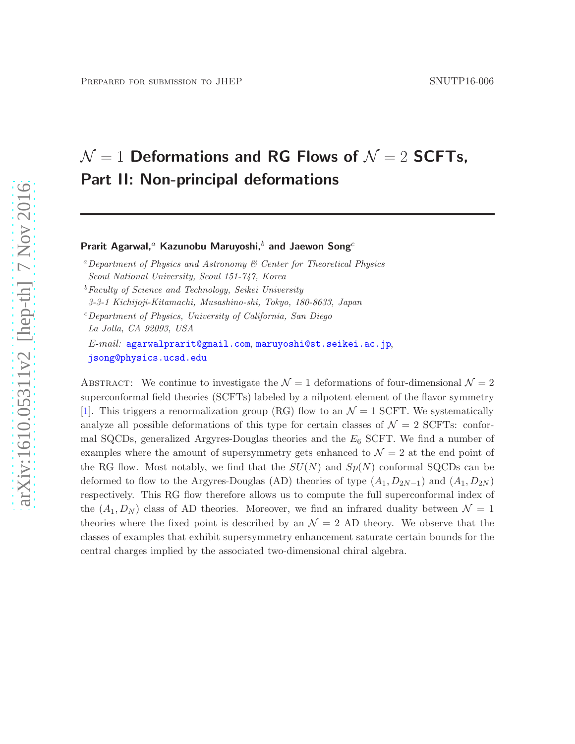# $\mathcal{N}=1$  Deformations and RG Flows of  $\mathcal{N}=2$  SCFTs, Part II: Non-principal deformations

Prarit Agarwal,<sup>a</sup> Kazunobu Maruyoshi,<sup>b</sup> and Jaewon Song<sup>c</sup>

<sup>a</sup>Department of Physics and Astronomy  $\mathcal C$  Center for Theoretical Physics Seoul National University, Seoul 151-747, Korea

3-3-1 Kichijoji-Kitamachi, Musashino-shi, Tokyo, 180-8633, Japan

 $c$  Department of Physics, University of California, San Diego

La Jolla, CA 92093, USA

 $E\text{-}mail:$  [agarwalprarit@gmail.com](mailto:agarwalprarit@gmail.com), [maruyoshi@st.seikei.ac.jp](mailto:maruyoshi@st.seikei.ac.jp), [jsong@physics.ucsd.edu](mailto:jsong@physics.ucsd.edu)

ABSTRACT: We continue to investigate the  $\mathcal{N}=1$  deformations of four-dimensional  $\mathcal{N}=2$ superconformal field theories (SCFTs) labeled by a nilpotent element of the flavor symmetry [\[1](#page-42-0)]. This triggers a renormalization group (RG) flow to an  $\mathcal{N}=1$  SCFT. We systematically analyze all possible deformations of this type for certain classes of  $\mathcal{N}=2$  SCFTs: conformal SQCDs, generalized Argyres-Douglas theories and the  $E_6$  SCFT. We find a number of examples where the amount of supersymmetry gets enhanced to  $\mathcal{N}=2$  at the end point of the RG flow. Most notably, we find that the  $SU(N)$  and  $Sp(N)$  conformal SQCDs can be deformed to flow to the Argyres-Douglas (AD) theories of type  $(A_1, D_{2N-1})$  and  $(A_1, D_{2N})$ respectively. This RG flow therefore allows us to compute the full superconformal index of the  $(A_1, D_N)$  class of AD theories. Moreover, we find an infrared duality between  $\mathcal{N} = 1$ theories where the fixed point is described by an  $\mathcal{N} = 2$  AD theory. We observe that the classes of examples that exhibit supersymmetry enhancement saturate certain bounds for the central charges implied by the associated two-dimensional chiral algebra.

 $b$ Faculty of Science and Technology, Seikei University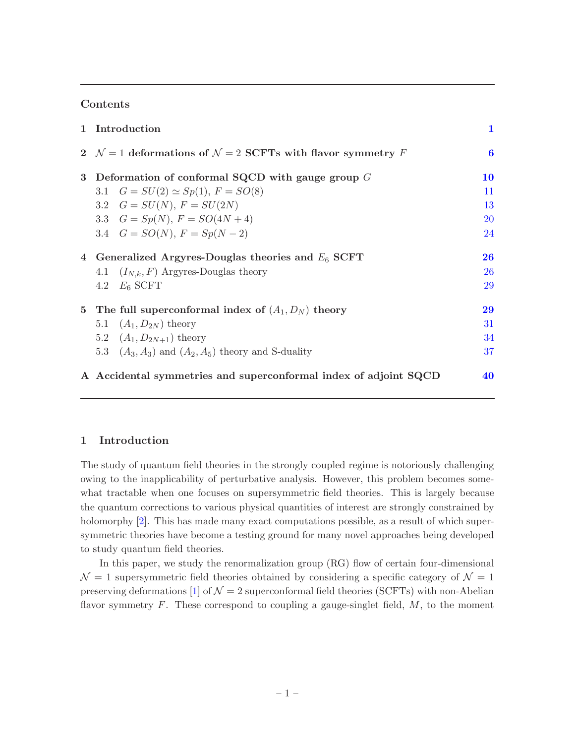#### Contents

|                | 1 Introduction                                                                 | $\mathbf{1}$ |
|----------------|--------------------------------------------------------------------------------|--------------|
|                | 2 $\mathcal{N}=1$ deformations of $\mathcal{N}=2$ SCFTs with flavor symmetry F | 6            |
| 3 <sup>1</sup> | Deformation of conformal SQCD with gauge group $G$                             | 10           |
|                | 3.1 $G = SU(2) \simeq Sp(1), F = SO(8)$                                        | 11           |
|                | 3.2 $G = SU(N), F = SU(2N)$                                                    | 13           |
|                | 3.3 $G = Sp(N), F = SO(4N + 4)$                                                | <b>20</b>    |
|                | 3.4 $G = SO(N), F = Sp(N-2)$                                                   | 24           |
|                | 4 Generalized Argyres-Douglas theories and $E_6$ SCFT                          | 26           |
|                | 4.1 $(I_{N,k}, F)$ Argyres-Douglas theory                                      | <b>26</b>    |
|                | 4.2 $E_6$ SCFT                                                                 | 29           |
| $5^{\circ}$    | The full superconformal index of $(A_1, D_N)$ theory                           | 29           |
|                | 5.1 $(A_1, D_{2N})$ theory                                                     | 31           |
|                | 5.2 $(A_1, D_{2N+1})$ theory                                                   | 34           |
|                | 5.3 $(A_3, A_3)$ and $(A_2, A_5)$ theory and S-duality                         | 37           |
|                | A Accidental symmetries and superconformal index of adjoint SQCD               | 40           |

#### <span id="page-1-0"></span>1 Introduction

The study of quantum field theories in the strongly coupled regime is notoriously challenging owing to the inapplicability of perturbative analysis. However, this problem becomes somewhat tractable when one focuses on supersymmetric field theories. This is largely because the quantum corrections to various physical quantities of interest are strongly constrained by holomorphy [\[2](#page-42-1)]. This has made many exact computations possible, as a result of which supersymmetric theories have become a testing ground for many novel approaches being developed to study quantum field theories.

In this paper, we study the renormalization group (RG) flow of certain four-dimensional  $\mathcal{N}=1$  supersymmetric field theories obtained by considering a specific category of  $\mathcal{N}=1$ preserving deformations [\[1](#page-42-0)] of  $\mathcal{N} = 2$  superconformal field theories (SCFTs) with non-Abelian flavor symmetry  $F$ . These correspond to coupling a gauge-singlet field,  $M$ , to the moment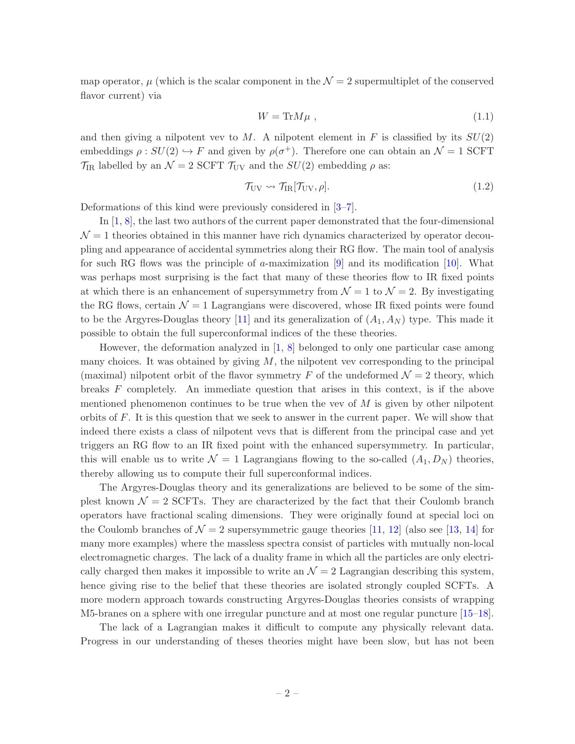map operator,  $\mu$  (which is the scalar component in the  $\mathcal{N}=2$  supermultiplet of the conserved flavor current) via

$$
W = \text{Tr}M\mu \tag{1.1}
$$

and then giving a nilpotent vev to M. A nilpotent element in F is classified by its  $SU(2)$ embeddings  $\rho: SU(2) \hookrightarrow F$  and given by  $\rho(\sigma^+)$ . Therefore one can obtain an  $\mathcal{N} = 1$  SCFT  $\mathcal{T}_{IR}$  labelled by an  $\mathcal{N}=2$  SCFT  $\mathcal{T}_{UV}$  and the  $SU(2)$  embedding  $\rho$  as:

$$
\mathcal{T}_{\rm UV} \rightsquigarrow \mathcal{T}_{\rm IR}[\mathcal{T}_{\rm UV}, \rho]. \tag{1.2}
$$

Deformations of this kind were previously considered in [\[3](#page-42-2)[–7](#page-42-3)].

In [\[1](#page-42-0), [8](#page-42-4)], the last two authors of the current paper demonstrated that the four-dimensional  $\mathcal{N}=1$  theories obtained in this manner have rich dynamics characterized by operator decoupling and appearance of accidental symmetries along their RG flow. The main tool of analysis for such RG flows was the principle of a-maximization  $[9]$  and its modification  $[10]$ . What was perhaps most surprising is the fact that many of these theories flow to IR fixed points at which there is an enhancement of supersymmetry from  $\mathcal{N} = 1$  to  $\mathcal{N} = 2$ . By investigating the RG flows, certain  $\mathcal{N} = 1$  Lagrangians were discovered, whose IR fixed points were found to be the Argyres-Douglas theory [\[11\]](#page-43-0) and its generalization of  $(A_1, A_N)$  type. This made it possible to obtain the full superconformal indices of the these theories.

However, the deformation analyzed in [\[1](#page-42-0), [8](#page-42-4)] belonged to only one particular case among many choices. It was obtained by giving  $M$ , the nilpotent vev corresponding to the principal (maximal) nilpotent orbit of the flavor symmetry F of the undeformed  $\mathcal{N}=2$  theory, which breaks F completely. An immediate question that arises in this context, is if the above mentioned phenomenon continues to be true when the vev of  $M$  is given by other nilpotent orbits of  $F$ . It is this question that we seek to answer in the current paper. We will show that indeed there exists a class of nilpotent vevs that is different from the principal case and yet triggers an RG flow to an IR fixed point with the enhanced supersymmetry. In particular, this will enable us to write  $\mathcal{N} = 1$  Lagrangians flowing to the so-called  $(A_1, D_N)$  theories, thereby allowing us to compute their full superconformal indices.

The Argyres-Douglas theory and its generalizations are believed to be some of the simplest known  $\mathcal{N} = 2$  SCFTs. They are characterized by the fact that their Coulomb branch operators have fractional scaling dimensions. They were originally found at special loci on the Coulomb branches of  $\mathcal{N} = 2$  supersymmetric gauge theories [\[11](#page-43-0), [12\]](#page-43-1) (also see [\[13](#page-43-2), [14\]](#page-43-3) for many more examples) where the massless spectra consist of particles with mutually non-local electromagnetic charges. The lack of a duality frame in which all the particles are only electrically charged then makes it impossible to write an  $\mathcal{N}=2$  Lagrangian describing this system, hence giving rise to the belief that these theories are isolated strongly coupled SCFTs. A more modern approach towards constructing Argyres-Douglas theories consists of wrapping M5-branes on a sphere with one irregular puncture and at most one regular puncture [\[15](#page-43-4)[–18](#page-43-5)].

The lack of a Lagrangian makes it difficult to compute any physically relevant data. Progress in our understanding of theses theories might have been slow, but has not been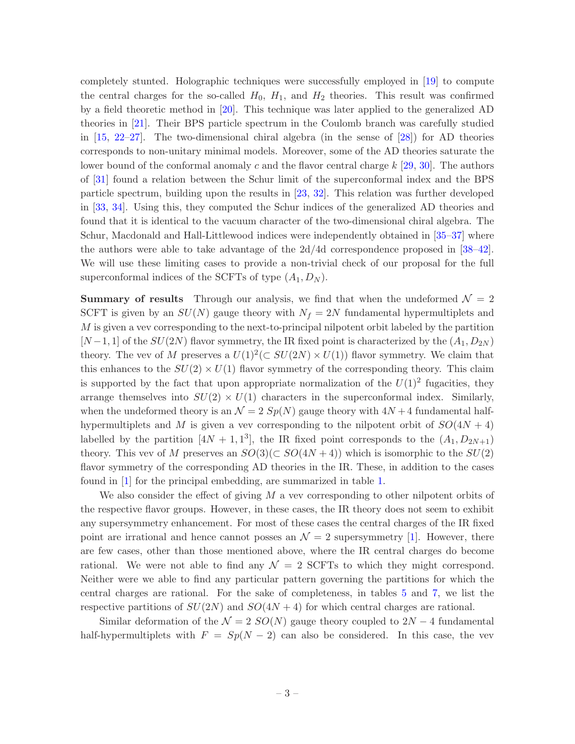completely stunted. Holographic techniques were successfully employed in [\[19](#page-43-6)] to compute the central charges for the so-called  $H_0$ ,  $H_1$ , and  $H_2$  theories. This result was confirmed by a field theoretic method in [\[20\]](#page-43-7). This technique was later applied to the generalized AD theories in [\[21\]](#page-43-8). Their BPS particle spectrum in the Coulomb branch was carefully studied in  $[15, 22-27]$  $[15, 22-27]$  $[15, 22-27]$ . The two-dimensional chiral algebra (in the sense of  $[28]$ ) for AD theories corresponds to non-unitary minimal models. Moreover, some of the AD theories saturate the lower bound of the conformal anomaly c and the flavor central charge  $k$  [\[29](#page-43-12), [30\]](#page-44-0). The authors of [\[31\]](#page-44-1) found a relation between the Schur limit of the superconformal index and the BPS particle spectrum, building upon the results in [\[23](#page-43-13), [32\]](#page-44-2). This relation was further developed in [\[33](#page-44-3), [34](#page-44-4)]. Using this, they computed the Schur indices of the generalized AD theories and found that it is identical to the vacuum character of the two-dimensional chiral algebra. The Schur, Macdonald and Hall-Littlewood indices were independently obtained in [\[35](#page-44-5)[–37](#page-44-6)] where the authors were able to take advantage of the  $2d/4d$  correspondence proposed in [\[38](#page-44-7)[–42](#page-44-8)]. We will use these limiting cases to provide a non-trivial check of our proposal for the full superconformal indices of the SCFTs of type  $(A_1, D_N)$ .

**Summary of results** Through our analysis, we find that when the undeformed  $\mathcal{N} = 2$ SCFT is given by an  $SU(N)$  gauge theory with  $N_f = 2N$  fundamental hypermultiplets and  $M$  is given a vev corresponding to the next-to-principal nilpotent orbit labeled by the partition  $[N-1,1]$  of the  $SU(2N)$  flavor symmetry, the IR fixed point is characterized by the  $(A_1, D_{2N})$ theory. The vev of M preserves a  $U(1)^2(\subset SU(2N) \times U(1))$  flavor symmetry. We claim that this enhances to the  $SU(2) \times U(1)$  flavor symmetry of the corresponding theory. This claim is supported by the fact that upon appropriate normalization of the  $U(1)^2$  fugacities, they arrange themselves into  $SU(2) \times U(1)$  characters in the superconformal index. Similarly, when the undeformed theory is an  $\mathcal{N} = 2 Sp(N)$  gauge theory with  $4N + 4$  fundamental halfhypermultiplets and M is given a vev corresponding to the nilpotent orbit of  $SO(4N + 4)$ labelled by the partition  $[4N + 1, 1^3]$ , the IR fixed point corresponds to the  $(A_1, D_{2N+1})$ theory. This vev of M preserves an  $SO(3)(\subset SO(4N+4))$  which is isomorphic to the  $SU(2)$ flavor symmetry of the corresponding AD theories in the IR. These, in addition to the cases found in [\[1](#page-42-0)] for the principal embedding, are summarized in table [1.](#page-4-0)

We also consider the effect of giving  $M$  a vev corresponding to other nilpotent orbits of the respective flavor groups. However, in these cases, the IR theory does not seem to exhibit any supersymmetry enhancement. For most of these cases the central charges of the IR fixed point are irrational and hence cannot posses an  $\mathcal{N}=2$  supersymmetry [\[1](#page-42-0)]. However, there are few cases, other than those mentioned above, where the IR central charges do become rational. We were not able to find any  $\mathcal{N} = 2$  SCFTs to which they might correspond. Neither were we able to find any particular pattern governing the partitions for which the central charges are rational. For the sake of completeness, in tables [5](#page-18-0) and [7,](#page-23-0) we list the respective partitions of  $SU(2N)$  and  $SO(4N + 4)$  for which central charges are rational.

Similar deformation of the  $\mathcal{N} = 2$  SO(N) gauge theory coupled to 2N − 4 fundamental half-hypermultiplets with  $F = Sp(N-2)$  can also be considered. In this case, the vev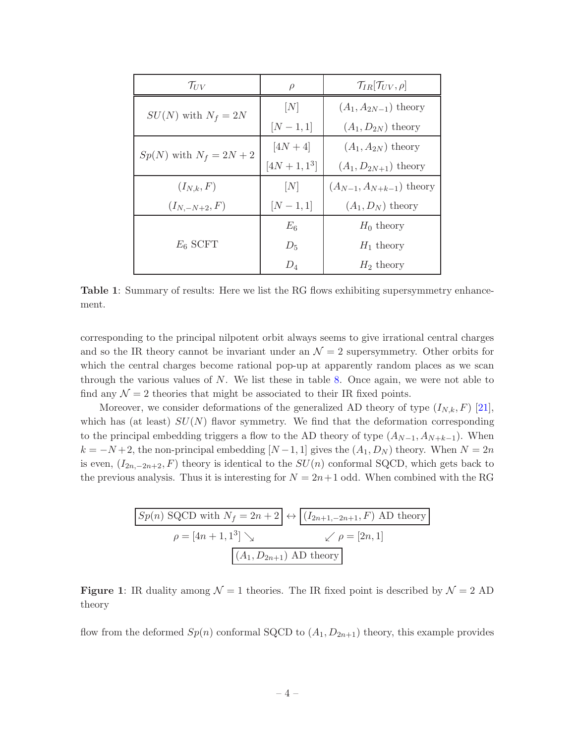<span id="page-4-0"></span>

| $\mathcal{T}_{UV}$          | $\rho$       | $\mathcal{T}_{IR}[\mathcal{T}_{UV},\rho]$ |
|-----------------------------|--------------|-------------------------------------------|
| $SU(N)$ with $N_f = 2N$     | [N]          | $(A_1, A_{2N-1})$ theory                  |
|                             | $[N-1,1]$    | $(A_1, D_{2N})$ theory                    |
| $Sp(N)$ with $N_f = 2N + 2$ | $[4N + 4]$   | $(A_1, A_{2N})$ theory                    |
|                             | $[4N+1,1^3]$ | $(A_1, D_{2N+1})$ theory                  |
| $(I_{N,k},F)$               | [N]          | $(A_{N-1}, A_{N+k-1})$ theory             |
| $(I_{N,-N+2}, F)$           | $[N-1,1]$    | $(A_1, D_N)$ theory                       |
|                             | $E_6$        | $H_0$ theory                              |
| $E_6$ SCFT                  | $D_5$        | $H_1$ theory                              |
|                             | $D_4$        | $H_2$ theory                              |

Table 1: Summary of results: Here we list the RG flows exhibiting supersymmetry enhancement.

corresponding to the principal nilpotent orbit always seems to give irrational central charges and so the IR theory cannot be invariant under an  $\mathcal{N}=2$  supersymmetry. Other orbits for which the central charges become rational pop-up at apparently random places as we scan through the various values of  $N$ . We list these in table [8.](#page-25-0) Once again, we were not able to find any  $\mathcal{N} = 2$  theories that might be associated to their IR fixed points.

Moreover, we consider deformations of the generalized AD theory of type  $(I_{N,k}, F)$  [\[21](#page-43-8)], which has (at least)  $SU(N)$  flavor symmetry. We find that the deformation corresponding to the principal embedding triggers a flow to the AD theory of type  $(A_{N-1}, A_{N+k-1})$ . When  $k = -N+2$ , the non-principal embedding  $[N-1,1]$  gives the  $(A_1, D_N)$  theory. When  $N = 2n$ is even,  $(I_{2n,-2n+2}, F)$  theory is identical to the  $SU(n)$  conformal SQCD, which gets back to the previous analysis. Thus it is interesting for  $N = 2n+1$  odd. When combined with the RG

$$
Sp(n) SQCD with N_f = 2n + 2 \leftrightarrow (I_{2n+1,-2n+1}, F) AD theory
$$

$$
\rho = [4n + 1, 1^3] \searrow \qquad \swarrow \rho = [2n, 1]
$$

$$
(A_1, D_{2n+1}) AD theory
$$

**Figure 1:** IR duality among  $\mathcal{N} = 1$  theories. The IR fixed point is described by  $\mathcal{N} = 2$  AD theory

flow from the deformed  $Sp(n)$  conformal SQCD to  $(A_1, D_{2n+1})$  theory, this example provides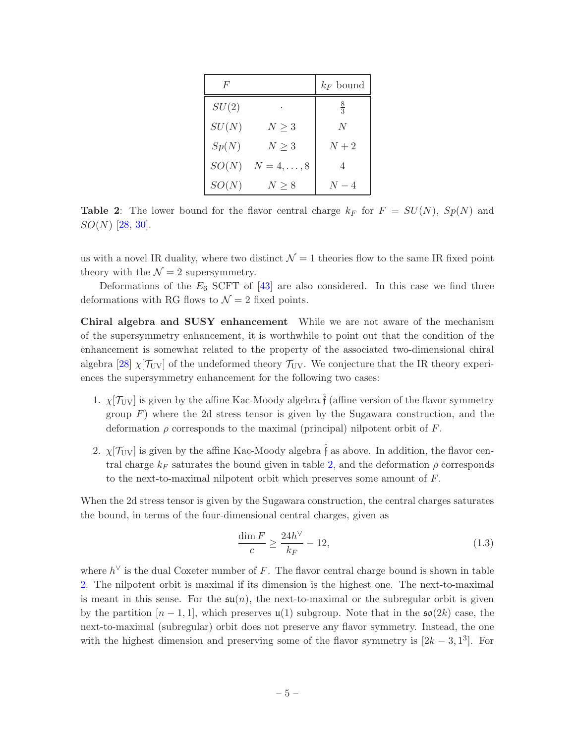<span id="page-5-0"></span>

| F     |                | $k_F$ bound    |
|-------|----------------|----------------|
| SU(2) |                | $\frac{8}{3}$  |
| SU(N) | $N\geq 3$      | N              |
| Sp(N) | $N\geq 3$      | $N+2$          |
| SO(N) | $N=4,\ldots,8$ | $\overline{4}$ |
| SO(N) | $N \geq 8$     | $N=4$          |

**Table 2:** The lower bound for the flavor central charge  $k_F$  for  $F = SU(N)$ ,  $Sp(N)$  and  $SO(N)$  [\[28,](#page-43-11) [30](#page-44-0)].

us with a novel IR duality, where two distinct  $\mathcal{N} = 1$  theories flow to the same IR fixed point theory with the  $\mathcal{N}=2$  supersymmetry.

Deformations of the  $E_6$  SCFT of  $[43]$  are also considered. In this case we find three deformations with RG flows to  $\mathcal{N}=2$  fixed points.

Chiral algebra and SUSY enhancement While we are not aware of the mechanism of the supersymmetry enhancement, it is worthwhile to point out that the condition of the enhancement is somewhat related to the property of the associated two-dimensional chiral algebra [\[28\]](#page-43-11)  $\chi$ [ $\mathcal{T}_{\text{UV}}$ ] of the undeformed theory  $\mathcal{T}_{\text{UV}}$ . We conjecture that the IR theory experiences the supersymmetry enhancement for the following two cases:

- 1.  $\chi[\mathcal{T}_{UV}]$  is given by the affine Kac-Moody algebra  $\hat{f}$  (affine version of the flavor symmetry group  $F$ ) where the 2d stress tensor is given by the Sugawara construction, and the deformation  $\rho$  corresponds to the maximal (principal) nilpotent orbit of  $F$ .
- 2.  $\chi[\mathcal{T}_{UV}]$  is given by the affine Kac-Moody algebra  $\hat{f}$  as above. In addition, the flavor central charge  $k_F$  saturates the bound given in table [2,](#page-5-0) and the deformation  $\rho$  corresponds to the next-to-maximal nilpotent orbit which preserves some amount of F.

When the 2d stress tensor is given by the Sugawara construction, the central charges saturates the bound, in terms of the four-dimensional central charges, given as

<span id="page-5-1"></span>
$$
\frac{\dim F}{c} \ge \frac{24h^{\vee}}{k_F} - 12,\tag{1.3}
$$

where  $h^{\vee}$  is the dual Coxeter number of F. The flavor central charge bound is shown in table [2.](#page-5-0) The nilpotent orbit is maximal if its dimension is the highest one. The next-to-maximal is meant in this sense. For the  $\mathfrak{su}(n)$ , the next-to-maximal or the subregular orbit is given by the partition  $[n-1,1]$ , which preserves  $\mathfrak{u}(1)$  subgroup. Note that in the  $\mathfrak{so}(2k)$  case, the next-to-maximal (subregular) orbit does not preserve any flavor symmetry. Instead, the one with the highest dimension and preserving some of the flavor symmetry is  $[2k-3, 1^3]$ . For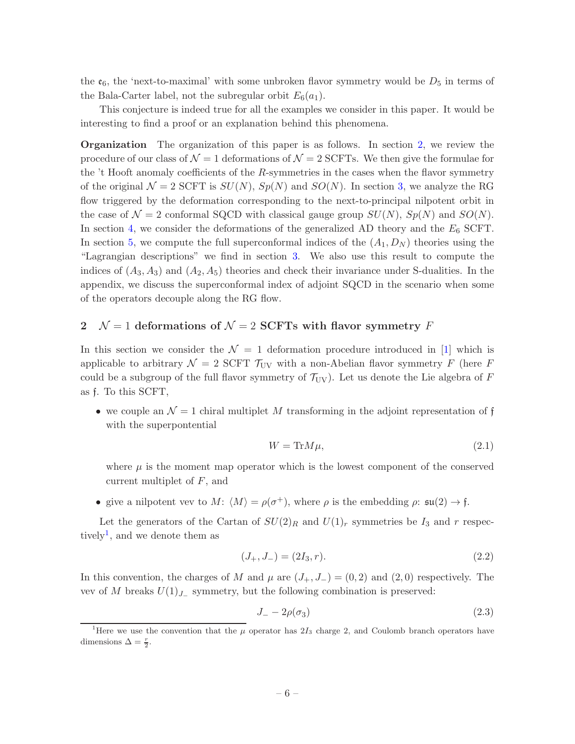the  $\mathfrak{e}_6$ , the 'next-to-maximal' with some unbroken flavor symmetry would be  $D_5$  in terms of the Bala-Carter label, not the subregular orbit  $E_6(a_1)$ .

This conjecture is indeed true for all the examples we consider in this paper. It would be interesting to find a proof or an explanation behind this phenomena.

Organization The organization of this paper is as follows. In section [2,](#page-6-0) we review the procedure of our class of  $\mathcal{N} = 1$  deformations of  $\mathcal{N} = 2$  SCFTs. We then give the formulae for the  $t$  Hooft anomaly coefficients of the R-symmetries in the cases when the flavor symmetry of the original  $\mathcal{N} = 2$  SCFT is  $SU(N)$ ,  $Sp(N)$  and  $SO(N)$ . In section [3,](#page-10-0) we analyze the RG flow triggered by the deformation corresponding to the next-to-principal nilpotent orbit in the case of  $\mathcal{N} = 2$  conformal SQCD with classical gauge group  $SU(N)$ ,  $Sp(N)$  and  $SO(N)$ . In section [4,](#page-26-0) we consider the deformations of the generalized AD theory and the  $E_6$  SCFT. In section [5,](#page-29-1) we compute the full superconformal indices of the  $(A_1, D_N)$  theories using the "Lagrangian descriptions" we find in section [3.](#page-10-0) We also use this result to compute the indices of  $(A_3, A_3)$  and  $(A_2, A_5)$  theories and check their invariance under S-dualities. In the appendix, we discuss the superconformal index of adjoint SQCD in the scenario when some of the operators decouple along the RG flow.

# <span id="page-6-0"></span>2  $\mathcal{N} = 1$  deformations of  $\mathcal{N} = 2$  SCFTs with flavor symmetry F

In this section we consider the  $\mathcal{N} = 1$  deformation procedure introduced in [\[1](#page-42-0)] which is applicable to arbitrary  $\mathcal{N} = 2$  SCFT  $\mathcal{T}_{UV}$  with a non-Abelian flavor symmetry F (here F could be a subgroup of the full flavor symmetry of  $\mathcal{T}_{UV}$ ). Let us denote the Lie algebra of F as f. To this SCFT,

• we couple an  $\mathcal{N} = 1$  chiral multiplet M transforming in the adjoint representation of f with the superpontential

<span id="page-6-3"></span>
$$
W = \text{Tr} M \mu,\tag{2.1}
$$

where  $\mu$  is the moment map operator which is the lowest component of the conserved current multiplet of F, and

• give a nilpotent vev to  $M: \langle M \rangle = \rho(\sigma^+),$  where  $\rho$  is the embedding  $\rho: \mathfrak{su}(2) \to \mathfrak{f}.$ 

Let the generators of the Cartan of  $SU(2)_R$  and  $U(1)_r$  symmetries be  $I_3$  and r respec-tively<sup>[1](#page-6-1)</sup>, and we denote them as

$$
(J_+, J_-) = (2I_3, r). \tag{2.2}
$$

In this convention, the charges of M and  $\mu$  are  $(J_+, J_-) = (0, 2)$  and  $(2, 0)$  respectively. The vev of M breaks  $U(1)_{J_-\}$  symmetry, but the following combination is preserved:

<span id="page-6-2"></span>
$$
J_- - 2\rho(\sigma_3) \tag{2.3}
$$

<span id="page-6-1"></span><sup>&</sup>lt;sup>1</sup>Here we use the convention that the  $\mu$  operator has  $2I_3$  charge 2, and Coulomb branch operators have dimensions  $\Delta = \frac{r}{2}$ .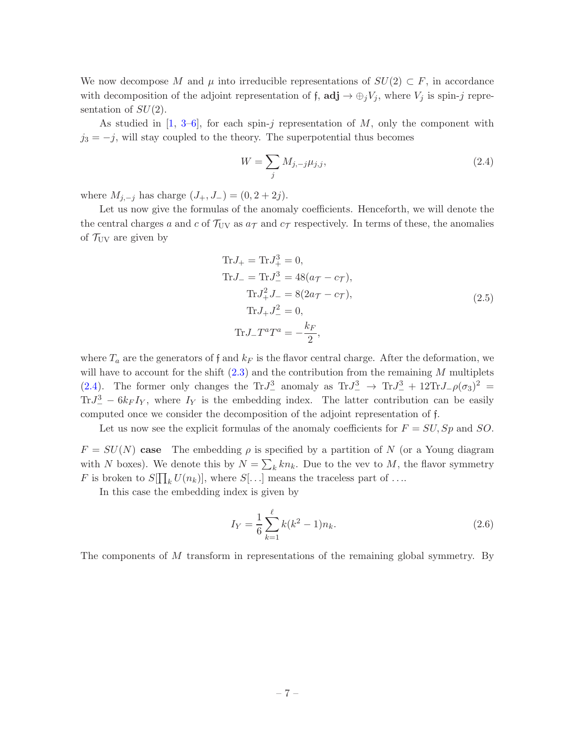We now decompose M and  $\mu$  into irreducible representations of  $SU(2) \subset F$ , in accordance with decomposition of the adjoint representation of f,  $\text{adj} \rightarrow \bigoplus_i V_i$ , where  $V_i$  is spin-j representation of  $SU(2)$ .

As studied in  $[1, 3-6]$  $[1, 3-6]$  $[1, 3-6]$ , for each spin-j representation of M, only the component with  $j_3 = -j$ , will stay coupled to the theory. The superpotential thus becomes

<span id="page-7-0"></span>
$$
W = \sum_{j} M_{j,-j} \mu_{j,j},
$$
\n(2.4)

where  $M_{i,-j}$  has charge  $(J_+, J_-) = (0, 2 + 2j)$ .

Let us now give the formulas of the anomaly coefficients. Henceforth, we will denote the the central charges a and c of  $\mathcal{T}_{UV}$  as  $a_{\mathcal{T}}$  and  $c_{\mathcal{T}}$  respectively. In terms of these, the anomalies of  $\mathcal{T}_{UV}$  are given by

$$
\text{Tr}J_{+} = \text{Tr}J_{+}^{3} = 0,
$$
\n
$$
\text{Tr}J_{-} = \text{Tr}J_{-}^{3} = 48(a_{\mathcal{T}} - c_{\mathcal{T}}),
$$
\n
$$
\text{Tr}J_{+}^{2}J_{-} = 8(2a_{\mathcal{T}} - c_{\mathcal{T}}),
$$
\n
$$
\text{Tr}J_{+}J_{-}^{2} = 0,
$$
\n
$$
\text{Tr}J_{-}T^{a}T^{a} = -\frac{k_{F}}{2},
$$
\n(2.5)

where  $T_a$  are the generators of f and  $k_F$  is the flavor central charge. After the deformation, we will have to account for the shift  $(2.3)$  and the contribution from the remaining M multiplets [\(2.4\)](#page-7-0). The former only changes the Tr $J^3_-$  anomaly as Tr $J^3_- \to \text{Tr} J^3_- + 12 \text{Tr} J_- \rho (\sigma_3)^2 =$  $TrJ^3_- - 6k_F I_Y$ , where  $I_Y$  is the embedding index. The latter contribution can be easily computed once we consider the decomposition of the adjoint representation of f.

Let us now see the explicit formulas of the anomaly coefficients for  $F = SU, Sp$  and SO.

 $F = SU(N)$  case The embedding  $\rho$  is specified by a partition of N (or a Young diagram with N boxes). We denote this by  $N = \sum_k kn_k$ . Due to the vev to M, the flavor symmetry F is broken to  $S[\prod_k U(n_k)]$ , where  $S[\ldots]$  means the traceless part of ....

In this case the embedding index is given by

$$
I_Y = \frac{1}{6} \sum_{k=1}^{\ell} k(k^2 - 1) n_k.
$$
 (2.6)

The components of M transform in representations of the remaining global symmetry. By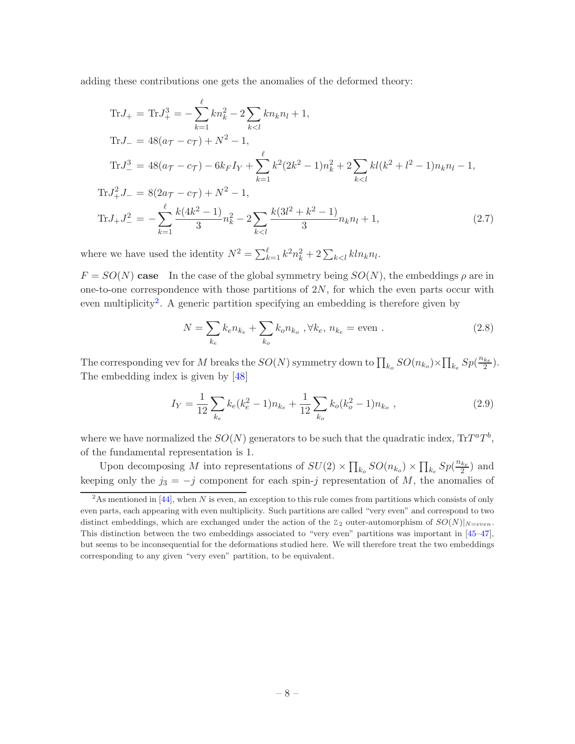adding these contributions one gets the anomalies of the deformed theory:

Tr
$$
J_{+}
$$
 = Tr $J_{+}^{3}$  =  $-\sum_{k=1}^{\ell} kn_{k}^{2} - 2\sum_{k,  
\nTr $J_{-}$  =  $48(a_{\mathcal{T}} - c_{\mathcal{T}}) + N^{2} - 1$ ,  
\nTr $J_{-}^{3}$  =  $48(a_{\mathcal{T}} - c_{\mathcal{T}}) - 6k_{\mathcal{F}}I_{Y} + \sum_{k=1}^{\ell} k^{2}(2k^{2} - 1)n_{k}^{2} + 2\sum_{k,  
\nTr $J_{+}^{2}J_{-}$  =  $8(2a_{\mathcal{T}} - c_{\mathcal{T}}) + N^{2} - 1$ ,  
\nTr $J_{+}J_{-}^{2}$  =  $-\sum_{k=1}^{\ell} \frac{k(4k^{2} - 1)}{3}n_{k}^{2} - 2\sum_{k, (2.7)$$$ 

where we have used the identity  $N^2 = \sum_{k=1}^{\ell} k^2 n_k^2 + 2 \sum_{k \lt l} k l n_k n_l$ .

 $F = SO(N)$  case In the case of the global symmetry being  $SO(N)$ , the embeddings  $\rho$  are in one-to-one correspondence with those partitions of  $2N$ , for which the even parts occur with even multiplicity<sup>[2](#page-8-0)</sup>. A generic partition specifying an embedding is therefore given by

$$
N = \sum_{k_e} k_e n_{k_e} + \sum_{k_o} k_o n_{k_o}, \forall k_e, n_{k_e} = \text{even}.
$$
 (2.8)

The corresponding vev for M breaks the  $SO(N)$  symmetry down to  $\prod_{k_o} SO(n_{k_o}) \times \prod_{k_e} Sp(\frac{n_{k_e}}{2}).$ The embedding index is given by [\[48](#page-44-10)]

<span id="page-8-1"></span>
$$
I_Y = \frac{1}{12} \sum_{k_e} k_e (k_e^2 - 1) n_{k_e} + \frac{1}{12} \sum_{k_o} k_o (k_o^2 - 1) n_{k_o} , \qquad (2.9)
$$

where we have normalized the  $SO(N)$  generators to be such that the quadratic index,  $\text{Tr} T^a T^b$ , of the fundamental representation is 1.

Upon decomposing M into representations of  $SU(2) \times \prod_{k_o} SO(n_{k_o}) \times \prod_{k_e} Sp(\frac{n_{k_e}}{2})$  and keeping only the  $j_3 = -j$  component for each spin-j representation of M, the anomalies of

<span id="page-8-0"></span> $2<sup>2</sup>$ As mentioned in [\[44\]](#page-44-11), when N is even, an exception to this rule comes from partitions which consists of only even parts, each appearing with even multiplicity. Such partitions are called "very even" and correspond to two distinct embeddings, which are exchanged under the action of the  $Z_2$  outer-automorphism of  $SO(N)|_{N=even}$ . This distinction between the two embeddings associated to "very even" partitions was important in [\[45](#page-44-12)[–47](#page-44-13)], but seems to be inconsequential for the deformations studied here. We will therefore treat the two embeddings corresponding to any given "very even" partition, to be equivalent.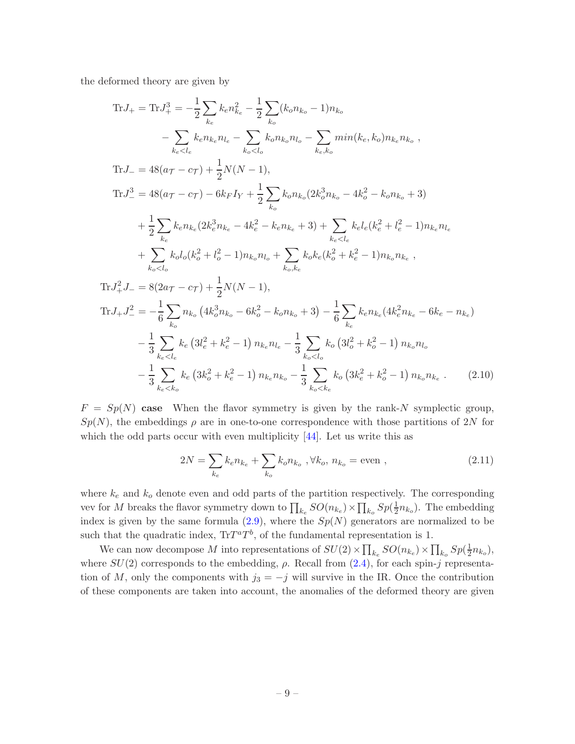the deformed theory are given by

$$
\text{Tr}J_{+} = \text{Tr}J_{+}^{3} = -\frac{1}{2} \sum_{k_{e}} k_{e} n_{ke}^{2} - \frac{1}{2} \sum_{k_{o}} (k_{o} n_{ko} - 1) n_{ko}
$$
\n
$$
- \sum_{k_{e} < l_{e}} k_{e} n_{ke} n_{le} - \sum_{k_{o} < l_{o}} k_{o} n_{ko} n_{lo} - \sum_{k_{e}, k_{o}} \min(k_{e}, k_{o}) n_{ke} n_{ko} ,
$$
\n
$$
\text{Tr}J_{-} = 48(a\tau - c\tau) + \frac{1}{2} N(N - 1),
$$
\n
$$
\text{Tr}J_{-}^{3} = 48(a\tau - c\tau) - 6k_{F} I_{Y} + \frac{1}{2} \sum_{k_{o}} k_{o} n_{ko} (2k_{o}^{3} n_{ko} - 4k_{o}^{2} - k_{o} n_{ko} + 3)
$$
\n
$$
+ \frac{1}{2} \sum_{k_{e}} k_{e} n_{ke} (2k_{e}^{3} n_{ke} - 4k_{e}^{2} - k_{e} n_{ke} + 3) + \sum_{k_{e} < l_{e}} k_{e} l_{e} (k_{e}^{2} + l_{e}^{2} - 1) n_{ke} n_{le}
$$
\n
$$
+ \sum_{k_{o} < l_{o}} k_{o} l_{o} (k_{o}^{2} + l_{o}^{2} - 1) n_{ko} n_{lo} + \sum_{k_{o}, k_{e}} k_{o} k_{e} (k_{o}^{2} + k_{e}^{2} - 1) n_{ko} n_{ke} ,
$$
\n
$$
\text{Tr}J_{+}^{2} J_{-} = 8(2a\tau - c\tau) + \frac{1}{2} N(N - 1),
$$
\n
$$
\text{Tr}J_{+}J_{-}^{2} = -\frac{1}{6} \sum_{k_{o}} n_{ko} (4k_{o}^{3} n_{ko} - 6k_{o}^{2} - k_{o} n_{ko} + 3) - \frac{1}{6} \sum_{k_{e}} k_{e} n_{ke} (4k_{e}^{2} n_{ke} - 6k_{e} - n_{ke}) - \frac{1}{3} \sum_{k_{e} < l_{e}} k_{e} (3l
$$

 $F = Sp(N)$  case When the flavor symmetry is given by the rank-N symplectic group,  $Sp(N)$ , the embeddings  $\rho$  are in one-to-one correspondence with those partitions of 2N for which the odd parts occur with even multiplicity  $[44]$ . Let us write this as

$$
2N = \sum_{k_e} k_e n_{k_e} + \sum_{k_o} k_o n_{k_o}, \forall k_o, n_{k_o} = \text{even} ,
$$
 (2.11)

where  $k_e$  and  $k_o$  denote even and odd parts of the partition respectively. The corresponding vev for  $M$  breaks the flavor symmetry down to  $\prod_{k_e} SO(n_{k_e}) \times \prod_{k_o} Sp(\frac{1}{2}$  $\frac{1}{2}n_{k_o}$ ). The embedding index is given by the same formula  $(2.9)$ , where the  $Sp(N)$  generators are normalized to be such that the quadratic index,  $\text{Tr} T^a T^b$ , of the fundamental representation is 1.

We can now decompose M into representations of  $SU(2) \times \prod_{k_e} SO(n_{k_e}) \times \prod_{k_o} Sp(\frac{1}{2})$  $\frac{1}{2}n_{k_o}),$ where  $SU(2)$  corresponds to the embedding,  $\rho$ . Recall from  $(2.4)$ , for each spin-j representation of M, only the components with  $j_3 = -j$  will survive in the IR. Once the contribution of these components are taken into account, the anomalies of the deformed theory are given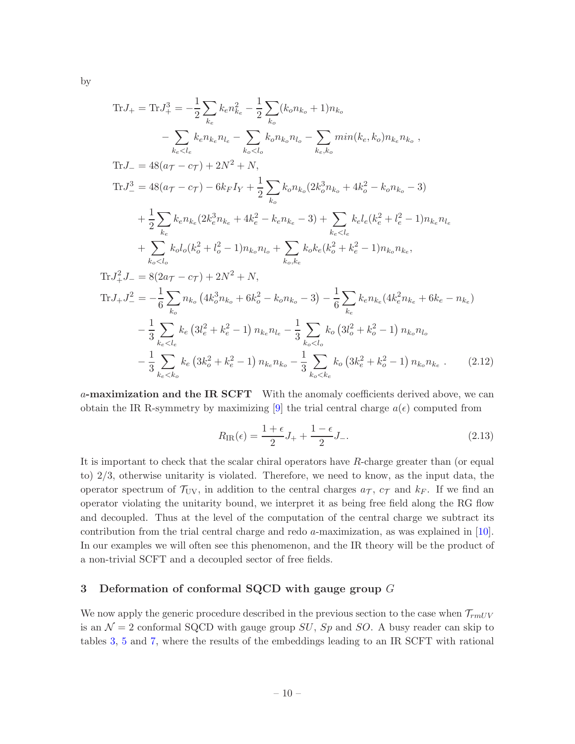by

Tr
$$
J_{+} = Tr J_{+}^{3} = -\frac{1}{2} \sum_{k_{e}} k_{e} n_{k_{e}}^{2} - \frac{1}{2} \sum_{k_{o}} (k_{o} n_{k_{o}} + 1) n_{k_{o}}
$$
  
\t $- \sum_{k_{e} < l_{e}} k_{e} n_{k_{e}} n_{l_{e}} - \sum_{k_{o} < l_{o}} k_{o} n_{k_{o}} n_{l_{o}} - \sum_{k_{e} < l_{o}} min(k_{e}, k_{o}) n_{k_{e}} n_{k_{o}},$   
\nTr $J_{-} = 48(a_{\tau} - c_{\tau}) + 2N^{2} + N,$   
\nTr $J_{-}^{3} = 48(a_{\tau} - c_{\tau}) - 6k_{F} I_{Y} + \frac{1}{2} \sum_{k_{o}} k_{o} n_{k_{o}} (2k_{o}^{3} n_{k_{o}} + 4k_{o}^{2} - k_{o} n_{k_{o}} - 3)$   
\t $+ \frac{1}{2} \sum_{k_{e}} k_{e} n_{k_{e}} (2k_{e}^{3} n_{k_{e}} + 4k_{e}^{2} - k_{e} n_{k_{e}} - 3) + \sum_{k_{e} < l_{e}} k_{e} l_{e} (k_{e}^{2} + l_{e}^{2} - 1) n_{k_{e}} n_{l_{e}}$   
\t $+ \sum_{k_{o} < l_{o}} k_{o} l_{o} (k_{o}^{2} + l_{o}^{2} - 1) n_{k_{o}} n_{l_{o}} + \sum_{k_{o}, k_{e}} k_{o} k_{e} (k_{o}^{2} + k_{e}^{2} - 1) n_{k_{o}} n_{k_{e}},$   
\nTr $J_{+}^{2} J_{-} = 8(2a_{\tau} - c_{\tau}) + 2N^{2} + N,$   
\nTr $J_{+} J_{-}^{2} = -\frac{1}{6} \sum_{k_{o}} n_{k_{o}} (4k_{o}^{3} n_{k_{o}} + 6k_{o}^{2} - k_{o} n_{k_{o}} - 3) - \frac{1}{6} \sum_{k_{e}} k_{e} n_{k_{e}} (4k_{e}^{2} n_{k_{e}} + 6k_{e} - n_{k_{e}})$   
\t $- \frac{1$ 

a-maximization and the IR SCFT With the anomaly coefficients derived above, we can obtain the IR R-symmetry by maximizing [\[9\]](#page-42-5) the trial central charge  $a(\epsilon)$  computed from

<span id="page-10-1"></span>
$$
R_{\rm IR}(\epsilon) = \frac{1+\epsilon}{2}J_+ + \frac{1-\epsilon}{2}J_-\,. \tag{2.13}
$$

It is important to check that the scalar chiral operators have R-charge greater than (or equal to) 2/3, otherwise unitarity is violated. Therefore, we need to know, as the input data, the operator spectrum of  $\mathcal{T}_{UV}$ , in addition to the central charges  $a_{\mathcal{T}}$ ,  $c_{\mathcal{T}}$  and  $k_F$ . If we find an operator violating the unitarity bound, we interpret it as being free field along the RG flow and decoupled. Thus at the level of the computation of the central charge we subtract its contribution from the trial central charge and redo a-maximization, as was explained in [\[10](#page-42-6)]. In our examples we will often see this phenomenon, and the IR theory will be the product of a non-trivial SCFT and a decoupled sector of free fields.

# <span id="page-10-0"></span>3 Deformation of conformal SQCD with gauge group  $G$

We now apply the generic procedure described in the previous section to the case when  $\mathcal{T}_{rmUV}$ is an  $\mathcal{N}=2$  conformal SQCD with gauge group SU, Sp and SO. A busy reader can skip to tables [3,](#page-11-1) [5](#page-18-0) and [7,](#page-23-0) where the results of the embeddings leading to an IR SCFT with rational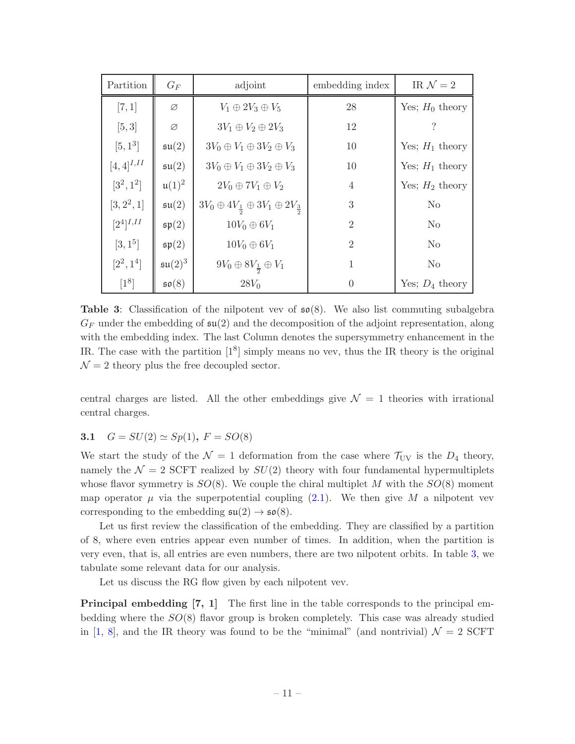<span id="page-11-1"></span>

| Partition        | $G_F$                | adjoint                                                            | embedding index | IR $\mathcal{N}=2$ |
|------------------|----------------------|--------------------------------------------------------------------|-----------------|--------------------|
| [7, 1]           | Ø                    | $V_1 \oplus 2V_3 \oplus V_5$                                       | 28              | Yes; $H_0$ theory  |
| [5, 3]           | Ø                    | $3V_1 \oplus V_2 \oplus 2V_3$                                      | 12              |                    |
| $[5, 1^3]$       | $\mathfrak{su}(2)$   | $3V_0 \oplus V_1 \oplus 3V_2 \oplus V_3$                           | 10              | Yes; $H_1$ theory  |
| $[4, 4]^{I, II}$ | $\mathfrak{su}(2)$   | $3V_0 \oplus V_1 \oplus 3V_2 \oplus V_3$                           | 10              | Yes; $H_1$ theory  |
| $[3^2, 1^2]$     | $\mathfrak{u}(1)^2$  | $2V_0 \oplus 7V_1 \oplus V_2$                                      | $\overline{4}$  | Yes; $H_2$ theory  |
| $[3, 2^2, 1]$    | $\mathfrak{su}(2)$   | $3V_0 \oplus 4V_{\frac{1}{2}} \oplus 3V_1 \oplus 2V_{\frac{3}{2}}$ | 3               | N <sub>o</sub>     |
| $[2^4]^{I,II}$   | $\mathfrak{sp}(2)$   | $10V_0 \oplus 6V_1$                                                | $\overline{2}$  | N <sub>o</sub>     |
| $[3, 1^5]$       | $\mathfrak{sp}(2)$   | $10V_0 \oplus 6V_1$                                                | $\overline{2}$  | N <sub>o</sub>     |
| $[2^2, 1^4]$     | $\mathfrak{su}(2)^3$ | $9V_0 \oplus 8V_{\frac{1}{2}} \oplus V_1$                          | 1               | N <sub>o</sub>     |
| $[1^8]$          | $\mathfrak{so}(8)$   | $28V_0$                                                            | $\Omega$        | Yes; $D_4$ theory  |

**Table 3:** Classification of the nilpotent vev of  $\mathfrak{so}(8)$ . We also list commuting subalgebra  $G_F$  under the embedding of  $\mathfrak{su}(2)$  and the decomposition of the adjoint representation, along with the embedding index. The last Column denotes the supersymmetry enhancement in the IR. The case with the partition  $[1^8]$  simply means no vev, thus the IR theory is the original  $\mathcal{N}=2$  theory plus the free decoupled sector.

central charges are listed. All the other embeddings give  $\mathcal{N} = 1$  theories with irrational central charges.

# <span id="page-11-0"></span>3.1  $G = SU(2) \simeq Sp(1)$ ,  $F = SO(8)$

We start the study of the  $\mathcal{N} = 1$  deformation from the case where  $\mathcal{T}_{UV}$  is the  $D_4$  theory, namely the  $\mathcal{N} = 2$  SCFT realized by  $SU(2)$  theory with four fundamental hypermultiplets whose flavor symmetry is  $SO(8)$ . We couple the chiral multiplet M with the  $SO(8)$  moment map operator  $\mu$  via the superpotential coupling [\(2.1\)](#page-6-3). We then give M a nilpotent vev corresponding to the embedding  $\mathfrak{su}(2) \to \mathfrak{so}(8)$ .

Let us first review the classification of the embedding. They are classified by a partition of 8, where even entries appear even number of times. In addition, when the partition is very even, that is, all entries are even numbers, there are two nilpotent orbits. In table [3,](#page-11-1) we tabulate some relevant data for our analysis.

Let us discuss the RG flow given by each nilpotent vev.

**Principal embedding [7, 1]** The first line in the table corresponds to the principal embedding where the  $SO(8)$  flavor group is broken completely. This case was already studied in [\[1,](#page-42-0) [8](#page-42-4)], and the IR theory was found to be the "minimal" (and nontrivial)  $\mathcal{N} = 2$  SCFT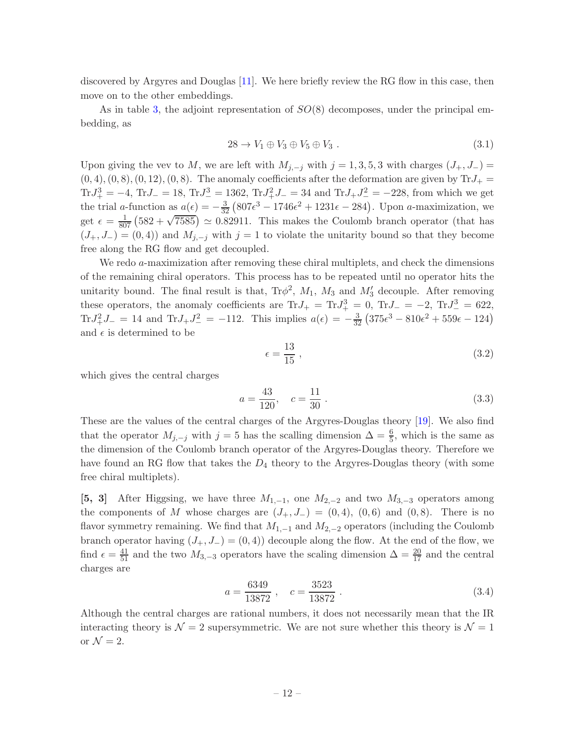discovered by Argyres and Douglas [\[11](#page-43-0)]. We here briefly review the RG flow in this case, then move on to the other embeddings.

As in table [3,](#page-11-1) the adjoint representation of  $SO(8)$  decomposes, under the principal embedding, as

$$
28 \to V_1 \oplus V_3 \oplus V_5 \oplus V_3 . \tag{3.1}
$$

Upon giving the vev to M, we are left with  $M_{j,-j}$  with  $j = 1, 3, 5, 3$  with charges  $(J_+, J_-) =$  $(0, 4), (0, 8), (0, 12), (0, 8).$  The anomaly coefficients after the deformation are given by  $\text{Tr}J_+$  $TrJ_{+}^{3} = -4$ ,  $TrJ_{-} = 18$ ,  $TrJ_{-}^{3} = 1362$ ,  $TrJ_{+}^{2}J_{-} = 34$  and  $TrJ_{+}J_{-}^{2} = -228$ , from which we get the trial a-function as  $a(\epsilon) = -\frac{3}{32} (807\epsilon^3 - 1746\epsilon^2 + 1231\epsilon - 284)$ . Upon a-maximization, we get  $\epsilon = \frac{1}{807} \left(582 + \sqrt{7585}\right) \approx 0.82911$ . This makes the Coulomb branch operator (that has  $(J_+, J_-) = (0, 4)$  and  $M_{j,-j}$  with  $j = 1$  to violate the unitarity bound so that they become free along the RG flow and get decoupled.

We redo  $a$ -maximization after removing these chiral multiplets, and check the dimensions of the remaining chiral operators. This process has to be repeated until no operator hits the unitarity bound. The final result is that,  $Tr\phi^2$ ,  $M_1$ ,  $M_3$  and  $M'_3$  decouple. After removing these operators, the anomaly coefficients are Tr $J_+ = Tr J_+^3 = 0$ , Tr $J_- = -2$ , Tr $J_-^3 = 622$ , Tr $J_+^2 J_- = 14$  and Tr $J_+ J_-^2 = -112$ . This implies  $a(\epsilon) = -\frac{3}{32} (375\epsilon^3 - 810\epsilon^2 + 559\epsilon - 124)$ and  $\epsilon$  is determined to be

$$
\epsilon = \frac{13}{15} \,,\tag{3.2}
$$

which gives the central charges

$$
a = \frac{43}{120}, \quad c = \frac{11}{30} \tag{3.3}
$$

These are the values of the central charges of the Argyres-Douglas theory [\[19](#page-43-6)]. We also find that the operator  $M_{j,-j}$  with  $j=5$  has the scalling dimension  $\Delta = \frac{6}{5}$ , which is the same as the dimension of the Coulomb branch operator of the Argyres-Douglas theory. Therefore we have found an RG flow that takes the  $D_4$  theory to the Argyres-Douglas theory (with some free chiral multiplets).

[5, 3] After Higgsing, we have three  $M_{1,-1}$ , one  $M_{2,-2}$  and two  $M_{3,-3}$  operators among the components of M whose charges are  $(J_+, J_-) = (0, 4)$ ,  $(0, 6)$  and  $(0, 8)$ . There is no flavor symmetry remaining. We find that  $M_{1,-1}$  and  $M_{2,-2}$  operators (including the Coulomb branch operator having  $(J_+, J_-) = (0, 4)$  decouple along the flow. At the end of the flow, we find  $\epsilon = \frac{41}{51}$  and the two  $M_{3,-3}$  operators have the scaling dimension  $\Delta = \frac{20}{17}$  and the central charges are

$$
a = \frac{6349}{13872} , \quad c = \frac{3523}{13872} . \tag{3.4}
$$

Although the central charges are rational numbers, it does not necessarily mean that the IR interacting theory is  $\mathcal{N} = 2$  supersymmetric. We are not sure whether this theory is  $\mathcal{N} = 1$ or  $\mathcal{N}=2$ .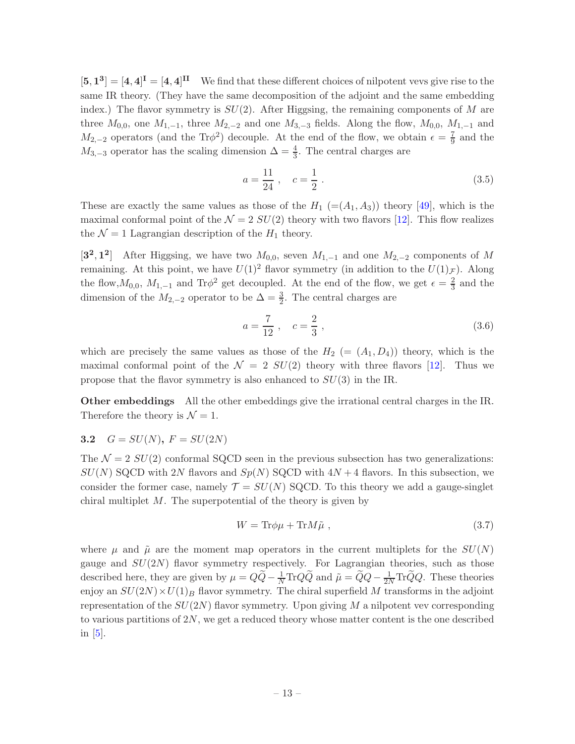$[5,1^3] = [4,4]^{\mathbf{I}} = [4,4]^{\mathbf{II}}$  We find that these different choices of nilpotent vevs give rise to the same IR theory. (They have the same decomposition of the adjoint and the same embedding index.) The flavor symmetry is  $SU(2)$ . After Higgsing, the remaining components of M are three  $M_{0,0}$ , one  $M_{1,-1}$ , three  $M_{2,-2}$  and one  $M_{3,-3}$  fields. Along the flow,  $M_{0,0}$ ,  $M_{1,-1}$  and  $M_{2,-2}$  operators (and the Tr $\phi^2$ ) decouple. At the end of the flow, we obtain  $\epsilon = \frac{7}{9}$  $rac{7}{9}$  and the  $M_{3,-3}$  operator has the scaling dimension  $\Delta = \frac{4}{3}$ . The central charges are

$$
a = \frac{11}{24} , \quad c = \frac{1}{2} . \tag{3.5}
$$

These are exactly the same values as those of the  $H_1$  (=( $A_1$ ,  $A_3$ )) theory [\[49](#page-44-14)], which is the maximal conformal point of the  $\mathcal{N} = 2 SU(2)$  theory with two flavors [\[12\]](#page-43-1). This flow realizes the  $\mathcal{N} = 1$  Lagrangian description of the  $H_1$  theory.

[3<sup>2</sup>, 1<sup>2</sup>] After Higgsing, we have two  $M_{0,0}$ , seven  $M_{1,-1}$  and one  $M_{2,-2}$  components of M remaining. At this point, we have  $U(1)^2$  flavor symmetry (in addition to the  $U(1)_{\mathcal{F}}$ ). Along the flow,  $M_{0,0}$ ,  $M_{1,-1}$  and Tr $\phi^2$  get decoupled. At the end of the flow, we get  $\epsilon = \frac{2}{3}$  $\frac{2}{3}$  and the dimension of the  $M_{2,-2}$  operator to be  $\Delta = \frac{3}{2}$ . The central charges are

$$
a = \frac{7}{12} \ , \quad c = \frac{2}{3} \ , \tag{3.6}
$$

which are precisely the same values as those of the  $H_2 = (A_1, D_4)$  theory, which is the maximal conformal point of the  $\mathcal{N} = 2$   $SU(2)$  theory with three flavors [\[12](#page-43-1)]. Thus we propose that the flavor symmetry is also enhanced to  $SU(3)$  in the IR.

Other embeddings All the other embeddings give the irrational central charges in the IR. Therefore the theory is  $\mathcal{N} = 1$ .

<span id="page-13-0"></span>
$$
3.2 \quad G = SU(N), \ F = SU(2N)
$$

The  $\mathcal{N} = 2 SU(2)$  conformal SQCD seen in the previous subsection has two generalizations:  $SU(N)$  SQCD with 2N flavors and  $Sp(N)$  SQCD with  $4N+4$  flavors. In this subsection, we consider the former case, namely  $\mathcal{T} = SU(N)$  SQCD. To this theory we add a gauge-singlet chiral multiplet  $M$ . The superpotential of the theory is given by

<span id="page-13-1"></span>
$$
W = \text{Tr}\phi\mu + \text{Tr}M\tilde{\mu} \,, \tag{3.7}
$$

where  $\mu$  and  $\tilde{\mu}$  are the moment map operators in the current multiplets for the  $SU(N)$ gauge and  $SU(2N)$  flavor symmetry respectively. For Lagrangian theories, such as those described here, they are given by  $\mu = Q\tilde{Q} - \frac{1}{N} \text{Tr}Q\tilde{Q}$  and  $\tilde{\mu} = \tilde{Q}Q - \frac{1}{2N} \text{Tr}\tilde{Q}Q$ . These theories enjoy an  $SU(2N) \times U(1)_B$  flavor symmetry. The chiral superfield M transforms in the adjoint representation of the  $SU(2N)$  flavor symmetry. Upon giving M a nilpotent vev corresponding to various partitions of  $2N$ , we get a reduced theory whose matter content is the one described in  $[5]$ .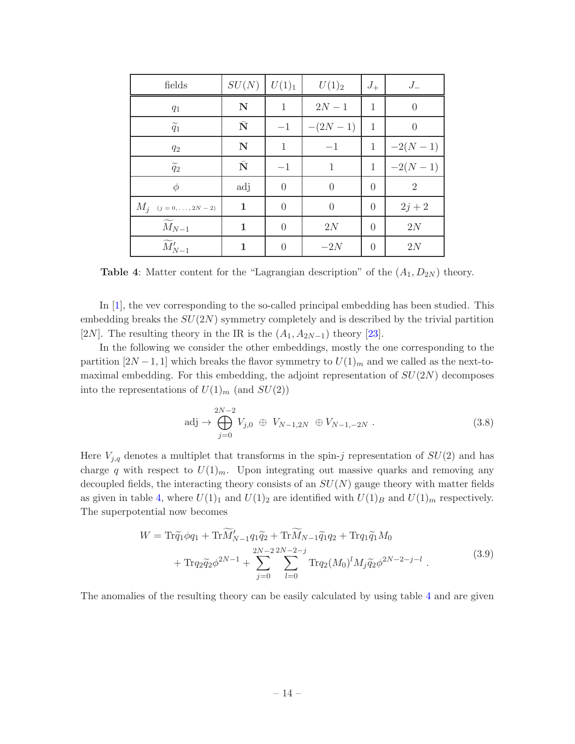<span id="page-14-0"></span>

| fields                          | SU(N)              | $U(1)_1$       | $U(1)_2$       | $J_{+}$        | $J_{-}$   |
|---------------------------------|--------------------|----------------|----------------|----------------|-----------|
| $q_1$                           | $\mathbf N$        | $\mathbf{1}$   | $2N - 1$       | $\mathbf{1}$   | $\theta$  |
| $\widetilde{q}_1$               | $\bar{\mathbf{N}}$ | $-1$           | $-(2N-1)$      | 1              | $\Omega$  |
| $q_{\rm 2}$                     | $\mathbf N$        | $\mathbf{1}$   | $-1$           | $\mathbf 1$    | $-2(N-1)$ |
| $\widetilde{q}_2$               | $\bar{\mathbf{N}}$ | $-1$           | 1              | $\mathbf{1}$   | $-2(N-1)$ |
| $\phi$                          | adj                | $\overline{0}$ | $\Omega$       | $\theta$       | 2         |
| $M_j$ $(j = 0, \ldots, 2N - 2)$ | $\mathbf 1$        | $\overline{0}$ | $\overline{0}$ | $\overline{0}$ | $2j + 2$  |
| $\widetilde{M}_{N-1}$           | 1                  | $\overline{0}$ | 2N             | $\overline{0}$ | 2N        |
| $\widetilde{M}_{N-1}'$          | 1                  | $\theta$       | $-2N$          | $\overline{0}$ | 2N        |

**Table 4:** Matter content for the "Lagrangian description" of the  $(A_1, D_{2N})$  theory.

In [\[1\]](#page-42-0), the vev corresponding to the so-called principal embedding has been studied. This embedding breaks the  $SU(2N)$  symmetry completely and is described by the trivial partition [2N]. The resulting theory in the IR is the  $(A_1, A_{2N-1})$  theory [\[23\]](#page-43-13).

In the following we consider the other embeddings, mostly the one corresponding to the partition  $[2N-1,1]$  which breaks the flavor symmetry to  $U(1)_m$  and we called as the next-tomaximal embedding. For this embedding, the adjoint representation of  $SU(2N)$  decomposes into the representations of  $U(1)_m$  (and  $SU(2)$ )

$$
\text{adj} \to \bigoplus_{j=0}^{2N-2} V_{j,0} \oplus V_{N-1,2N} \oplus V_{N-1,-2N} . \tag{3.8}
$$

Here  $V_{j,q}$  denotes a multiplet that transforms in the spin-j representation of  $SU(2)$  and has charge q with respect to  $U(1)<sub>m</sub>$ . Upon integrating out massive quarks and removing any decoupled fields, the interacting theory consists of an  $SU(N)$  gauge theory with matter fields as given in table [4,](#page-14-0) where  $U(1)_1$  and  $U(1)_2$  are identified with  $U(1)_B$  and  $U(1)_m$  respectively. The superpotential now becomes

$$
W = \text{Tr}\widetilde{q}_1 \phi q_1 + \text{Tr}\widetilde{M}_{N-1}' q_1 \widetilde{q}_2 + \text{Tr}\widetilde{M}_{N-1} \widetilde{q}_1 q_2 + \text{Tr}q_1 \widetilde{q}_1 M_0 + \text{Tr}q_2 \widetilde{q}_2 \phi^{2N-1} + \sum_{j=0}^{2N-2} \sum_{l=0}^{2N-2-j} \text{Tr}q_2 (M_0)^l M_j \widetilde{q}_2 \phi^{2N-2-j-l}
$$
(3.9)

The anomalies of the resulting theory can be easily calculated by using table [4](#page-14-0) and are given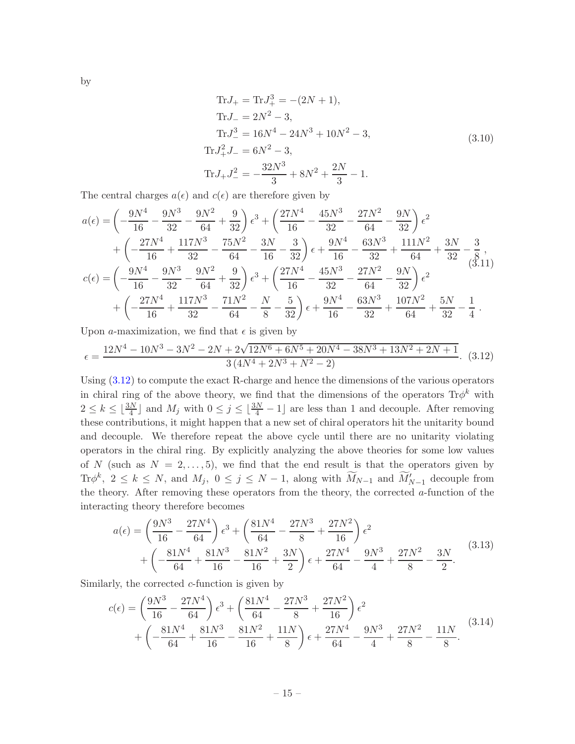by

$$
\text{Tr}J_{+} = \text{Tr}J_{+}^{3} = -(2N+1),
$$
\n
$$
\text{Tr}J_{-} = 2N^{2} - 3,
$$
\n
$$
\text{Tr}J_{-}^{3} = 16N^{4} - 24N^{3} + 10N^{2} - 3,
$$
\n
$$
\text{Tr}J_{+}^{2}J_{-} = 6N^{2} - 3,
$$
\n
$$
\text{Tr}J_{+}J_{-}^{2} = -\frac{32N^{3}}{3} + 8N^{2} + \frac{2N}{3} - 1.
$$
\n(3.10)

The central charges  $a(\epsilon)$  and  $c(\epsilon)$  are therefore given by

$$
a(\epsilon) = \left(-\frac{9N^4}{16} - \frac{9N^3}{32} - \frac{9N^2}{64} + \frac{9}{32}\right)\epsilon^3 + \left(\frac{27N^4}{16} - \frac{45N^3}{32} - \frac{27N^2}{64} - \frac{9N}{32}\right)\epsilon^2
$$
  
+ 
$$
\left(-\frac{27N^4}{16} + \frac{117N^3}{32} - \frac{75N^2}{64} - \frac{3N}{16} - \frac{3}{32}\right)\epsilon + \frac{9N^4}{16} - \frac{63N^3}{32} + \frac{111N^2}{64} + \frac{3N}{32} - \frac{3}{8},
$$
  

$$
c(\epsilon) = \left(-\frac{9N^4}{16} - \frac{9N^3}{32} - \frac{9N^2}{64} + \frac{9}{32}\right)\epsilon^3 + \left(\frac{27N^4}{16} - \frac{45N^3}{32} - \frac{27N^2}{64} - \frac{9N}{32}\right)\epsilon^2
$$
  
+ 
$$
\left(-\frac{27N^4}{16} + \frac{117N^3}{32} - \frac{71N^2}{64} - \frac{N}{8} - \frac{5}{32}\right)\epsilon + \frac{9N^4}{16} - \frac{63N^3}{32} + \frac{107N^2}{64} + \frac{5N}{32} - \frac{1}{4}.
$$

Upon a-maximization, we find that  $\epsilon$  is given by

<span id="page-15-0"></span>
$$
\epsilon = \frac{12N^4 - 10N^3 - 3N^2 - 2N + 2\sqrt{12N^6 + 6N^5 + 20N^4 - 38N^3 + 13N^2 + 2N + 1}}{3(4N^4 + 2N^3 + N^2 - 2)}.\tag{3.12}
$$

Using [\(3.12\)](#page-15-0) to compute the exact R-charge and hence the dimensions of the various operators in chiral ring of the above theory, we find that the dimensions of the operators  $\text{Tr}\phi^k$  with  $2 \leq k \leq \lfloor \frac{3N}{4} \rfloor$  and  $M_j$  with  $0 \leq j \leq \lfloor \frac{3N}{4} - 1 \rfloor$  are less than 1 and decouple. After removing these contributions, it might happen that a new set of chiral operators hit the unitarity bound and decouple. We therefore repeat the above cycle until there are no unitarity violating operators in the chiral ring. By explicitly analyzing the above theories for some low values of N (such as  $N = 2, \ldots, 5$ ), we find that the end result is that the operators given by Tr $\phi^k$ ,  $2 \leq k \leq N$ , and  $M_j$ ,  $0 \leq j \leq N-1$ , along with  $M_{N-1}$  and  $M'_{N-1}$  decouple from the theory. After removing these operators from the theory, the corrected  $a$ -function of the interacting theory therefore becomes

<span id="page-15-1"></span>
$$
a(\epsilon) = \left(\frac{9N^3}{16} - \frac{27N^4}{64}\right)\epsilon^3 + \left(\frac{81N^4}{64} - \frac{27N^3}{8} + \frac{27N^2}{16}\right)\epsilon^2 + \left(-\frac{81N^4}{64} + \frac{81N^3}{16} - \frac{81N^2}{16} + \frac{3N}{2}\right)\epsilon + \frac{27N^4}{64} - \frac{9N^3}{4} + \frac{27N^2}{8} - \frac{3N}{2}.
$$
 (3.13)

Similarly, the corrected  $c$ -function is given by

<span id="page-15-2"></span>
$$
c(\epsilon) = \left(\frac{9N^3}{16} - \frac{27N^4}{64}\right)\epsilon^3 + \left(\frac{81N^4}{64} - \frac{27N^3}{8} + \frac{27N^2}{16}\right)\epsilon^2 + \left(-\frac{81N^4}{64} + \frac{81N^3}{16} - \frac{81N^2}{16} + \frac{11N}{8}\right)\epsilon + \frac{27N^4}{64} - \frac{9N^3}{4} + \frac{27N^2}{8} - \frac{11N}{8}.\tag{3.14}
$$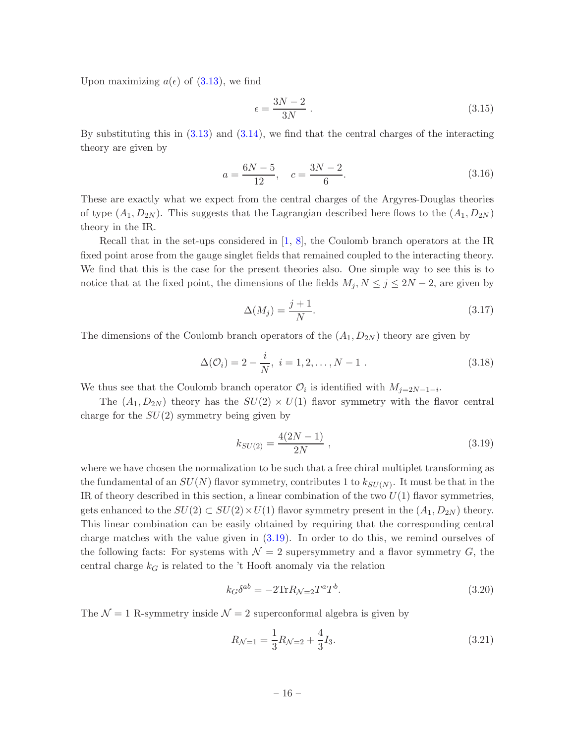Upon maximizing  $a(\epsilon)$  of  $(3.13)$ , we find

<span id="page-16-1"></span>
$$
\epsilon = \frac{3N - 2}{3N} \tag{3.15}
$$

By substituting this in  $(3.13)$  and  $(3.14)$ , we find that the central charges of the interacting theory are given by

$$
a = \frac{6N - 5}{12}, \quad c = \frac{3N - 2}{6}.
$$
\n(3.16)

These are exactly what we expect from the central charges of the Argyres-Douglas theories of type  $(A_1, D_{2N})$ . This suggests that the Lagrangian described here flows to the  $(A_1, D_{2N})$ theory in the IR.

Recall that in the set-ups considered in  $[1, 8]$  $[1, 8]$ , the Coulomb branch operators at the IR fixed point arose from the gauge singlet fields that remained coupled to the interacting theory. We find that this is the case for the present theories also. One simple way to see this is to notice that at the fixed point, the dimensions of the fields  $M_j$ ,  $N \leq j \leq 2N-2$ , are given by

$$
\Delta(M_j) = \frac{j+1}{N}.\tag{3.17}
$$

The dimensions of the Coulomb branch operators of the  $(A_1, D_{2N})$  theory are given by

$$
\Delta(\mathcal{O}_i) = 2 - \frac{i}{N}, \ i = 1, 2, \dots, N - 1 \ . \tag{3.18}
$$

We thus see that the Coulomb branch operator  $\mathcal{O}_i$  is identified with  $M_{j=2N-1-i}$ .

The  $(A_1, D_{2N})$  theory has the  $SU(2) \times U(1)$  flavor symmetry with the flavor central charge for the  $SU(2)$  symmetry being given by

<span id="page-16-0"></span>
$$
k_{SU(2)} = \frac{4(2N-1)}{2N} \t{,} \t(3.19)
$$

where we have chosen the normalization to be such that a free chiral multiplet transforming as the fundamental of an  $SU(N)$  flavor symmetry, contributes 1 to  $k_{SU(N)}$ . It must be that in the IR of theory described in this section, a linear combination of the two  $U(1)$  flavor symmetries, gets enhanced to the  $SU(2) \subset SU(2) \times U(1)$  flavor symmetry present in the  $(A_1, D_{2N})$  theory. This linear combination can be easily obtained by requiring that the corresponding central charge matches with the value given in [\(3.19\)](#page-16-0). In order to do this, we remind ourselves of the following facts: For systems with  $\mathcal{N}=2$  supersymmetry and a flavor symmetry G, the central charge  $k_G$  is related to the 't Hooft anomaly via the relation

$$
k_G \delta^{ab} = -2 \text{Tr} R_{\mathcal{N}=2} T^a T^b. \tag{3.20}
$$

The  $\mathcal{N} = 1$  R-symmetry inside  $\mathcal{N} = 2$  superconformal algebra is given by

$$
R_{\mathcal{N}=1} = \frac{1}{3}R_{\mathcal{N}=2} + \frac{4}{3}I_3. \tag{3.21}
$$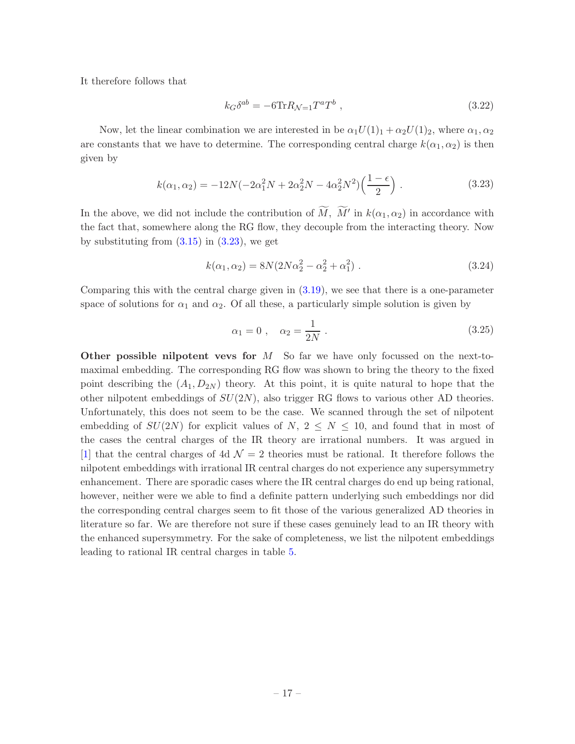It therefore follows that

<span id="page-17-1"></span>
$$
k_G \delta^{ab} = -6 \text{Tr} R_{\mathcal{N}=1} T^a T^b \tag{3.22}
$$

Now, let the linear combination we are interested in be  $\alpha_1U(1)_1 + \alpha_2U(1)_2$ , where  $\alpha_1, \alpha_2$ are constants that we have to determine. The corresponding central charge  $k(\alpha_1, \alpha_2)$  is then given by

<span id="page-17-0"></span>
$$
k(\alpha_1, \alpha_2) = -12N(-2\alpha_1^2 N + 2\alpha_2^2 N - 4\alpha_2^2 N^2) \left(\frac{1 - \epsilon}{2}\right).
$$
 (3.23)

In the above, we did not include the contribution of  $\widetilde{M}$ ,  $\widetilde{M}'$  in  $k(\alpha_1, \alpha_2)$  in accordance with the fact that, somewhere along the RG flow, they decouple from the interacting theory. Now by substituting from  $(3.15)$  in  $(3.23)$ , we get

$$
k(\alpha_1, \alpha_2) = 8N(2N\alpha_2^2 - \alpha_2^2 + \alpha_1^2) \tag{3.24}
$$

Comparing this with the central charge given in [\(3.19\)](#page-16-0), we see that there is a one-parameter space of solutions for  $\alpha_1$  and  $\alpha_2$ . Of all these, a particularly simple solution is given by

<span id="page-17-2"></span>
$$
\alpha_1 = 0 \;, \quad \alpha_2 = \frac{1}{2N} \; . \tag{3.25}
$$

Other possible nilpotent vevs for  $M$  So far we have only focussed on the next-tomaximal embedding. The corresponding RG flow was shown to bring the theory to the fixed point describing the  $(A_1, D_{2N})$  theory. At this point, it is quite natural to hope that the other nilpotent embeddings of  $SU(2N)$ , also trigger RG flows to various other AD theories. Unfortunately, this does not seem to be the case. We scanned through the set of nilpotent embedding of  $SU(2N)$  for explicit values of  $N, 2 \leq N \leq 10$ , and found that in most of the cases the central charges of the IR theory are irrational numbers. It was argued in [\[1](#page-42-0)] that the central charges of 4d  $\mathcal{N}=2$  theories must be rational. It therefore follows the nilpotent embeddings with irrational IR central charges do not experience any supersymmetry enhancement. There are sporadic cases where the IR central charges do end up being rational, however, neither were we able to find a definite pattern underlying such embeddings nor did the corresponding central charges seem to fit those of the various generalized AD theories in literature so far. We are therefore not sure if these cases genuinely lead to an IR theory with the enhanced supersymmetry. For the sake of completeness, we list the nilpotent embeddings leading to rational IR central charges in table [5.](#page-18-0)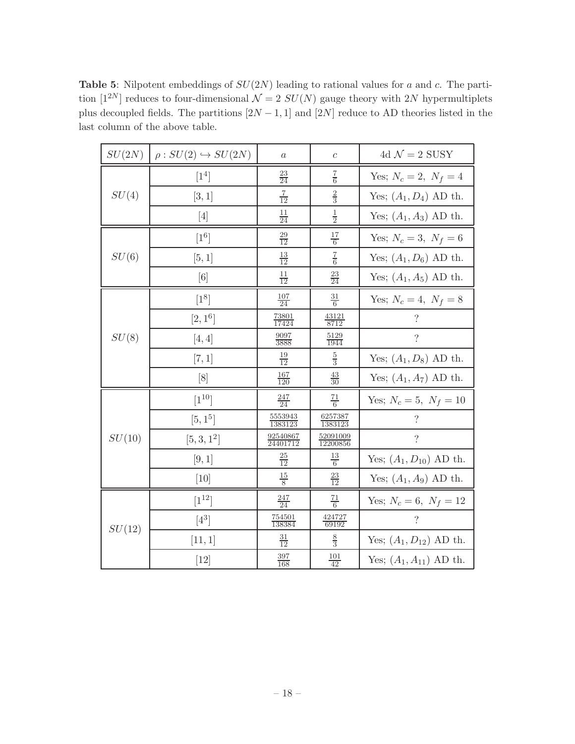<span id="page-18-0"></span>**Table 5:** Nilpotent embeddings of  $SU(2N)$  leading to rational values for a and c. The partition  $[1^{2N}]$  reduces to four-dimensional  $\mathcal{N}=2$   $SU(N)$  gauge theory with 2N hypermultiplets plus decoupled fields. The partitions  $[2N-1, 1]$  and  $[2N]$  reduce to AD theories listed in the last column of the above table.

| SU(2N) | $\rho: SU(2) \hookrightarrow SU(2N)$ | $\boldsymbol{a}$            | $\mathcal{C}$               | 4d $\mathcal{N}=2$ SUSY     |
|--------|--------------------------------------|-----------------------------|-----------------------------|-----------------------------|
|        | $\lceil 1^4 \rceil$                  | $\frac{23}{24}$             | $\frac{7}{6}$               | Yes; $N_c = 2, N_f = 4$     |
| SU(4)  | [3, 1]                               | $rac{7}{12}$                | $\frac{2}{3}$               | Yes; $(A_1, D_4)$ AD th.    |
|        | $[4]$                                | $\frac{11}{24}$             | $\frac{1}{2}$               | Yes; $(A_1, A_3)$ AD th.    |
|        | $[1^6]$                              | $\frac{29}{12}$             | $\frac{17}{6}$              | Yes; $N_c = 3, N_f = 6$     |
| SU(6)  | [5, 1]                               | $\frac{13}{12}$             | $rac{7}{6}$                 | Yes; $(A_1, D_6)$ AD th.    |
|        | [6]                                  | $\frac{11}{12}$             | $\frac{23}{24}$             | Yes; $(A_1, A_5)$ AD th.    |
|        | $[1^8]$                              | $\frac{107}{24}$            | $\frac{31}{6}$              | Yes; $N_c = 4, N_f = 8$     |
|        | $[2, 1^6]$                           | $\frac{73801}{17424}$       | $\frac{43121}{8712}$        | $\overline{\mathcal{L}}$    |
| SU(8)  | [4,4]                                | $\frac{9097}{3888}$         | $\frac{5129}{1944}$         | $\overline{\mathcal{L}}$    |
|        | [7, 1]                               | $\frac{19}{12}$             | $\frac{5}{3}$               | Yes; $(A_1, D_8)$ AD th.    |
|        | [8]                                  | $\frac{167}{120}$           | $\frac{43}{30}$             | Yes; $(A_1, A_7)$ AD th.    |
|        | $[1^{10}]$                           | $\frac{247}{24}$            | $\frac{71}{6}$              | Yes; $N_c = 5, N_f = 10$    |
|        | $[5, 1^5]$                           | $\frac{5553943}{1383123}$   | 6257387<br>1383123          | $\overline{\mathcal{L}}$    |
| SU(10) | $[5, 3, 1^2]$                        | $\frac{92540867}{24401712}$ | $\frac{52091009}{12200856}$ | $\overline{\cdot}$          |
|        | [9, 1]                               | $\frac{25}{12}$             | $\frac{13}{6}$              | Yes; $(A_1, D_{10})$ AD th. |
|        | [10]                                 | $rac{15}{8}$                | $\frac{23}{12}$             | Yes; $(A_1, A_9)$ AD th.    |
|        | $[1^{12}]$                           | $\frac{247}{24}$            | $\frac{71}{6}$              | Yes; $N_c = 6, N_f = 12$    |
| SU(12) | $[4^3]$                              | $\frac{754501}{138384}$     | $\frac{424727}{69192}$      | $\overline{\mathcal{L}}$    |
|        | [11, 1]                              | $\frac{31}{12}$             | $\frac{8}{3}$               | Yes; $(A_1, D_{12})$ AD th. |
|        | $[12]$                               | $\frac{397}{168}$           | $\frac{101}{42}$            | Yes; $(A_1, A_{11})$ AD th. |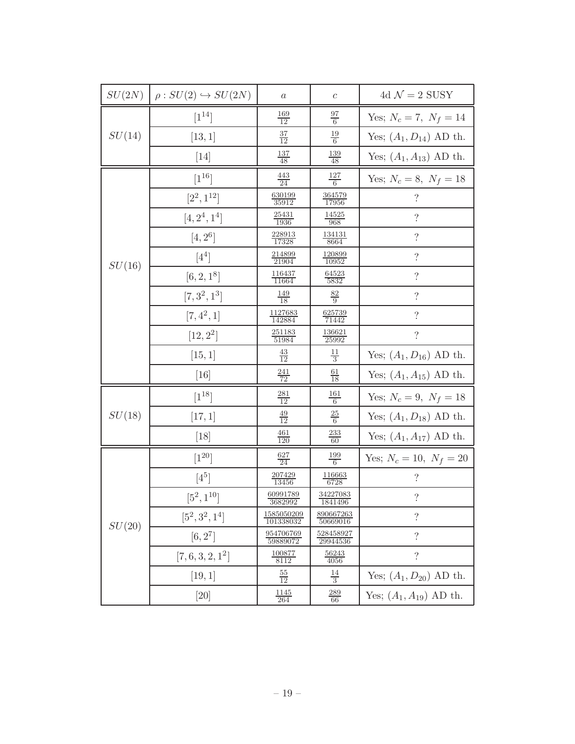|        | $SU(2N)$ $\rho : SU(2) \hookrightarrow SU(2N)$ | $\boldsymbol{a}$         | $\boldsymbol{c}$             | 4d $\mathcal{N}=2$ SUSY     |
|--------|------------------------------------------------|--------------------------|------------------------------|-----------------------------|
|        | $[1^{14}]$                                     | $\frac{169}{12}$         | $\frac{97}{6}$               | Yes; $N_c = 7$ , $N_f = 14$ |
| SU(14) | [13, 1]                                        | $\frac{37}{12}$          | $\frac{19}{6}$               | Yes; $(A_1, D_{14})$ AD th. |
|        | $[14]$                                         | $\frac{137}{48}$         | $\frac{139}{48}$             | Yes; $(A_1, A_{13})$ AD th. |
|        | $\lceil 1^{16} \rceil$                         | $\frac{443}{24}$         | $\frac{127}{6}$              | Yes; $N_c = 8, N_f = 18$    |
|        | $[2^2, 1^{12}]$                                | $\frac{630199}{35912}$   | $\frac{364579}{17956}$       | $\overline{\mathcal{L}}$    |
|        | $[4, 2^4, 1^4]$                                | $\frac{25431}{1936}$     | $\frac{14525}{968}$          | $\overline{\mathcal{L}}$    |
|        | $[4, 2^6]$                                     | $\frac{228913}{17328}$   | $\frac{134131}{8664}$        | $\overline{\mathcal{L}}$    |
| SU(16) | $[4^4]$                                        | $\frac{214899}{21904}$   | $\frac{120899}{10952}$       | $\ddot{?}$                  |
|        | $[6, 2, 1^8]$                                  | $\frac{116437}{11664}$   | $\frac{64523}{5832}$         | $\overline{\mathcal{L}}$    |
|        | $[7, 3^2, 1^3]$                                | $\frac{149}{18}$         | $\frac{82}{9}$               | $\overline{\mathcal{L}}$    |
|        | $[7, 4^2, 1]$                                  | $\frac{1127683}{142884}$ | $\frac{625739}{71442}$       | $\overline{\mathcal{L}}$    |
|        | $[12, 2^2]$                                    | $\frac{251183}{51984}$   | $\frac{136621}{25992}$       | $\overline{\mathcal{L}}$    |
|        | [15, 1]                                        | $\frac{43}{12}$          | $\frac{11}{3}$               | Yes; $(A_1, D_{16})$ AD th. |
|        | $[16]$                                         | $\frac{241}{72}$         | $\frac{61}{18}$              | Yes; $(A_1, A_{15})$ AD th. |
|        | $[1^{18}]$                                     | $\frac{281}{12}$         | $\frac{161}{6}$              | Yes; $N_c = 9$ , $N_f = 18$ |
| SU(18) | [17, 1]                                        | $\frac{49}{12}$          | $\frac{25}{6}$               | Yes; $(A_1, D_{18})$ AD th. |
|        | $[18]$                                         | $\frac{461}{120}$        | $\frac{233}{60}$             | Yes; $(A_1, A_{17})$ AD th. |
|        | $[1^{20}]$                                     | $\frac{627}{24}$         | $\frac{199}{6}$              | Yes; $N_c = 10, N_f = 20$   |
|        | $[4^5]$                                        | $\frac{207429}{13456}$   | $\frac{116663}{6728}$        | $\ddot{?}$                  |
|        | $[5^2, 1^{10}]$                                | 60991789<br>3682992      | $\frac{34227083}{1841496}$   | $\overline{\mathcal{L}}$    |
| SU(20) | $[5^2, 3^2, 1^4]$                              | 1585050209<br>101338032  | 890667263<br>50669016        | $\overline{\mathcal{L}}$    |
|        | $[6, 2^7]$                                     | 954706769<br>59889072    | <u>528458927</u><br>29944536 | $\overline{\mathcal{L}}$    |
|        | $[7, 6, 3, 2, 1^2]$                            | <u> 100877</u><br>8112   | <u>56243</u><br>4056         | $\overline{\mathcal{L}}$    |
|        | [19, 1]                                        | $\frac{55}{12}$          | $\frac{14}{3}$               | Yes; $(A_1, D_{20})$ AD th. |
|        | [20]                                           | <u> 1145</u><br>264      | <u> 289</u><br>66            | Yes; $(A_1, A_{19})$ AD th. |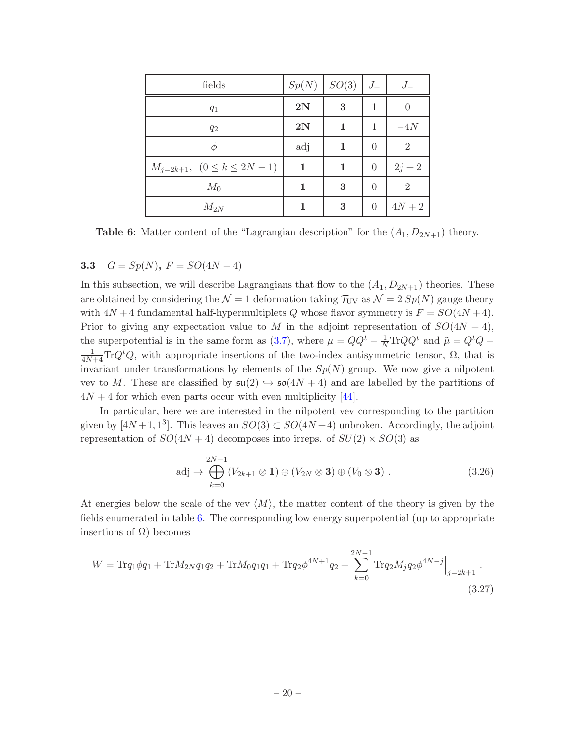<span id="page-20-1"></span>

| fields                              | Sp(N) | SO(3) | $J_{+}$        | $J_{-}$        |
|-------------------------------------|-------|-------|----------------|----------------|
| $q_1$                               | 2N    | 3     | 1              |                |
| $q_2$                               | 2N    | 1     | 1              | $-4N$          |
| Ф                                   | adj   | 1     | $\theta$       | $\overline{2}$ |
| $M_{j=2k+1}$ , $(0 \le k \le 2N-1)$ | 1     | 1     | $\overline{0}$ | $2j + 2$       |
| $M_0$                               | 1     | 3     | $\theta$       | $\overline{2}$ |
| $M_{2N}$                            |       | 3     | $\theta$       | $4N+2$         |

**Table 6:** Matter content of the "Lagrangian description" for the  $(A_1, D_{2N+1})$  theory.

# <span id="page-20-0"></span>3.3  $G = Sp(N), F = SO(4N + 4)$

In this subsection, we will describe Lagrangians that flow to the  $(A_1, D_{2N+1})$  theories. These are obtained by considering the  $\mathcal{N} = 1$  deformation taking  $\mathcal{T}_{UV}$  as  $\mathcal{N} = 2 Sp(N)$  gauge theory with  $4N + 4$  fundamental half-hypermultiplets Q whose flavor symmetry is  $F = SO(4N + 4)$ . Prior to giving any expectation value to M in the adjoint representation of  $SO(4N + 4)$ , the superpotential is in the same form as [\(3.7\)](#page-13-1), where  $\mu = QQ^t - \frac{1}{N} \text{Tr}QQ^t$  and  $\tilde{\mu} = Q^t Q$  –  $\frac{1}{4N+4}\text{Tr}Q^{t}Q$ , with appropriate insertions of the two-index antisymmetric tensor,  $\Omega$ , that is invariant under transformations by elements of the  $Sp(N)$  group. We now give a nilpotent vev to M. These are classified by  $\mathfrak{su}(2) \hookrightarrow \mathfrak{so}(4N+4)$  and are labelled by the partitions of  $4N + 4$  for which even parts occur with even multiplicity [\[44\]](#page-44-11).

In particular, here we are interested in the nilpotent vev corresponding to the partition given by  $[4N+1, 1^3]$ . This leaves an  $SO(3) \subset SO(4N+4)$  unbroken. Accordingly, the adjoint representation of  $SO(4N + 4)$  decomposes into irreps. of  $SU(2) \times SO(3)$  as

$$
\text{adj} \to \bigoplus_{k=0}^{2N-1} (V_{2k+1} \otimes \mathbf{1}) \oplus (V_{2N} \otimes \mathbf{3}) \oplus (V_0 \otimes \mathbf{3}) . \tag{3.26}
$$

At energies below the scale of the vev  $\langle M \rangle$ , the matter content of the theory is given by the fields enumerated in table [6.](#page-20-1) The corresponding low energy superpotential (up to appropriate insertions of  $Ω$ ) becomes

$$
W = \text{Tr}q_1 \phi q_1 + \text{Tr}M_{2N}q_1 q_2 + \text{Tr}M_{0}q_1 q_1 + \text{Tr}q_2 \phi^{4N+1} q_2 + \sum_{k=0}^{2N-1} \text{Tr}q_2 M_j q_2 \phi^{4N-j} \Big|_{j=2k+1}.
$$
\n(3.27)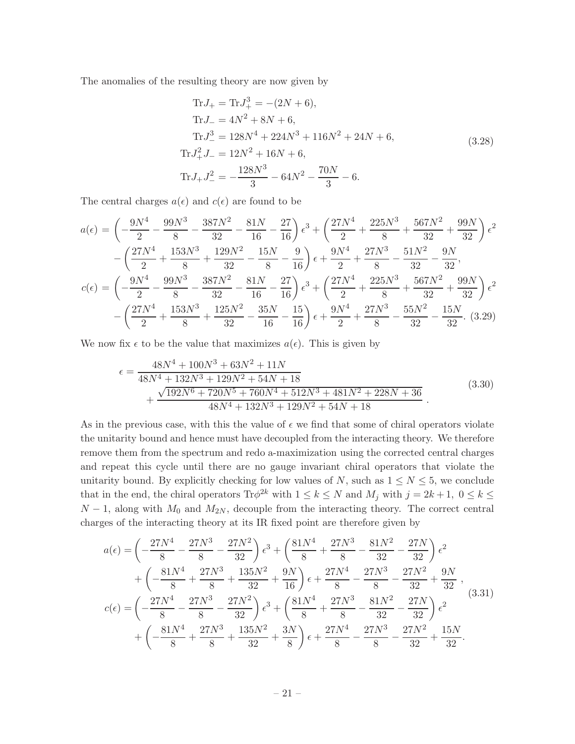The anomalies of the resulting theory are now given by

Tr
$$
J_{+}
$$
 = Tr $J_{+}^{3}$  = -(2N + 6),  
\nTr $J_{-}$  = 4N<sup>2</sup> + 8N + 6,  
\nTr $J_{-}^{3}$  = 128N<sup>4</sup> + 224N<sup>3</sup> + 116N<sup>2</sup> + 24N + 6,  
\nTr $J_{+}^{2}J_{-}$  = 12N<sup>2</sup> + 16N + 6,  
\nTr $J_{+}J_{-}^{2}$  =  $-\frac{128N^{3}}{3} - 64N^{2} - \frac{70N}{3} - 6$ . (3.28)

The central charges  $a(\epsilon)$  and  $c(\epsilon)$  are found to be

$$
a(\epsilon) = \left(-\frac{9N^4}{2} - \frac{99N^3}{8} - \frac{387N^2}{32} - \frac{81N}{16} - \frac{27}{16}\right)\epsilon^3 + \left(\frac{27N^4}{2} + \frac{225N^3}{8} + \frac{567N^2}{32} + \frac{99N}{32}\right)\epsilon^2
$$

$$
-\left(\frac{27N^4}{2} + \frac{153N^3}{8} + \frac{129N^2}{32} - \frac{15N}{8} - \frac{9}{16}\right)\epsilon + \frac{9N^4}{2} + \frac{27N^3}{8} - \frac{51N^2}{32} - \frac{9N}{32},
$$

$$
c(\epsilon) = \left(-\frac{9N^4}{2} - \frac{99N^3}{8} - \frac{387N^2}{32} - \frac{81N}{16} - \frac{27}{16}\right)\epsilon^3 + \left(\frac{27N^4}{2} + \frac{225N^3}{8} + \frac{567N^2}{32} + \frac{99N}{32}\right)\epsilon^2
$$

$$
-\left(\frac{27N^4}{2} + \frac{153N^3}{8} + \frac{125N^2}{32} - \frac{35N}{16} - \frac{15}{16}\right)\epsilon + \frac{9N^4}{2} + \frac{27N^3}{8} - \frac{55N^2}{32} - \frac{15N}{32}.\tag{3.29}
$$

We now fix  $\epsilon$  to be the value that maximizes  $a(\epsilon)$ . This is given by

$$
\epsilon = \frac{48N^4 + 100N^3 + 63N^2 + 11N}{48N^4 + 132N^3 + 129N^2 + 54N + 18} + \frac{\sqrt{192N^6 + 720N^5 + 760N^4 + 512N^3 + 481N^2 + 228N + 36}}{48N^4 + 132N^3 + 129N^2 + 54N + 18}.
$$
\n(3.30)

As in the previous case, with this the value of  $\epsilon$  we find that some of chiral operators violate the unitarity bound and hence must have decoupled from the interacting theory. We therefore remove them from the spectrum and redo a-maximization using the corrected central charges and repeat this cycle until there are no gauge invariant chiral operators that violate the unitarity bound. By explicitly checking for low values of N, such as  $1 \leq N \leq 5$ , we conclude that in the end, the chiral operators  $\text{Tr}\phi^{2k}$  with  $1 \leq k \leq N$  and  $M_j$  with  $j = 2k + 1$ ,  $0 \leq k \leq$  $N-1$ , along with  $M_0$  and  $M_{2N}$ , decouple from the interacting theory. The correct central charges of the interacting theory at its IR fixed point are therefore given by

<span id="page-21-0"></span>
$$
a(\epsilon) = \left(-\frac{27N^4}{8} - \frac{27N^3}{8} - \frac{27N^2}{32}\right)\epsilon^3 + \left(\frac{81N^4}{8} + \frac{27N^3}{8} - \frac{81N^2}{32} - \frac{27N}{32}\right)\epsilon^2 + \left(-\frac{81N^4}{8} + \frac{27N^3}{8} + \frac{135N^2}{32} + \frac{9N}{16}\right)\epsilon + \frac{27N^4}{8} - \frac{27N^3}{8} - \frac{27N^2}{32} + \frac{9N}{32},
$$
  

$$
c(\epsilon) = \left(-\frac{27N^4}{8} - \frac{27N^3}{8} - \frac{27N^2}{32}\right)\epsilon^3 + \left(\frac{81N^4}{8} + \frac{27N^3}{8} - \frac{81N^2}{32} - \frac{27N}{32}\right)\epsilon^2 + \left(-\frac{81N^4}{8} + \frac{27N^3}{8} + \frac{135N^2}{32} + \frac{3N}{8}\right)\epsilon + \frac{27N^4}{8} - \frac{27N^3}{8} - \frac{27N^2}{32} + \frac{15N}{32}.
$$
 (3.31)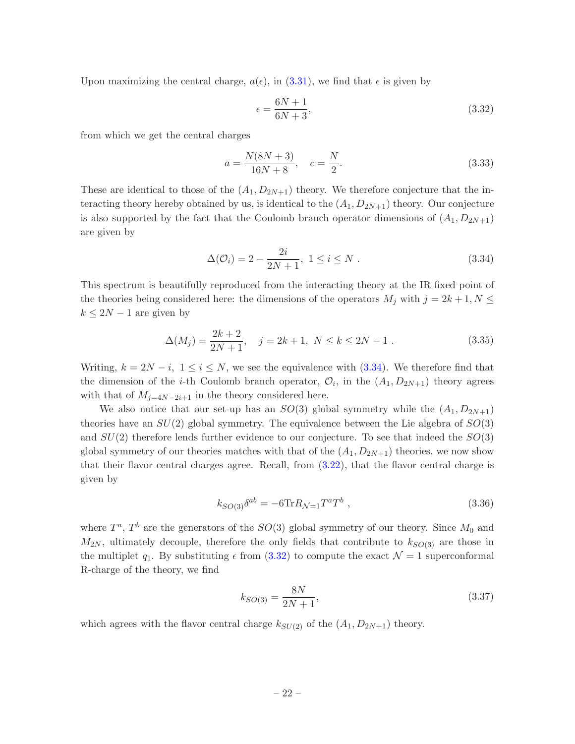Upon maximizing the central charge,  $a(\epsilon)$ , in [\(3.31\)](#page-21-0), we find that  $\epsilon$  is given by

<span id="page-22-1"></span>
$$
\epsilon = \frac{6N+1}{6N+3},\tag{3.32}
$$

from which we get the central charges

$$
a = \frac{N(8N+3)}{16N+8}, \quad c = \frac{N}{2}.
$$
\n(3.33)

These are identical to those of the  $(A_1, D_{2N+1})$  theory. We therefore conjecture that the interacting theory hereby obtained by us, is identical to the  $(A_1, D_{2N+1})$  theory. Our conjecture is also supported by the fact that the Coulomb branch operator dimensions of  $(A_1, D_{2N+1})$ are given by

<span id="page-22-0"></span>
$$
\Delta(\mathcal{O}_i) = 2 - \frac{2i}{2N+1}, \ 1 \le i \le N \ . \tag{3.34}
$$

This spectrum is beautifully reproduced from the interacting theory at the IR fixed point of the theories being considered here: the dimensions of the operators  $M_j$  with  $j = 2k + 1, N \leq$  $k \leq 2N-1$  are given by

$$
\Delta(M_j) = \frac{2k+2}{2N+1}, \quad j = 2k+1, \ N \le k \le 2N-1.
$$
\n(3.35)

Writing,  $k = 2N - i$ ,  $1 \le i \le N$ , we see the equivalence with [\(3.34\)](#page-22-0). We therefore find that the dimension of the *i*-th Coulomb branch operator,  $\mathcal{O}_i$ , in the  $(A_1, D_{2N+1})$  theory agrees with that of  $M_{j=4N-2i+1}$  in the theory considered here.

We also notice that our set-up has an  $SO(3)$  global symmetry while the  $(A_1, D_{2N+1})$ theories have an  $SU(2)$  global symmetry. The equivalence between the Lie algebra of  $SO(3)$ and  $SU(2)$  therefore lends further evidence to our conjecture. To see that indeed the  $SO(3)$ global symmetry of our theories matches with that of the  $(A_1, D_{2N+1})$  theories, we now show that their flavor central charges agree. Recall, from [\(3.22\)](#page-17-1), that the flavor central charge is given by

$$
k_{SO(3)}\delta^{ab} = -6 \text{Tr} R_{\mathcal{N}=1} T^a T^b , \qquad (3.36)
$$

where  $T^a$ ,  $T^b$  are the generators of the  $SO(3)$  global symmetry of our theory. Since  $M_0$  and  $M_{2N}$ , ultimately decouple, therefore the only fields that contribute to  $k_{SO(3)}$  are those in the multiplet  $q_1$ . By substituting  $\epsilon$  from  $(3.32)$  to compute the exact  $\mathcal{N}=1$  superconformal R-charge of the theory, we find

$$
k_{SO(3)} = \frac{8N}{2N+1},\tag{3.37}
$$

which agrees with the flavor central charge  $k_{SU(2)}$  of the  $(A_1, D_{2N+1})$  theory.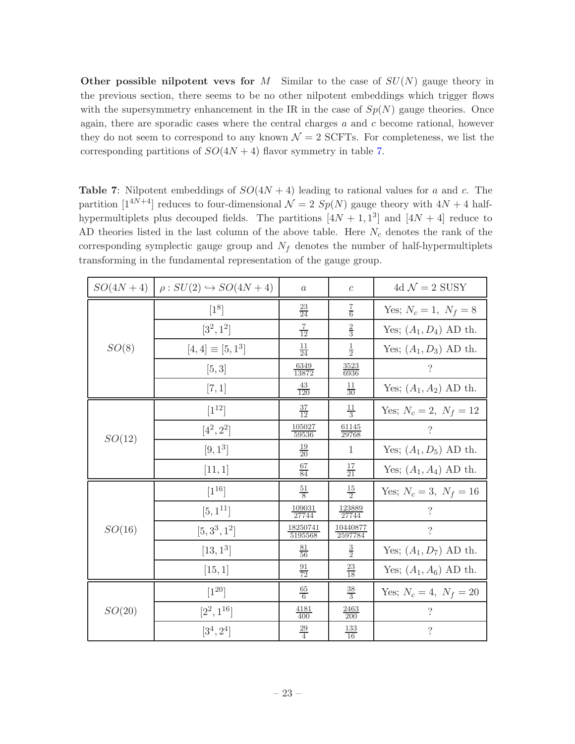Other possible nilpotent vevs for M Similar to the case of  $SU(N)$  gauge theory in the previous section, there seems to be no other nilpotent embeddings which trigger flows with the supersymmetry enhancement in the IR in the case of  $Sp(N)$  gauge theories. Once again, there are sporadic cases where the central charges  $a$  and  $c$  become rational, however they do not seem to correspond to any known  $\mathcal{N}=2$  SCFTs. For completeness, we list the corresponding partitions of  $SO(4N + 4)$  flavor symmetry in table [7.](#page-23-0)

<span id="page-23-0"></span>**Table 7:** Nilpotent embeddings of  $SO(4N + 4)$  leading to rational values for a and c. The partition  $[1^{4N+4}]$  reduces to four-dimensional  $\mathcal{N} = 2 Sp(N)$  gauge theory with  $4N + 4$  halfhypermultiplets plus decouped fields. The partitions  $[4N + 1, 1^3]$  and  $[4N + 4]$  reduce to AD theories listed in the last column of the above table. Here  $N_c$  denotes the rank of the corresponding symplectic gauge group and  $N_f$  denotes the number of half-hypermultiplets transforming in the fundamental representation of the gauge group.

| $SO(4N + 4)$ | $\rho: SU(2) \hookrightarrow SO(4N+4)$ | $\boldsymbol{a}$           | $\boldsymbol{c}$           | 4d $\mathcal{N}=2$ SUSY  |
|--------------|----------------------------------------|----------------------------|----------------------------|--------------------------|
|              | $[1^8]$                                | $\frac{23}{24}$            | $\frac{7}{6}$              | Yes; $N_c = 1, N_f = 8$  |
|              | $[3^2, 1^2]$                           | $rac{7}{12}$               | $\frac{2}{3}$              | Yes; $(A_1, D_4)$ AD th. |
| SO(8)        | $[4,4] \equiv [5,1^3]$                 | $\frac{11}{24}$            | $\frac{1}{2}$              | Yes; $(A_1, D_3)$ AD th. |
|              | [5,3]                                  | $\frac{6349}{13872}$       | $\frac{3523}{6936}$        | $\overline{\mathcal{C}}$ |
|              | [7,1]                                  | $\frac{43}{120}$           | $rac{11}{30}$              | Yes; $(A_1, A_2)$ AD th. |
|              | $[1^{12}]$                             | $\frac{37}{12}$            | $\frac{11}{3}$             | Yes; $N_c = 2, N_f = 12$ |
| SO(12)       | $[4^2, 2^2]$                           | 105027<br>59536            | <u>61145</u><br>29768      | ?                        |
|              | $[9, 1^3]$                             | $\frac{19}{20}$            | $\mathbf{1}$               | Yes; $(A_1, D_5)$ AD th. |
|              | [11, 1]                                | $\frac{67}{84}$            | $\frac{17}{21}$            | Yes; $(A_1, A_4)$ AD th. |
|              | $[1^{16}]$                             | $\frac{51}{8}$             | $rac{15}{2}$               | Yes; $N_c = 3, N_f = 16$ |
|              | $[5,1^{11}]$                           | $\frac{109031}{27744}$     | $\frac{123889}{27744}$     | $\overline{\cdot}$       |
| SO(16)       | $[5, 3^3, 1^2]$                        | $\frac{18250741}{5195568}$ | $\frac{10440877}{2597784}$ | $\overline{\cdot}$       |
|              | $[13, 1^3]$                            | $\frac{81}{56}$            | $\frac{3}{2}$              | Yes; $(A_1, D_7)$ AD th. |
|              | [15, 1]                                | $\frac{91}{72}$            | $\frac{23}{18}$            | Yes; $(A_1, A_6)$ AD th. |
|              | $[1^{20}]$                             | $\frac{65}{6}$             | $\frac{38}{3}$             | Yes; $N_c = 4, N_f = 20$ |
| SO(20)       | $[2^2, 1^{16}]$                        | $\frac{4181}{400}$         | $\frac{2463}{200}$         | $\overline{\cdot}$       |
|              | $[3^4, 2^4]$                           | $\frac{29}{4}$             | $\frac{133}{16}$           | $\gamma$                 |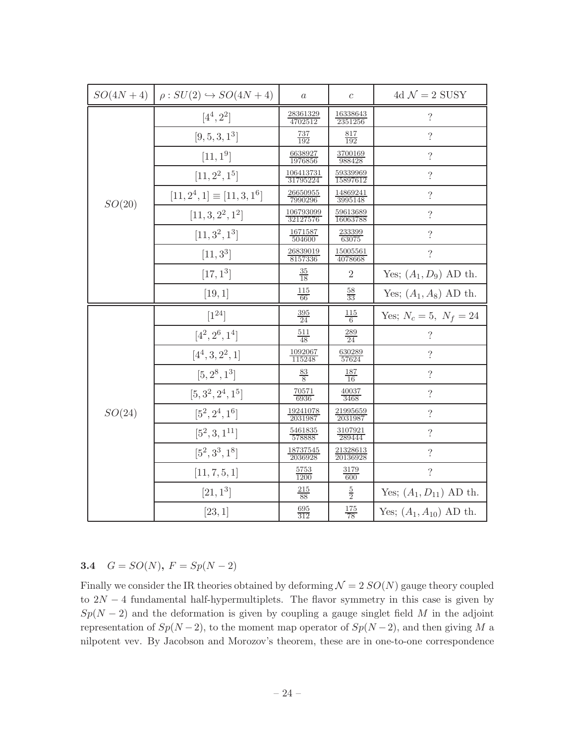|        | $SO(4N+4)$ $\rho: SU(2) \hookrightarrow SO(4N+4)$ | $\boldsymbol{a}$             | $\mathfrak c$               | 4d $\mathcal{N}=2$ SUSY     |
|--------|---------------------------------------------------|------------------------------|-----------------------------|-----------------------------|
|        | $[4^4, 2^2]$                                      | $\frac{28361329}{4702512}$   | $\frac{16338643}{2351256}$  | $\overline{\cdot}$          |
|        | $[9, 5, 3, 1^3]$                                  | $\frac{737}{192}$            | $\frac{817}{192}$           | $\overline{\mathcal{L}}$    |
|        | $[11, 1^9]$                                       | $\frac{6638927}{1976856}$    | $\frac{3700169}{988428}$    | $\overline{\cdot}$          |
|        | $[11, 2^2, 1^5]$                                  | 106413731<br>31795224        | $\frac{59339969}{15897612}$ | $\overline{\mathcal{L}}$    |
| SO(20) | $[11, 2^4, 1] \equiv [11, 3, 1^6]$                | 26650955<br>7990296          | $\frac{14869241}{3995148}$  | $\overline{\cdot}$          |
|        | $[11, 3, 2^2, 1^2]$                               | $\frac{106793099}{32127576}$ | $\frac{59613689}{16063788}$ | $\overline{\cdot}$          |
|        | $[11, 3^2, 1^3]$                                  | $\frac{1671587}{504600}$     | $\frac{233399}{63075}$      | $\overline{\cdot}$          |
|        | $[11, 3^3]$                                       | $\frac{26839019}{8157336}$   | $\frac{15005561}{4078668}$  | $\overline{\mathcal{L}}$    |
|        | $[17, 1^3]$                                       | $\frac{35}{18}$              | $\overline{2}$              | Yes; $(A_1, D_9)$ AD th.    |
|        | [19, 1]                                           | $\frac{115}{66}$             | $\frac{58}{33}$             | Yes; $(A_1, A_8)$ AD th.    |
|        |                                                   |                              |                             |                             |
|        | $[1^{24}]$                                        | $\frac{395}{24}$             | $\frac{115}{6}$             | Yes; $N_c = 5, N_f = 24$    |
|        | $[4^2, 2^6, 1^4]$                                 | $\frac{511}{48}$             | $\frac{289}{24}$            | $\overline{\mathcal{C}}$    |
|        | $[4^4, 3, 2^2, 1]$                                | $\frac{1092067}{115248}$     | $\frac{630289}{57624}$      | $\overline{\mathcal{L}}$    |
|        | $[5, 2^8, 1^3]$                                   | $\frac{83}{8}$               | $\frac{187}{16}$            | $\overline{\mathcal{L}}$    |
|        | $[5, 3^2, 2^4, 1^5]$                              | $\frac{70571}{6936}$         | $\frac{40037}{3468}$        | $\ddot{?}$                  |
| SO(24) | $[5^2, 2^4, 1^6]$                                 | $\frac{19241078}{2031987}$   | $\frac{21995659}{2031987}$  | $\overline{\cdot}$          |
|        | $[5^2, 3, 1^{11}]$                                | $\frac{5461835}{578888}$     | $\frac{3107921}{289444}$    | $\overline{\cdot}$          |
|        | $[5^2, 3^3, 1^8]$                                 | $\frac{18737545}{2036928}$   | $\frac{21328613}{20136928}$ | $\overline{\mathcal{L}}$    |
|        | [11, 7, 5, 1]                                     | $\frac{5753}{1200}$          | $\frac{3179}{600}$          | $\overline{\phantom{a}}$    |
|        | $[21, 1^3]$                                       | $\frac{215}{88}$             | $\frac{5}{2}$               | Yes; $(A_1, D_{11})$ AD th. |

# <span id="page-24-0"></span>3.4  $G = SO(N), F = Sp(N-2)$

Finally we consider the IR theories obtained by deforming  $\mathcal{N} = 2 SO(N)$  gauge theory coupled to  $2N-4$  fundamental half-hypermultiplets. The flavor symmetry in this case is given by  $Sp(N-2)$  and the deformation is given by coupling a gauge singlet field M in the adjoint representation of  $Sp(N-2)$ , to the moment map operator of  $Sp(N-2)$ , and then giving M a nilpotent vev. By Jacobson and Morozov's theorem, these are in one-to-one correspondence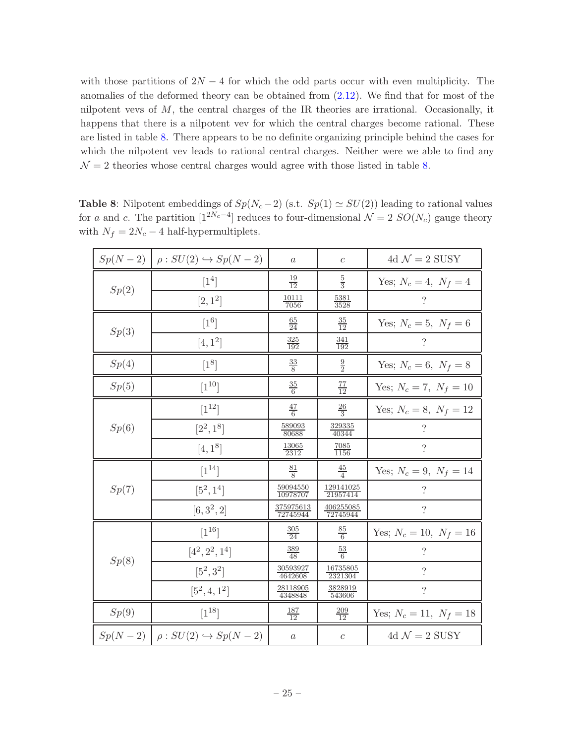with those partitions of  $2N-4$  for which the odd parts occur with even multiplicity. The anomalies of the deformed theory can be obtained from [\(2.12\)](#page-10-1). We find that for most of the nilpotent vevs of  $M$ , the central charges of the IR theories are irrational. Occasionally, it happens that there is a nilpotent vev for which the central charges become rational. These are listed in table [8.](#page-25-0) There appears to be no definite organizing principle behind the cases for which the nilpotent vev leads to rational central charges. Neither were we able to find any  $\mathcal{N}=2$  theories whose central charges would agree with those listed in table [8.](#page-25-0)

|       | $Sp(N-2)$ $\big  \rho : SU(2) \hookrightarrow Sp(N-2)$ | $\boldsymbol{a}$             | $\boldsymbol{c}$             | 4d $\mathcal{N}=2$ SUSY     |
|-------|--------------------------------------------------------|------------------------------|------------------------------|-----------------------------|
| Sp(2) | $[1^4]$                                                | $\frac{19}{12}$              | $\frac{5}{3}$                | Yes; $N_c = 4, N_f = 4$     |
|       | $[2,1^2]$                                              | $\frac{10111}{7056}$         | $\frac{5381}{3528}$          | $\cdot$                     |
| Sp(3) | $[1^6]$                                                | $\frac{65}{24}$              | $\frac{35}{12}$              | Yes; $N_c = 5, N_f = 6$     |
|       | $[4, 1^2]$                                             | $\frac{325}{192}$            | $\frac{341}{192}$            | $\overline{\cdot}$          |
| Sp(4) | $[1^8]$                                                | $\frac{33}{8}$               | $\frac{9}{2}$                | Yes; $N_c = 6, N_f = 8$     |
| Sp(5) | $[1^{10}]$                                             | $\frac{35}{6}$               | $\frac{77}{12}$              | Yes; $N_c = 7, N_f = 10$    |
|       | $[1^{12}]$                                             | $\frac{47}{6}$               | $\frac{26}{3}$               | Yes; $N_c = 8, N_f = 12$    |
| Sp(6) | $[2^2, 1^8]$                                           | $\frac{589093}{80688}$       | $\frac{329335}{40344}$       | $\ddot{?}$                  |
|       | $[4, 1^8]$                                             | $\frac{13065}{2312}$         | $\frac{7085}{1156}$          | $\overline{\cdot}$          |
|       | $[1^{14}]$                                             | $\frac{81}{8}$               | $rac{45}{4}$                 | Yes; $N_c = 9$ , $N_f = 14$ |
| Sp(7) | $[5^2, 1^4]$                                           | $\frac{59094550}{10978707}$  | $\frac{129141025}{21957414}$ | $\ddot{?}$                  |
|       | $[6, 3^2, 2]$                                          | $\frac{375975613}{72745944}$ | $\frac{406255085}{72745944}$ | $\overline{\cdot}$          |
|       | $[1^{16}]$                                             | $\frac{305}{24}$             | $\frac{85}{6}$               | Yes; $N_c = 10, N_f = 16$   |
| Sp(8) | $[4^2, 2^2, 1^4]$                                      | $\frac{389}{48}$             | $\frac{53}{6}$               | ?                           |
|       | $[5^2, 3^2]$                                           | $\frac{30593927}{4642608}$   | $\frac{16735805}{2321304}$   | $\overline{\mathcal{L}}$    |
|       | $[5^2, 4, 1^2]$                                        | $\frac{28118905}{4348848}$   | $\frac{3828919}{543606}$     | $\overline{\mathcal{L}}$    |
| Sp(9) | $[1^{18}]$                                             | $\frac{187}{12}$             | $\frac{209}{12}$             | Yes; $N_c = 11, N_f = 18$   |
|       | $Sp(N-2)$ $\big  \rho : SU(2) \hookrightarrow Sp(N-2)$ | $\boldsymbol{a}$             | $\boldsymbol{c}$             | 4d $\mathcal{N}=2$ SUSY     |

<span id="page-25-0"></span>Table 8: Nilpotent embeddings of  $Sp(N_c-2)$  (s.t.  $Sp(1) \simeq SU(2)$ ) leading to rational values for a and c. The partition  $[1^{2N_c-4}]$  reduces to four-dimensional  $\mathcal{N}=2$   $SO(N_c)$  gauge theory with  $N_f = 2N_c - 4$  half-hypermultiplets.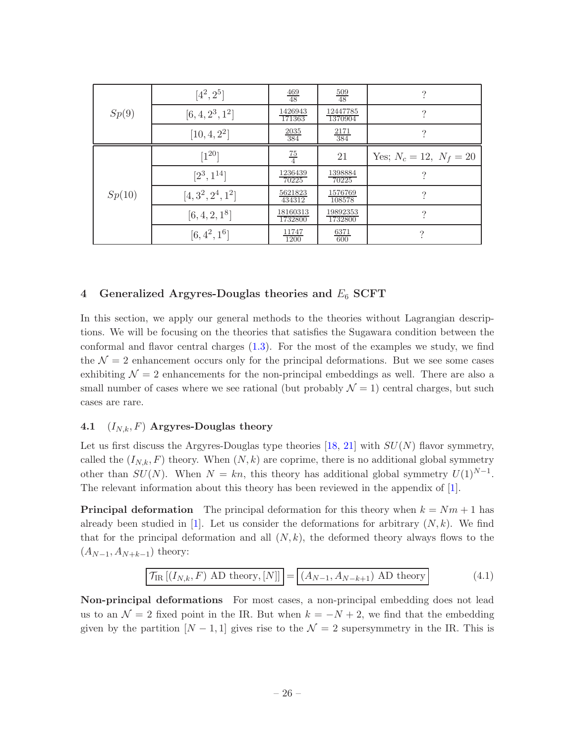|        | $[4^2, 2^5]$         | $\frac{469}{48}$    | $\frac{509}{48}$    | 9                         |
|--------|----------------------|---------------------|---------------------|---------------------------|
| Sp(9)  | $[6, 4, 2^3, 1^2]$   | 1426943<br>171363   | 12447785<br>1370904 | ?                         |
|        | $[10, 4, 2^2]$       | $\frac{2035}{384}$  | $\frac{2171}{384}$  | 9                         |
|        | $[1^{20}]$           | $\frac{75}{4}$      | 21                  | Yes; $N_c = 12, N_f = 20$ |
|        | $[2^3, 1^{14}]$      | 1236439<br>70225    | 1398884<br>70225    | ?                         |
| Sp(10) | $[4, 3^2, 2^4, 1^2]$ | 5621823<br>434312   | 1576769<br>108578   | $\Omega$                  |
|        | $[6, 4, 2, 1^8]$     | 18160313<br>1732800 | 19892353<br>1732800 | ?                         |
|        | $[6, 4^2, 1^6]$      | 11747<br>1200       | $\frac{6371}{600}$  | 9                         |

## <span id="page-26-0"></span>4 Generalized Argyres-Douglas theories and  $E_6$  SCFT

In this section, we apply our general methods to the theories without Lagrangian descriptions. We will be focusing on the theories that satisfies the Sugawara condition between the conformal and flavor central charges [\(1.3\)](#page-5-1). For the most of the examples we study, we find the  $\mathcal{N} = 2$  enhancement occurs only for the principal deformations. But we see some cases exhibiting  $\mathcal{N} = 2$  enhancements for the non-principal embeddings as well. There are also a small number of cases where we see rational (but probably  $\mathcal{N} = 1$ ) central charges, but such cases are rare.

#### <span id="page-26-1"></span>4.1  $(I_{N,k}, F)$  Argyres-Douglas theory

Let us first discuss the Argyres-Douglas type theories [\[18](#page-43-5), [21\]](#page-43-8) with  $SU(N)$  flavor symmetry, called the  $(I_{N,k}, F)$  theory. When  $(N, k)$  are coprime, there is no additional global symmetry other than  $SU(N)$ . When  $N = kn$ , this theory has additional global symmetry  $U(1)^{N-1}$ . The relevant information about this theory has been reviewed in the appendix of [\[1](#page-42-0)].

**Principal deformation** The principal deformation for this theory when  $k = Nm + 1$  has already been studied in [\[1](#page-42-0)]. Let us consider the deformations for arbitrary  $(N, k)$ . We find that for the principal deformation and all  $(N, k)$ , the deformed theory always flows to the  $(A_{N-1}, A_{N+k-1})$  theory:

$$
\mathcal{T}_{\text{IR}}\left[\left(I_{N,k}, F\right) \text{ AD theory}, [N]\right] = \left[\left(A_{N-1}, A_{N-k+1}\right) \text{ AD theory}\right]
$$
\n(4.1)

Non-principal deformations For most cases, a non-principal embedding does not lead us to an  $\mathcal{N} = 2$  fixed point in the IR. But when  $k = -N + 2$ , we find that the embedding given by the partition  $[N-1,1]$  gives rise to the  $\mathcal{N}=2$  supersymmetry in the IR. This is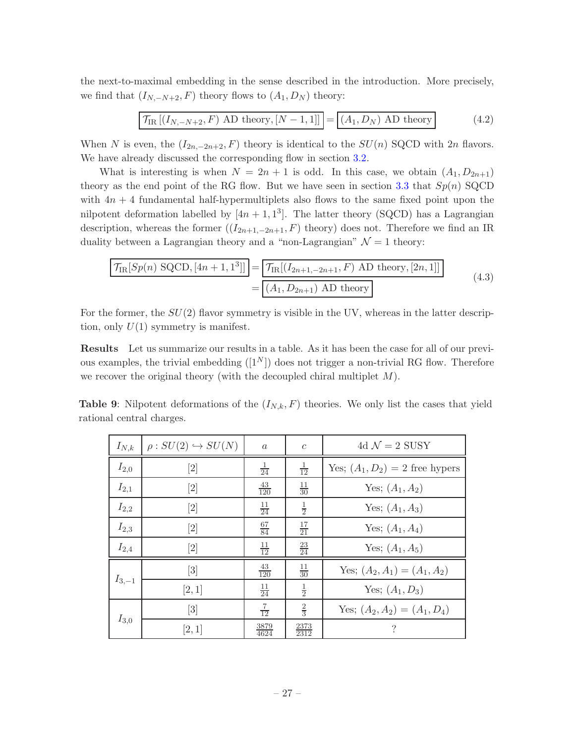the next-to-maximal embedding in the sense described in the introduction. More precisely, we find that  $(I_{N,-N+2}, F)$  theory flows to  $(A_1, D_N)$  theory:

$$
\mathcal{T}_{\text{IR}}\left[\left(I_{N,-N+2}, F\right) \text{ AD theory}, \left[N-1,1\right]\right] = \left[\left(A_1, D_N\right) \text{ AD theory}\right] \tag{4.2}
$$

When N is even, the  $(I_{2n,-2n+2}, F)$  theory is identical to the  $SU(n)$  SQCD with  $2n$  flavors. We have already discussed the corresponding flow in section [3.2.](#page-13-0)

What is interesting is when  $N = 2n + 1$  is odd. In this case, we obtain  $(A_1, D_{2n+1})$ theory as the end point of the RG flow. But we have seen in section [3.3](#page-20-0) that  $Sp(n)$  SQCD with  $4n + 4$  fundamental half-hypermultiplets also flows to the same fixed point upon the nilpotent deformation labelled by  $[4n + 1, 1^3]$ . The latter theory (SQCD) has a Lagrangian description, whereas the former  $((I_{2n+1,-2n+1}, F)$  theory) does not. Therefore we find an IR duality between a Lagrangian theory and a "non-Lagrangian"  $\mathcal{N} = 1$  theory:

$$
\frac{\mathcal{T}_{\text{IR}}[Sp(n) \text{ SQCD}, [4n+1,1^3]]}{\mathcal{T}_{\text{IR}}[(I_{2n+1,-2n+1}, F) \text{ AD theory}, [2n,1]]}
$$
\n
$$
= \boxed{(A_1, D_{2n+1}) \text{ AD theory}}
$$
\n(4.3)

For the former, the  $SU(2)$  flavor symmetry is visible in the UV, whereas in the latter description, only  $U(1)$  symmetry is manifest.

Results Let us summarize our results in a table. As it has been the case for all of our previous examples, the trivial embedding  $([1^N])$  does not trigger a non-trivial RG flow. Therefore we recover the original theory (with the decoupled chiral multiplet  $M$ ).

**Table 9:** Nilpotent deformations of the  $(I_{N,k}, F)$  theories. We only list the cases that yield rational central charges.

| $I_{N,k}$  | $\rho: SU(2) \hookrightarrow SU(N)$                                                                                                                                                                                                   | $\alpha$            | $\mathcal{C}$       | 4d $\mathcal{N}=2$ SUSY           |
|------------|---------------------------------------------------------------------------------------------------------------------------------------------------------------------------------------------------------------------------------------|---------------------|---------------------|-----------------------------------|
| $I_{2,0}$  | $\left\lceil 2 \right\rceil$                                                                                                                                                                                                          | $\frac{1}{24}$      | $\frac{1}{12}$      | Yes; $(A_1, D_2) = 2$ free hypers |
| $I_{2,1}$  | $[2] % \begin{center} \includegraphics[width=0.3\textwidth]{images/TrDiM-Architecture.png} \end{center} \caption{The image shows the number of three different types of the estimators in the image.} \label{fig:TrDiM-Architecture}$ | $\frac{43}{120}$    | $\frac{11}{30}$     | Yes; $(A_1, A_2)$                 |
| $I_{2,2}$  | $[2] % \begin{center} \includegraphics[width=0.3\textwidth]{images/TrDiM-Architecture.png} \end{center} \caption{The image shows the number of three different types of the estimators in the image.} \label{fig:TrDiM-Architecture}$ | $\frac{11}{24}$     | $\frac{1}{2}$       | Yes; $(A_1, A_3)$                 |
| $I_{2,3}$  | $[2] % \begin{center} \includegraphics[width=0.3\textwidth]{images/TrDiM-Architecture.png} \end{center} \caption{The image shows the number of three different types of the estimators in the image.} \label{fig:TrDiM-Architecture}$ | $\frac{67}{84}$     | $\frac{17}{21}$     | Yes; $(A_1, A_4)$                 |
| $I_{2,4}$  | $[2] % \begin{center} \includegraphics[width=0.3\textwidth]{images/TrDiM-Architecture.png} \end{center} \caption{The image shows the number of three different types of the estimators in the image.} \label{fig:TrDiM-Architecture}$ | $\frac{11}{12}$     | $\frac{23}{24}$     | Yes; $(A_1, A_5)$                 |
| $I_{3,-1}$ | $[3] % \includegraphics[width=1\textwidth]{images/TrDiM-Architecture.png} \caption{The figure shows the number of three different ways.} \label{fig:TrDiM-Architecture}$                                                              | $\frac{43}{120}$    | $\frac{11}{30}$     | Yes; $(A_2, A_1) = (A_1, A_2)$    |
|            | [2,1]                                                                                                                                                                                                                                 | $\frac{11}{24}$     | $\frac{1}{2}$       | Yes; $(A_1, D_3)$                 |
| $I_{3,0}$  | $[3] % \includegraphics[width=1\textwidth]{images/TrDiM-Architecture.png} \caption{The figure shows the number of three different ways.} \label{fig:TrDiM-Architecture}$                                                              | $\frac{7}{12}$      | $\frac{2}{3}$       | Yes; $(A_2, A_2) = (A_1, D_4)$    |
|            | [2,1]                                                                                                                                                                                                                                 | $\frac{3879}{4624}$ | $\frac{2373}{2312}$ | ?                                 |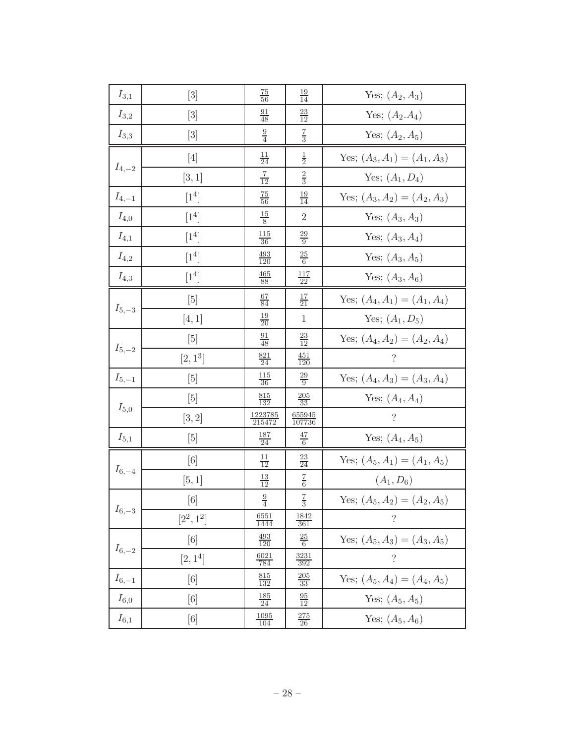| $I_{3,1}$  | $[3] % \includegraphics[width=0.9\columnwidth]{figures/fig_1a} \caption{Schematic diagram of the top of the top of the top of the right.} \label{fig:1} %$                                               | $\frac{75}{56}$          | $\frac{19}{14}$         | Yes; $(A_2, A_3)$              |
|------------|----------------------------------------------------------------------------------------------------------------------------------------------------------------------------------------------------------|--------------------------|-------------------------|--------------------------------|
| $I_{3,2}$  | $[3]$                                                                                                                                                                                                    | $\frac{91}{48}$          | $\frac{23}{12}$         | Yes; $(A_2.A_4)$               |
| $I_{3,3}$  | $[3]$                                                                                                                                                                                                    | $\frac{9}{4}$            | $\frac{7}{3}$           | Yes; $(A_2, A_5)$              |
|            | $[4]$                                                                                                                                                                                                    | $\frac{11}{24}$          | $\frac{1}{2}$           | Yes; $(A_3, A_1) = (A_1, A_3)$ |
| $I_{4,-2}$ | [3,1]                                                                                                                                                                                                    | $rac{7}{12}$             | $\frac{2}{3}$           | Yes; $(A_1, D_4)$              |
| $I_{4,-1}$ | $[1^4]$                                                                                                                                                                                                  | $\frac{75}{56}$          | $\frac{19}{14}$         | Yes; $(A_3, A_2) = (A_2, A_3)$ |
| $I_{4,0}$  | $[1^4]$                                                                                                                                                                                                  | $rac{15}{8}$             | $\overline{2}$          | Yes; $(A_3, A_3)$              |
| $I_{4,1}$  | $[1^4]$                                                                                                                                                                                                  | <u> 115</u><br>36        | $\frac{29}{9}$          | Yes; $(A_3, A_4)$              |
| $I_{4,2}$  | $[1^4]$                                                                                                                                                                                                  | $\frac{493}{120}$        | $\frac{25}{6}$          | Yes; $(A_3, A_5)$              |
| $I_{4,3}$  | $\lceil 1^4 \rceil$                                                                                                                                                                                      | $\frac{465}{88}$         | $\frac{117}{22}$        | Yes; $(A_3, A_6)$              |
| $I_{5,-3}$ | $[5]$                                                                                                                                                                                                    | $\frac{67}{84}$          | $\frac{17}{21}$         | Yes; $(A_4, A_1) = (A_1, A_4)$ |
|            | [4,1]                                                                                                                                                                                                    | $\frac{19}{20}$          | $\mathbf{1}$            | Yes; $(A_1, D_5)$              |
|            | $[5]$                                                                                                                                                                                                    | $\frac{91}{48}$          | $\frac{23}{12}$         | Yes; $(A_4, A_2) = (A_2, A_4)$ |
| $I_{5,-2}$ | $[2,1^3]$                                                                                                                                                                                                | $\frac{821}{24}$         | $\frac{451}{120}$       | $\gamma$                       |
| $I_{5,-1}$ | [5]                                                                                                                                                                                                      | $\frac{115}{36}$         | $\frac{29}{9}$          | Yes; $(A_4, A_3) = (A_3, A_4)$ |
| $I_{5,0}$  | $[5]$                                                                                                                                                                                                    | $\frac{815}{132}$        | $\frac{205}{33}$        | Yes; $(A_4, A_4)$              |
|            | [3,2]                                                                                                                                                                                                    | $\frac{1223785}{215472}$ | $\frac{655945}{107736}$ | $\ddot{?}$                     |
| $I_{5,1}$  | [5]                                                                                                                                                                                                      | $\frac{187}{24}$         | $\frac{47}{6}$          | Yes; $(A_4, A_5)$              |
|            | [6]                                                                                                                                                                                                      | $\frac{11}{12}$          | $\frac{23}{24}$         | Yes; $(A_5, A_1) = (A_1, A_5)$ |
| $I_{6,-4}$ | [5,1]                                                                                                                                                                                                    | $\frac{13}{12}$          | $rac{7}{6}$             | $(A_1, D_6)$                   |
|            | $[6] % \includegraphics[width=0.9\columnwidth]{figures/fig_0a.pdf} \caption{A small number of samples in the left and right. The left and right is the number of samples in the right.} \label{fig:1} %$ | $\frac{9}{4}$            | $\frac{7}{3}$           | Yes; $(A_5, A_2) = (A_2, A_5)$ |
| $I_{6,-3}$ | $[2^2, 1^2]$                                                                                                                                                                                             | $\frac{6551}{1444}$      | $\frac{1842}{361}$      | $\gamma$                       |
|            | [6]                                                                                                                                                                                                      | $\frac{493}{120}$        | $\frac{25}{6}$          | Yes; $(A_5, A_3) = (A_3, A_5)$ |
| $I_{6,-2}$ | $[2,1^4]$                                                                                                                                                                                                | $\frac{6021}{784}$       | $\frac{3231}{392}$      | $\ddot{?}$                     |
| $I_{6,-1}$ | [6]                                                                                                                                                                                                      | $\frac{815}{132}$        | $\frac{205}{33}$        | Yes; $(A_5, A_4) = (A_4, A_5)$ |
| $I_{6,0}$  | [6]                                                                                                                                                                                                      | $\frac{185}{24}$         | $\frac{95}{12}$         | Yes; $(A_5, A_5)$              |
| $I_{6,1}$  | [6]                                                                                                                                                                                                      | <u> 1095 </u><br>104     | 275<br>26               | Yes; $(A_5, A_6)$              |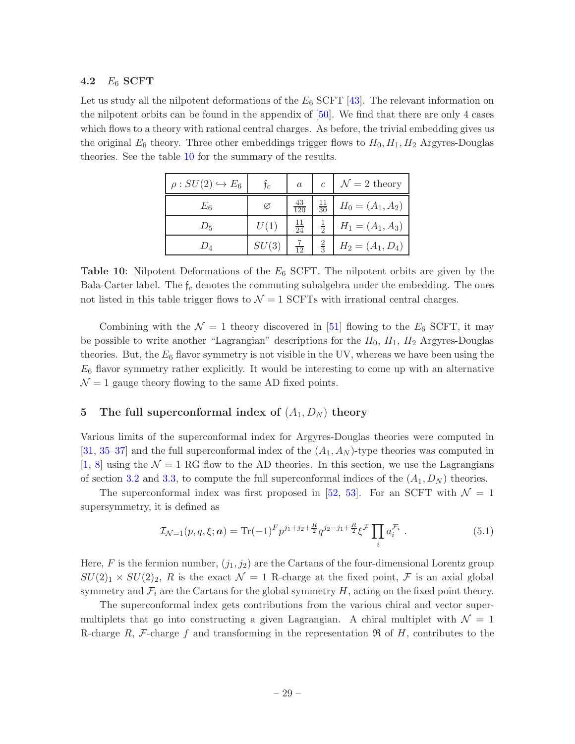#### <span id="page-29-0"></span>4.2  $E_6$  SCFT

<span id="page-29-2"></span>Let us study all the nilpotent deformations of the  $E_6$  SCFT [\[43](#page-44-9)]. The relevant information on the nilpotent orbits can be found in the appendix of  $[50]$ . We find that there are only 4 cases which flows to a theory with rational central charges. As before, the trivial embedding gives us the original  $E_6$  theory. Three other embeddings trigger flows to  $H_0, H_1, H_2$  Argyres-Douglas theories. See the table [10](#page-29-2) for the summary of the results.

| $\rho: SU(2) \hookrightarrow E_6$ | Ťc    | $\boldsymbol{a}$ | $\mathfrak{c}$  | $\mathcal{N}=2$ theory |
|-----------------------------------|-------|------------------|-----------------|------------------------|
| $E_{6}$                           | Ø     | $\frac{43}{120}$ | $\overline{30}$ | $H_0 = (A_1, A_2)$     |
| $D_{5}$                           | U(1)  | $\frac{11}{24}$  | $\frac{1}{2}$   | $H_1 = (A_1, A_3)$     |
| $D_{\varLambda}$                  | SU(3) | $\overline{12}$  | $\frac{2}{3}$   | $H_2 = (A_1, D_4)$     |

**Table 10:** Nilpotent Deformations of the  $E_6$  SCFT. The nilpotent orbits are given by the Bala-Carter label. The  $f_c$  denotes the commuting subalgebra under the embedding. The ones not listed in this table trigger flows to  $\mathcal{N} = 1$  SCFTs with irrational central charges.

Combining with the  $\mathcal{N} = 1$  theory discovered in [\[51](#page-45-1)] flowing to the  $E_6$  SCFT, it may be possible to write another "Lagrangian" descriptions for the  $H_0$ ,  $H_1$ ,  $H_2$  Argyres-Douglas theories. But, the  $E_6$  flavor symmetry is not visible in the UV, whereas we have been using the  $E_6$  flavor symmetry rather explicitly. It would be interesting to come up with an alternative  $\mathcal{N}=1$  gauge theory flowing to the same AD fixed points.

# <span id="page-29-1"></span>5 The full superconformal index of  $(A_1, D_N)$  theory

Various limits of the superconformal index for Argyres-Douglas theories were computed in [\[31](#page-44-1), [35](#page-44-5)[–37](#page-44-6)] and the full superconformal index of the  $(A_1, A_N)$ -type theories was computed in [\[1](#page-42-0), [8\]](#page-42-4) using the  $\mathcal{N} = 1$  RG flow to the AD theories. In this section, we use the Lagrangians of section [3.2](#page-13-0) and [3.3,](#page-20-0) to compute the full superconformal indices of the  $(A_1, D_N)$  theories.

The superconformal index was first proposed in [\[52](#page-45-2), [53](#page-45-3)]. For an SCFT with  $\mathcal{N} = 1$ supersymmetry, it is defined as

<span id="page-29-3"></span>
$$
\mathcal{I}_{\mathcal{N}=1}(p,q,\xi;\boldsymbol{a}) = \text{Tr}(-1)^{F} p^{j_1+j_2+\frac{R}{2}} q^{j_2-j_1+\frac{R}{2}} \xi^{\mathcal{F}} \prod_{i} a_i^{\mathcal{F}_i} . \tag{5.1}
$$

Here, F is the fermion number,  $(j_1, j_2)$  are the Cartans of the four-dimensional Lorentz group  $SU(2)_1 \times SU(2)_2$ , R is the exact  $\mathcal{N}=1$  R-charge at the fixed point, F is an axial global symmetry and  $\mathcal{F}_i$  are the Cartans for the global symmetry H, acting on the fixed point theory.

The superconformal index gets contributions from the various chiral and vector supermultiplets that go into constructing a given Lagrangian. A chiral multiplet with  $\mathcal{N} = 1$ R-charge R, F-charge f and transforming in the representation  $\Re$  of H, contributes to the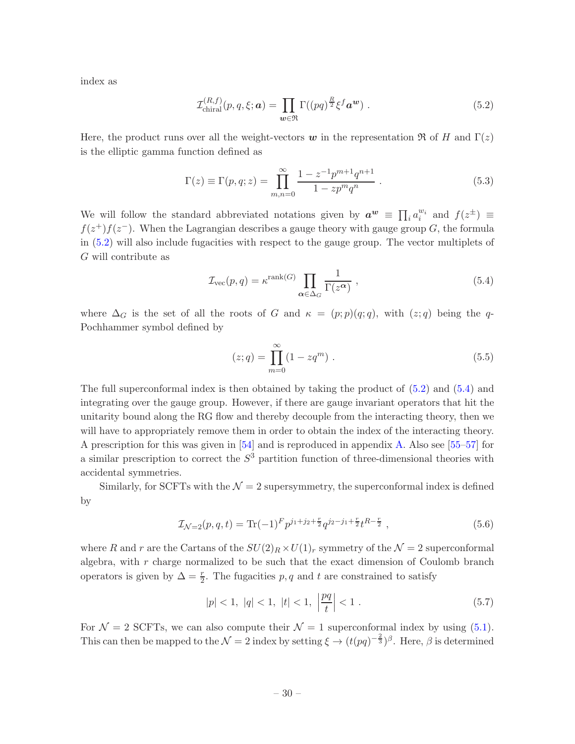index as

<span id="page-30-0"></span>
$$
\mathcal{I}_{\text{chiral}}^{(R,f)}(p,q,\xi;\boldsymbol{a}) = \prod_{\boldsymbol{w}\in\mathfrak{R}} \Gamma((pq)^{\frac{R}{2}} \xi^f \boldsymbol{a}^{\boldsymbol{w}}) . \tag{5.2}
$$

Here, the product runs over all the weight-vectors w in the representation  $\Re$  of H and  $\Gamma(z)$ is the elliptic gamma function defined as

$$
\Gamma(z) \equiv \Gamma(p, q; z) = \prod_{m,n=0}^{\infty} \frac{1 - z^{-1} p^{m+1} q^{n+1}}{1 - z p^m q^n} . \tag{5.3}
$$

We will follow the standard abbreviated notations given by  $a^w \equiv \prod_i a_i^{w_i}$  and  $f(z^{\pm}) \equiv$  $f(z^+)f(z^-)$ . When the Lagrangian describes a gauge theory with gauge group G, the formula in [\(5.2\)](#page-30-0) will also include fugacities with respect to the gauge group. The vector multiplets of G will contribute as

<span id="page-30-1"></span>
$$
\mathcal{I}_{\text{vec}}(p,q) = \kappa^{\text{rank}(G)} \prod_{\alpha \in \Delta_G} \frac{1}{\Gamma(z^{\alpha})},\tag{5.4}
$$

where  $\Delta_G$  is the set of all the roots of G and  $\kappa = (p;p)(q;q)$ , with  $(z;q)$  being the q-Pochhammer symbol defined by

$$
(z;q) = \prod_{m=0}^{\infty} (1 - zq^m) . \tag{5.5}
$$

The full superconformal index is then obtained by taking the product of [\(5.2\)](#page-30-0) and [\(5.4\)](#page-30-1) and integrating over the gauge group. However, if there are gauge invariant operators that hit the unitarity bound along the RG flow and thereby decouple from the interacting theory, then we will have to appropriately remove them in order to obtain the index of the interacting theory. A prescription for this was given in [\[54](#page-45-4)] and is reproduced in appendix [A.](#page-40-0) Also see [\[55](#page-45-5)[–57](#page-45-6)] for a similar prescription to correct the  $S<sup>3</sup>$  partition function of three-dimensional theories with accidental symmetries.

Similarly, for SCFTs with the  $\mathcal{N} = 2$  supersymmetry, the superconformal index is defined by

$$
\mathcal{I}_{\mathcal{N}=2}(p,q,t) = \text{Tr}(-1)^{F} p^{j_1+j_2+\frac{r}{2}} q^{j_2-j_1+\frac{r}{2}} t^{R-\frac{r}{2}}, \qquad (5.6)
$$

where R and r are the Cartans of the  $SU(2)_R \times U(1)_r$  symmetry of the  $\mathcal{N}=2$  superconformal algebra, with  $r$  charge normalized to be such that the exact dimension of Coulomb branch operators is given by  $\Delta = \frac{r}{2}$ . The fugacities p, q and t are constrained to satisfy

$$
|p| < 1, \ |q| < 1, \ |t| < 1, \ \left|\frac{pq}{t}\right| < 1 \ . \tag{5.7}
$$

For  $\mathcal{N} = 2$  SCFTs, we can also compute their  $\mathcal{N} = 1$  superconformal index by using [\(5.1\)](#page-29-3). This can then be mapped to the  $\mathcal{N}=2$  index by setting  $\xi \to (t(pq)^{-\frac{2}{3}})^{\beta}$ . Here,  $\beta$  is determined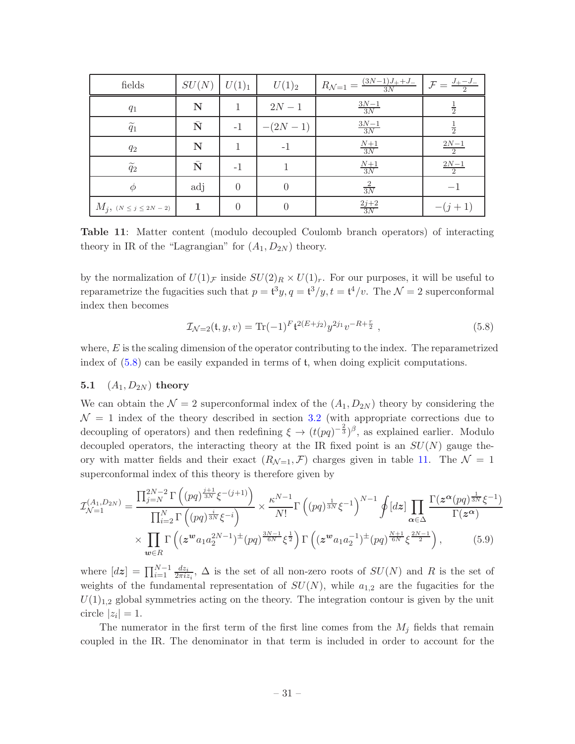<span id="page-31-2"></span>

| fields                      | SU(N)              | $U(1)_1$ | $U(1)_2$  | $(3N-1)J_{+}+J_{-}$<br>$R_{\mathcal{N}=1}$ =<br>3N | $J_{+} - J_{-}$  |
|-----------------------------|--------------------|----------|-----------|----------------------------------------------------|------------------|
| $q_1$                       | N                  |          | $2N - 1$  | $\frac{3N-1}{3N}$                                  | $\frac{1}{2}$    |
| $\widetilde{q}_1$           | $\bar{\textbf{N}}$ | $-1$     | $-(2N-1)$ | $\frac{3N-1}{3N}$                                  | $\frac{1}{2}$    |
| $q_2$                       | N                  |          | $-1$      | $\frac{N+1}{3N}$                                   | $\frac{2N-1}{2}$ |
| $\widetilde{q}_2$           | $\bar{\text{N}}$   | $-1$     |           | $\frac{N+1}{3N}$                                   | $\frac{2N-1}{2}$ |
| Φ                           | adj                | 0        |           | $\frac{2}{3N}$                                     |                  |
| $M_j, (N \leq j \leq 2N-2)$ | 1                  | $\Omega$ |           | $\frac{2j+2}{3N}$                                  | $-(j+1)$         |

Table 11: Matter content (modulo decoupled Coulomb branch operators) of interacting theory in IR of the "Lagrangian" for  $(A_1, D_{2N})$  theory.

by the normalization of  $U(1)_{\mathcal{F}}$  inside  $SU(2)_R \times U(1)_r$ . For our purposes, it will be useful to reparametrize the fugacities such that  $p = t^3y$ ,  $q = t^3/y$ ,  $t = t^4/v$ . The  $\mathcal{N} = 2$  superconformal index then becomes

<span id="page-31-3"></span><span id="page-31-1"></span>
$$
\mathcal{I}_{\mathcal{N}=2}(\mathfrak{t}, y, v) = \text{Tr}(-1)^{F} \mathfrak{t}^{2(E+j_2)} y^{2j_1} v^{-R+\frac{r}{2}}, \qquad (5.8)
$$

where,  $E$  is the scaling dimension of the operator contributing to the index. The reparametrized index of [\(5.8\)](#page-31-1) can be easily expanded in terms of t, when doing explicit computations.

#### <span id="page-31-0"></span>**5.1**  $(A_1, D_{2N})$  theory

We can obtain the  $\mathcal{N} = 2$  superconformal index of the  $(A_1, D_{2N})$  theory by considering the  $\mathcal{N} = 1$  index of the theory described in section [3.2](#page-13-0) (with appropriate corrections due to decoupling of operators) and then redefining  $\xi \to (t(pq)^{-\frac{2}{3}})^{\beta}$ , as explained earlier. Modulo decoupled operators, the interacting theory at the IR fixed point is an  $SU(N)$  gauge theory with matter fields and their exact  $(R_{\mathcal{N}=1}, \mathcal{F})$  charges given in table [11.](#page-31-2) The  $\mathcal{N}=1$ superconformal index of this theory is therefore given by

$$
\mathcal{I}_{\mathcal{N}=1}^{(A_1, D_{2N})} = \frac{\prod_{j=N}^{2N-2} \Gamma\left((pq)^{\frac{j+1}{3N}}\xi^{-(j+1)}\right)}{\prod_{i=2}^{N} \Gamma\left((pq)^{\frac{i}{3N}}\xi^{-i}\right)} \times \frac{\kappa^{N-1}}{N!} \Gamma\left((pq)^{\frac{1}{3N}}\xi^{-1}\right)^{N-1} \oint [dz] \prod_{\alpha \in \Delta} \frac{\Gamma(z^{\alpha}(pq)^{\frac{1}{3N}}\xi^{-1})}{\Gamma(z^{\alpha})}
$$

$$
\times \prod_{\mathbf{w} \in R} \Gamma\left((z^{\mathbf{w}} a_1 a_2^{2N-1})^{\pm}(pq)^{\frac{3N-1}{6N}}\xi^{\frac{1}{2}}\right) \Gamma\left((z^{\mathbf{w}} a_1 a_2^{-1})^{\pm}(pq)^{\frac{N+1}{6N}}\xi^{\frac{2N-1}{2}}\right), \tag{5.9}
$$

where  $[d\boldsymbol{z}] = \prod_{i=1}^{N-1} \frac{dz_i}{2\pi i z}$  $\frac{dz_i}{2\pi i z_i}$ ,  $\Delta$  is the set of all non-zero roots of  $SU(N)$  and R is the set of weights of the fundamental representation of  $SU(N)$ , while  $a_{1,2}$  are the fugacities for the  $U(1)_{1,2}$  global symmetries acting on the theory. The integration contour is given by the unit circle  $|z_i|=1$ .

The numerator in the first term of the first line comes from the  $M_i$  fields that remain coupled in the IR. The denominator in that term is included in order to account for the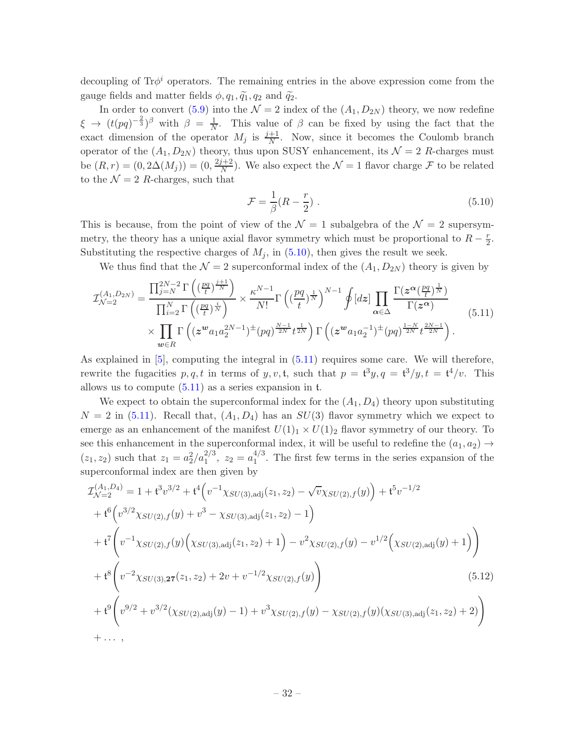decoupling of  $Tr\phi^i$  operators. The remaining entries in the above expression come from the gauge fields and matter fields  $\phi, q_1, \tilde{q}_1, q_2$  and  $\tilde{q}_2$ .

In order to convert [\(5.9\)](#page-31-3) into the  $\mathcal{N} = 2$  index of the  $(A_1, D_{2N})$  theory, we now redefine  $\xi \rightarrow (t(pq)^{-\frac{2}{3}})^{\beta}$  with  $\beta = \frac{1}{N}$  $\frac{1}{N}$ . This value of  $\beta$  can be fixed by using the fact that the exact dimension of the operator  $M_j$  is  $\frac{j+1}{N}$ . Now, since it becomes the Coulomb branch operator of the  $(A_1, D_{2N})$  theory, thus upon SUSY enhancement, its  $\mathcal{N} = 2$  R-charges must be  $(R,r) = (0, 2\Delta(M_j)) = (0, \frac{2j+2}{N})$  $\frac{N+2}{N}$ ). We also expect the  $\mathcal{N}=1$  flavor charge  $\mathcal F$  to be related to the  $\mathcal{N} = 2$  R-charges, such that

<span id="page-32-1"></span><span id="page-32-0"></span>
$$
\mathcal{F} = \frac{1}{\beta}(R - \frac{r}{2}) \tag{5.10}
$$

This is because, from the point of view of the  $\mathcal{N}=1$  subalgebra of the  $\mathcal{N}=2$  supersymmetry, the theory has a unique axial flavor symmetry which must be proportional to  $R - \frac{r}{2}$  $rac{r}{2}$ . Substituting the respective charges of  $M_i$ , in  $(5.10)$ , then gives the result we seek.

We thus find that the  $\mathcal{N} = 2$  superconformal index of the  $(A_1, D_{2N})$  theory is given by

$$
\mathcal{I}_{\mathcal{N}=2}^{(A_1, D_{2N})} = \frac{\prod_{j=N}^{2N-2} \Gamma\left((\frac{pq}{t})^{\frac{j+1}{N}}\right)}{\prod_{i=2}^{N} \Gamma\left((\frac{pq}{t})^{\frac{i}{N}}\right)} \times \frac{\kappa^{N-1}}{N!} \Gamma\left((\frac{pq}{t})^{\frac{1}{N}}\right)^{N-1} \oint [dz] \prod_{\alpha \in \Delta} \frac{\Gamma(z^{\alpha}(\frac{pq}{t})^{\frac{1}{N}})}{\Gamma(z^{\alpha})}
$$
\n
$$
\times \prod_{\mathbf{w} \in R} \Gamma\left((z^{\mathbf{w}} a_1 a_2^{2N-1})^{\pm} (pq)^{\frac{N-1}{2N}} t^{\frac{1}{2N}}\right) \Gamma\left((z^{\mathbf{w}} a_1 a_2^{-1})^{\pm} (pq)^{\frac{1-N}{2N}} t^{\frac{2N-1}{2N}}\right).
$$
\n(5.11)

As explained in [\[5](#page-42-8)], computing the integral in [\(5.11\)](#page-32-1) requires some care. We will therefore, rewrite the fugacities  $p, q, t$  in terms of  $y, v, t$ , such that  $p = t^3y, q = t^3/y, t = t^4/v$ . This allows us to compute  $(5.11)$  as a series expansion in t.

We expect to obtain the superconformal index for the  $(A_1, D_4)$  theory upon substituting  $N = 2$  in [\(5.11\)](#page-32-1). Recall that,  $(A_1, D_4)$  has an  $SU(3)$  flavor symmetry which we expect to emerge as an enhancement of the manifest  $U(1)_1 \times U(1)_2$  flavor symmetry of our theory. To see this enhancement in the superconformal index, it will be useful to redefine the  $(a_1, a_2) \rightarrow$  $(z_1, z_2)$  such that  $z_1 = a_2^2/a_1^{2/3}, z_2 = a_1^{4/3}$  $1^{4/3}$ . The first few terms in the series expansion of the superconformal index are then given by

<span id="page-32-2"></span>
$$
\mathcal{I}_{\mathcal{N}=2}^{(A_1, D_4)} = 1 + t^3 v^{3/2} + t^4 \Big( v^{-1} \chi_{SU(3), \text{adj}}(z_1, z_2) - \sqrt{v} \chi_{SU(2), f}(y) \Big) + t^5 v^{-1/2}
$$
\n
$$
+ t^6 \Big( v^{3/2} \chi_{SU(2), f}(y) + v^3 - \chi_{SU(3), \text{adj}}(z_1, z_2) - 1 \Big)
$$
\n
$$
+ t^7 \Big( v^{-1} \chi_{SU(2), f}(y) \Big( \chi_{SU(3), \text{adj}}(z_1, z_2) + 1 \Big) - v^2 \chi_{SU(2), f}(y) - v^{1/2} \Big( \chi_{SU(2), \text{adj}}(y) + 1 \Big) \Big)
$$
\n
$$
+ t^8 \Big( v^{-2} \chi_{SU(3), 27}(z_1, z_2) + 2v + v^{-1/2} \chi_{SU(2), f}(y) \Big)
$$
\n
$$
+ t^9 \Big( v^{9/2} + v^{3/2} (\chi_{SU(2), \text{adj}}(y) - 1) + v^3 \chi_{SU(2), f}(y) - \chi_{SU(2), f}(y) (\chi_{SU(3), \text{adj}}(z_1, z_2) + 2) \Big)
$$
\n
$$
+ \dots,
$$
\n(11)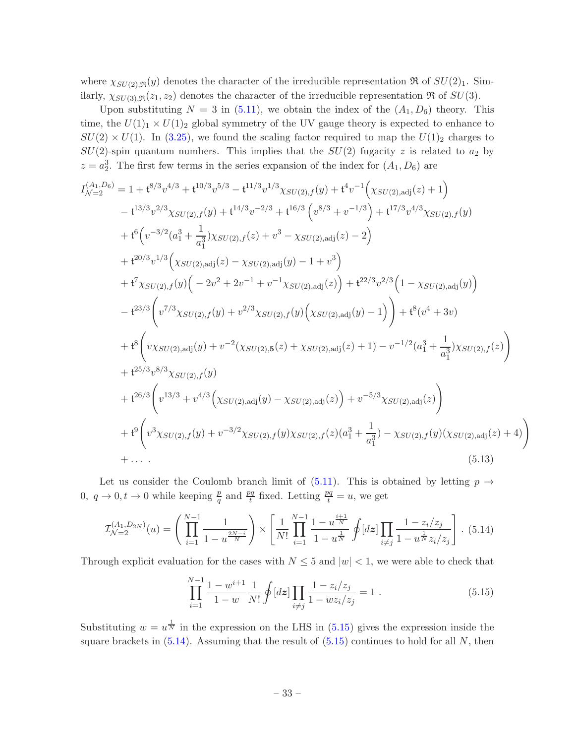where  $\chi_{SU(2),\mathfrak{R}}(y)$  denotes the character of the irreducible representation  $\Re$  of  $SU(2)_1$ . Similarly,  $\chi_{SU(3),\mathfrak{R}}(z_1, z_2)$  denotes the character of the irreducible representation  $\Re$  of  $SU(3)$ .

Upon substituting  $N = 3$  in [\(5.11\)](#page-32-1), we obtain the index of the  $(A_1, D_6)$  theory. This time, the  $U(1)_1 \times U(1)_2$  global symmetry of the UV gauge theory is expected to enhance to  $SU(2) \times U(1)$ . In [\(3.25\)](#page-17-2), we found the scaling factor required to map the  $U(1)_2$  charges to  $SU(2)$ -spin quantum numbers. This implies that the  $SU(2)$  fugacity z is related to  $a_2$  by  $z = a_2^3$ . The first few terms in the series expansion of the index for  $(A_1, D_6)$  are

$$
I_{\mathcal{N}=2}^{(A_1, D_6)} = 1 + t^{8/3}v^{4/3} + t^{10/3}v^{5/3} - t^{11/3}v^{1/3}\chi_{SU(2),f}(y) + t^{4}v^{-1}(\chi_{SU(2),adj}(z) + 1)
$$
  
\n
$$
- t^{13/3}v^{2/3}\chi_{SU(2),f}(y) + t^{14/3}v^{-2/3} + t^{16/3} (v^{8/3} + v^{-1/3}) + t^{17/3}v^{4/3}\chi_{SU(2),f}(y)
$$
  
\n
$$
+ t^{6} (v^{-3/2}(a_1^3 + \frac{1}{a_1^3})\chi_{SU(2),f}(z) + v^3 - \chi_{SU(2),adj}(z) - 2)
$$
  
\n
$$
+ t^{20/3}v^{1/3} (\chi_{SU(2),adj}(z) - \chi_{SU(2),adj}(y) - 1 + v^3)
$$
  
\n
$$
+ t^{7} \chi_{SU(2),f}(y) (-2v^2 + 2v^{-1} + v^{-1}\chi_{SU(2),adj}(z)) + t^{22/3}v^{2/3} (1 - \chi_{SU(2),adj}(y))
$$
  
\n
$$
- t^{23/3} (v^{7/3}\chi_{SU(2),f}(y) + v^{2/3}\chi_{SU(2),f}(y) (\chi_{SU(2),adj}(y) - 1)) + t^{8} (v^4 + 3v)
$$
  
\n
$$
+ t^{8} (v\chi_{SU(2),adj}(y) + v^{-2}(\chi_{SU(2),5}(z) + \chi_{SU(2),adj}(z) + 1) - v^{-1/2} (a_1^3 + \frac{1}{a_1^3})\chi_{SU(2),f}(z)
$$
  
\n
$$
+ t^{25/3}v^{8/3}\chi_{SU(2),f}(y)
$$
  
\n
$$
+ t^{26/3} (v^{13/3} + v^{4/3}(\chi_{SU(2),adj}(y) - \chi_{SU(2),adj}(z)) + v^{-5/3}\chi_{SU(2),adj}(z))
$$
  
\n
$$
+ t^{9} (v^{3}\chi_{SU(2),f}(y) + v^{-3/2}\chi_{SU(2),f}(y)\chi_{SU(2),f}(z)(a_1^3 + \frac{
$$

Let us consider the Coulomb branch limit of  $(5.11)$ . This is obtained by letting  $p \rightarrow$ 0,  $q \to 0, t \to 0$  while keeping  $\frac{p}{q}$  and  $\frac{pq}{t}$  fixed. Letting  $\frac{pq}{t} = u$ , we get

<span id="page-33-1"></span>
$$
\mathcal{I}_{\mathcal{N}=2}^{(A_1, D_{2N})}(u) = \left(\prod_{i=1}^{N-1} \frac{1}{1-u^{\frac{2N-i}{N}}}\right) \times \left[\frac{1}{N!} \prod_{i=1}^{N-1} \frac{1-u^{\frac{i+1}{N}}}{1-u^{\frac{1}{N}}}\oint [dz] \prod_{i \neq j} \frac{1-z_i/z_j}{1-u^{\frac{1}{N}}z_i/z_j}\right].
$$
 (5.14)

Through explicit evaluation for the cases with  $N \leq 5$  and  $|w| < 1$ , we were able to check that

<span id="page-33-2"></span><span id="page-33-0"></span>
$$
\prod_{i=1}^{N-1} \frac{1 - w^{i+1}}{1 - w} \frac{1}{N!} \oint [dz] \prod_{i \neq j} \frac{1 - z_i/z_j}{1 - wz_i/z_j} = 1.
$$
\n(5.15)

Substituting  $w = u^{\frac{1}{N}}$  in the expression on the LHS in [\(5.15\)](#page-33-0) gives the expression inside the square brackets in  $(5.14)$ . Assuming that the result of  $(5.15)$  continues to hold for all N, then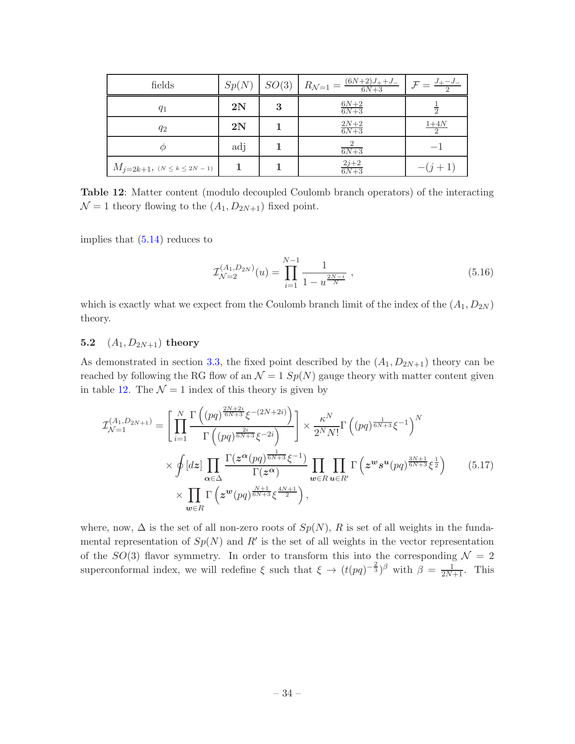<span id="page-34-1"></span>

| fields                             | Sp(N)         | SO(3) | $R_{\mathcal{N}=1} = \frac{(6N+2)J_{+}+J_{-}}{6N+3}$ | $\mathcal{F} = \frac{J_{+} - J_{-}}{J_{+} + J_{-}}$ |
|------------------------------------|---------------|-------|------------------------------------------------------|-----------------------------------------------------|
| $q_1$                              | 2N            | 3     | $\frac{6N+2}{6N+3}$                                  |                                                     |
| $q_2$                              | $2\mathrm{N}$ |       | $\frac{2N+2}{6N+3}$                                  | $\frac{1+4N}{2}$                                    |
|                                    | adj           |       | $rac{2}{6N+3}$                                       |                                                     |
| $M_{j=2k+1}, (N \leq k \leq 2N-1)$ |               |       | $\frac{2j+2}{6N+3}$                                  | $-(j+1)$                                            |

Table 12: Matter content (modulo decoupled Coulomb branch operators) of the interacting  $\mathcal{N} = 1$  theory flowing to the  $(A_1, D_{2N+1})$  fixed point.

implies that [\(5.14\)](#page-33-1) reduces to

$$
\mathcal{I}_{\mathcal{N}=2}^{(A_1, D_{2N})}(u) = \prod_{i=1}^{N-1} \frac{1}{1 - u^{\frac{2N-i}{N}}},
$$
\n(5.16)

which is exactly what we expect from the Coulomb branch limit of the index of the  $(A_1, D_{2N})$ theory.

## <span id="page-34-0"></span>5.2  $(A_1, D_{2N+1})$  theory

As demonstrated in section [3.3,](#page-20-0) the fixed point described by the  $(A_1, D_{2N+1})$  theory can be reached by following the RG flow of an  $\mathcal{N} = 1$  Sp(N) gauge theory with matter content given in table [12.](#page-34-1) The  $\mathcal{N} = 1$  index of this theory is given by

$$
\mathcal{I}_{\mathcal{N}=1}^{(A_1, D_{2N+1})} = \left[ \prod_{i=1}^{N} \frac{\Gamma\left((pq)^{\frac{2N+2i}{6N+3}}\xi^{-(2N+2i)}\right)}{\Gamma\left((pq)^{\frac{2i}{6N+3}}\xi^{-2i}\right)} \right] \times \frac{\kappa^N}{2^N N!} \Gamma\left((pq)^{\frac{1}{6N+3}}\xi^{-1}\right)^N
$$
\n
$$
\times \oint [dz] \prod_{\alpha \in \Delta} \frac{\Gamma(z^{\alpha}(pq)^{\frac{1}{6N+3}}\xi^{-1})}{\Gamma(z^{\alpha})} \prod_{w \in R} \prod_{u \in R'} \Gamma\left(z^w s^u(pq)^{\frac{3N+1}{6N+3}}\xi^{\frac{1}{2}}\right) \qquad (5.17)
$$
\n
$$
\times \prod_{w \in R} \Gamma\left(z^w(pq)^{\frac{N+1}{6N+3}}\xi^{\frac{4N+1}{2}}\right),
$$

where, now,  $\Delta$  is the set of all non-zero roots of  $Sp(N)$ , R is set of all weights in the fundamental representation of  $Sp(N)$  and  $R'$  is the set of all weights in the vector representation of the  $SO(3)$  flavor symmetry. In order to transform this into the corresponding  $\mathcal{N}=2$ superconformal index, we will redefine  $\xi$  such that  $\xi \to (t(pq)^{-\frac{2}{3}})^{\beta}$  with  $\beta = \frac{1}{2N+1}$ . This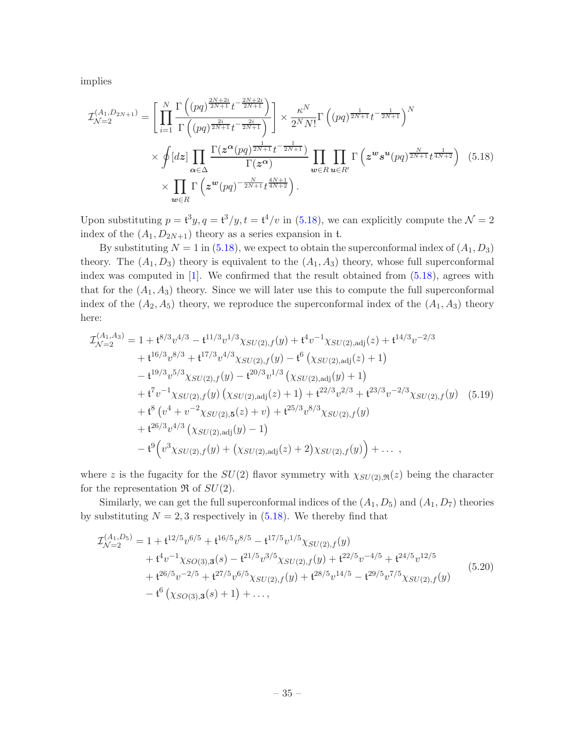implies

<span id="page-35-0"></span>
$$
\mathcal{I}_{\mathcal{N}=2}^{(A_1, D_{2N+1})} = \left[ \prod_{i=1}^{N} \frac{\Gamma\left((pq)^{\frac{2N+2i}{2N+1}} t^{-\frac{2N+2i}{2N+1}}\right)}{\Gamma\left((pq)^{\frac{2i}{2N+1}} t^{-\frac{2i}{2N+1}}\right)} \right] \times \frac{\kappa^N}{2^N N!} \Gamma\left((pq)^{\frac{1}{2N+1}} t^{-\frac{1}{2N+1}}\right)^N
$$
\n
$$
\times \oint [dz] \prod_{\alpha \in \Delta} \frac{\Gamma(z^{\alpha}(pq)^{\frac{1}{2N+1}} t^{-\frac{1}{2N+1}})}{\Gamma(z^{\alpha})} \prod_{w \in R} \prod_{u \in R'} \Gamma\left(z^w s^u (pq)^{\frac{N}{2N+1}} t^{\frac{1}{4N+2}}\right) \tag{5.18}
$$
\n
$$
\times \prod_{w \in R} \Gamma\left(z^w (pq)^{-\frac{N}{2N+1}} t^{\frac{4N+1}{4N+2}}\right).
$$

Upon substituting  $p = t^3y$ ,  $q = t^3/y$ ,  $t = t^4/v$  in [\(5.18\)](#page-35-0), we can explicitly compute the  $\mathcal{N} = 2$ index of the  $(A_1, D_{2N+1})$  theory as a series expansion in t.

By substituting  $N = 1$  in [\(5.18\)](#page-35-0), we expect to obtain the superconformal index of  $(A_1, D_3)$ theory. The  $(A_1, D_3)$  theory is equivalent to the  $(A_1, A_3)$  theory, whose full superconformal index was computed in [\[1](#page-42-0)]. We confirmed that the result obtained from [\(5.18\)](#page-35-0), agrees with that for the  $(A_1, A_3)$  theory. Since we will later use this to compute the full superconformal index of the  $(A_2, A_5)$  theory, we reproduce the superconformal index of the  $(A_1, A_3)$  theory here:

<span id="page-35-2"></span>
$$
\mathcal{I}_{\mathcal{N}=2}^{(A_1, A_3)} = 1 + t^{8/3} v^{4/3} - t^{11/3} v^{1/3} \chi_{SU(2), f}(y) + t^4 v^{-1} \chi_{SU(2), \text{adj}}(z) + t^{14/3} v^{-2/3} \n+ t^{16/3} v^{8/3} + t^{17/3} v^{4/3} \chi_{SU(2), f}(y) - t^6 \left( \chi_{SU(2), \text{adj}}(z) + 1 \right) \n- t^{19/3} v^{5/3} \chi_{SU(2), f}(y) - t^{20/3} v^{1/3} \left( \chi_{SU(2), \text{adj}}(y) + 1 \right) \n+ t^7 v^{-1} \chi_{SU(2), f}(y) \left( \chi_{SU(2), \text{adj}}(z) + 1 \right) + t^{22/3} v^{2/3} + t^{23/3} v^{-2/3} \chi_{SU(2), f}(y) \quad (5.19) \n+ t^8 \left( v^4 + v^{-2} \chi_{SU(2), 5}(z) + v \right) + t^{25/3} v^{8/3} \chi_{SU(2), f}(y) \n+ t^{26/3} v^{4/3} \left( \chi_{SU(2), \text{adj}}(y) - 1 \right) \n- t^9 \left( v^3 \chi_{SU(2), f}(y) + \left( \chi_{SU(2), \text{adj}}(z) + 2 \right) \chi_{SU(2), f}(y) \right) + \dots ,
$$

where z is the fugacity for the  $SU(2)$  flavor symmetry with  $\chi_{SU(2),\mathfrak{R}}(z)$  being the character for the representation  $\Re$  of  $SU(2)$ .

Similarly, we can get the full superconformal indices of the  $(A_1, D_5)$  and  $(A_1, D_7)$  theories by substituting  $N = 2, 3$  respectively in [\(5.18\)](#page-35-0). We thereby find that

<span id="page-35-1"></span>
$$
\mathcal{I}_{\mathcal{N}=2}^{(A_1, D_5)} = 1 + t^{12/5} v^{6/5} + t^{16/5} v^{8/5} - t^{17/5} v^{1/5} \chi_{SU(2), f}(y) \n+ t^4 v^{-1} \chi_{SO(3),3}(s) - t^{21/5} v^{3/5} \chi_{SU(2), f}(y) + t^{22/5} v^{-4/5} + t^{24/5} v^{12/5} \n+ t^{26/5} v^{-2/5} + t^{27/5} v^{6/5} \chi_{SU(2), f}(y) + t^{28/5} v^{14/5} - t^{29/5} v^{7/5} \chi_{SU(2), f}(y) \n- t^6 \left( \chi_{SO(3),3}(s) + 1 \right) + \dots,
$$
\n(5.20)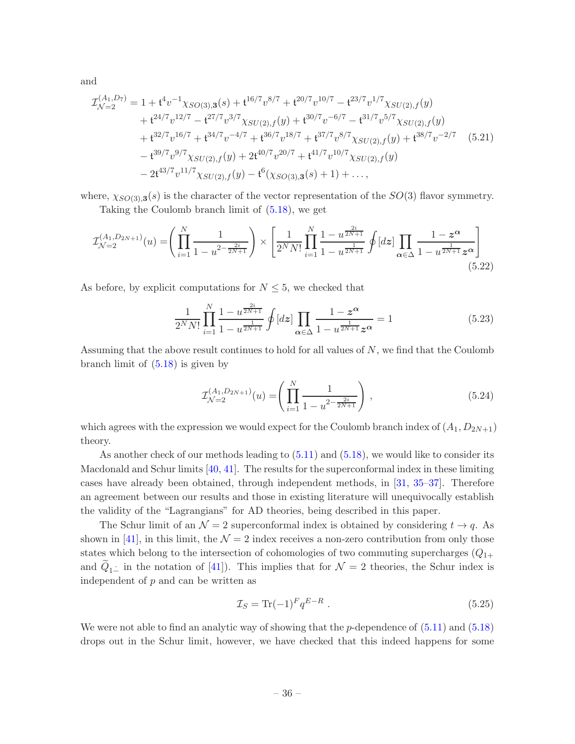and

$$
\mathcal{I}_{\mathcal{N}=2}^{(A_1, D_7)} = 1 + t^4 v^{-1} \chi_{SO(3),3}(s) + t^{16/7} v^{8/7} + t^{20/7} v^{10/7} - t^{23/7} v^{1/7} \chi_{SU(2),f}(y) \n+ t^{24/7} v^{12/7} - t^{27/7} v^{3/7} \chi_{SU(2),f}(y) + t^{30/7} v^{-6/7} - t^{31/7} v^{5/7} \chi_{SU(2),f}(y) \n+ t^{32/7} v^{16/7} + t^{34/7} v^{-4/7} + t^{36/7} v^{18/7} + t^{37/7} v^{8/7} \chi_{SU(2),f}(y) + t^{38/7} v^{-2/7} \quad (5.21) \n- t^{39/7} v^{9/7} \chi_{SU(2),f}(y) + 2t^{40/7} v^{20/7} + t^{41/7} v^{10/7} \chi_{SU(2),f}(y) \n- 2t^{43/7} v^{11/7} \chi_{SU(2),f}(y) - t^6 (\chi_{SO(3),3}(s) + 1) + ...,
$$

where,  $\chi_{SO(3),3}(s)$  is the character of the vector representation of the  $SO(3)$  flavor symmetry.

Taking the Coulomb branch limit of [\(5.18\)](#page-35-0), we get

$$
\mathcal{I}_{\mathcal{N}=2}^{(A_1, D_{2N+1})}(u) = \left(\prod_{i=1}^N \frac{1}{1-u^{2-\frac{2i}{2N+1}}}\right) \times \left[\frac{1}{2^N N!} \prod_{i=1}^N \frac{1-u^{\frac{2i}{2N+1}}}{1-u^{\frac{1}{2N+1}}} \oint [dz] \prod_{\alpha \in \Delta} \frac{1-z^{\alpha}}{1-u^{\frac{1}{2N+1}} z^{\alpha}}\right]
$$
(5.22)

As before, by explicit computations for  $N \leq 5$ , we checked that

<span id="page-36-0"></span>
$$
\frac{1}{2^N N!} \prod_{i=1}^N \frac{1 - u^{\frac{2i}{2N+1}}}{1 - u^{\frac{1}{2N+1}}} \oint [dz] \prod_{\alpha \in \Delta} \frac{1 - z^{\alpha}}{1 - u^{\frac{1}{2N+1}} z^{\alpha}} = 1
$$
\n(5.23)

Assuming that the above result continues to hold for all values of  $N$ , we find that the Coulomb branch limit of [\(5.18\)](#page-35-0) is given by

$$
\mathcal{I}_{\mathcal{N}=2}^{(A_1, D_{2N+1})}(u) = \left(\prod_{i=1}^N \frac{1}{1 - u^{2 - \frac{2i}{2N+1}}}\right),
$$
\n(5.24)

which agrees with the expression we would expect for the Coulomb branch index of  $(A_1, D_{2N+1})$ theory.

As another check of our methods leading to  $(5.11)$  and  $(5.18)$ , we would like to consider its Macdonald and Schur limits [\[40,](#page-44-15) [41](#page-44-16)]. The results for the superconformal index in these limiting cases have already been obtained, through independent methods, in [\[31](#page-44-1), [35](#page-44-5)[–37\]](#page-44-6). Therefore an agreement between our results and those in existing literature will unequivocally establish the validity of the "Lagrangians" for AD theories, being described in this paper.

The Schur limit of an  $\mathcal{N} = 2$  superconformal index is obtained by considering  $t \to q$ . As shown in [\[41\]](#page-44-16), in this limit, the  $\mathcal{N} = 2$  index receives a non-zero contribution from only those states which belong to the intersection of cohomologies of two commuting supercharges  $(Q_{1+})$ and  $Q_{1-}$  in the notation of [\[41](#page-44-16)]). This implies that for  $\mathcal{N}=2$  theories, the Schur index is independent of  $p$  and can be written as

$$
\mathcal{I}_S = \text{Tr}(-1)^F q^{E-R} \tag{5.25}
$$

We were not able to find an analytic way of showing that the  $p$ -dependence of  $(5.11)$  and  $(5.18)$ drops out in the Schur limit, however, we have checked that this indeed happens for some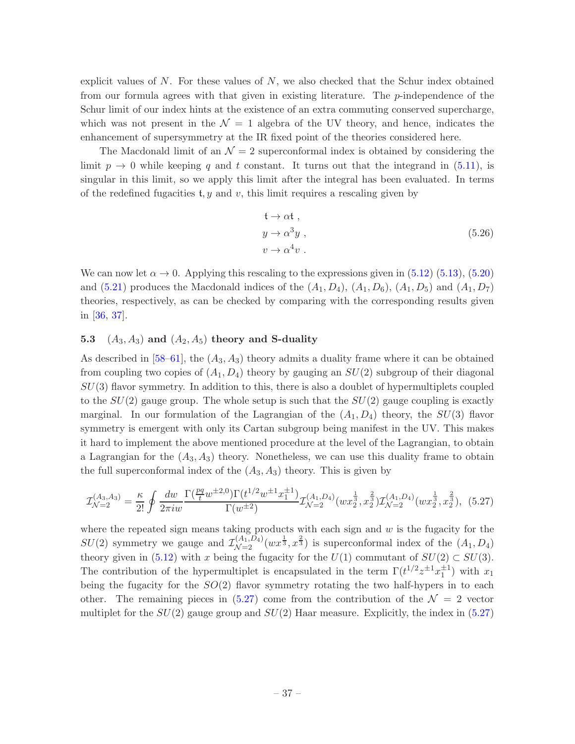explicit values of  $N$ . For these values of  $N$ , we also checked that the Schur index obtained from our formula agrees with that given in existing literature. The p-independence of the Schur limit of our index hints at the existence of an extra commuting conserved supercharge, which was not present in the  $\mathcal{N} = 1$  algebra of the UV theory, and hence, indicates the enhancement of supersymmetry at the IR fixed point of the theories considered here.

The Macdonald limit of an  $\mathcal{N}=2$  superconformal index is obtained by considering the limit  $p \to 0$  while keeping q and t constant. It turns out that the integrand in [\(5.11\)](#page-32-1), is singular in this limit, so we apply this limit after the integral has been evaluated. In terms of the redefined fugacities t, y and v, this limit requires a rescaling given by

<span id="page-37-1"></span>
$$
t \to \alpha t ,\n y \to \alpha^3 y ,\n v \to \alpha^4 v .
$$
\n(5.26)

We can now let  $\alpha \to 0$ . Applying this rescaling to the expressions given in [\(5.12\)](#page-32-2) [\(5.13\)](#page-33-2), [\(5.20\)](#page-35-1) and  $(5.21)$  produces the Macdonald indices of the  $(A_1, D_4)$ ,  $(A_1, D_6)$ ,  $(A_1, D_5)$  and  $(A_1, D_7)$ theories, respectively, as can be checked by comparing with the corresponding results given in [\[36](#page-44-17), [37\]](#page-44-6).

#### <span id="page-37-0"></span>5.3  $(A_3, A_3)$  and  $(A_2, A_5)$  theory and S-duality

As described in [\[58](#page-45-7)[–61](#page-45-8)], the  $(A_3, A_3)$  theory admits a duality frame where it can be obtained from coupling two copies of  $(A_1, D_4)$  theory by gauging an  $SU(2)$  subgroup of their diagonal  $SU(3)$  flavor symmetry. In addition to this, there is also a doublet of hypermultiplets coupled to the  $SU(2)$  gauge group. The whole setup is such that the  $SU(2)$  gauge coupling is exactly marginal. In our formulation of the Lagrangian of the  $(A_1, D_4)$  theory, the  $SU(3)$  flavor symmetry is emergent with only its Cartan subgroup being manifest in the UV. This makes it hard to implement the above mentioned procedure at the level of the Lagrangian, to obtain a Lagrangian for the  $(A_3, A_3)$  theory. Nonetheless, we can use this duality frame to obtain the full superconformal index of the  $(A_3, A_3)$  theory. This is given by

$$
\mathcal{I}_{\mathcal{N}=2}^{(A_3, A_3)} = \frac{\kappa}{2!} \oint \frac{dw}{2\pi i w} \frac{\Gamma(\frac{pq}{t}w^{\pm 2, 0}) \Gamma(t^{1/2}w^{\pm 1}x_1^{\pm 1})}{\Gamma(w^{\pm 2})} \mathcal{I}_{\mathcal{N}=2}^{(A_1, D_4)}(wx_2^{\frac{1}{3}}, x_2^{\frac{2}{3}}) \mathcal{I}_{\mathcal{N}=2}^{(A_1, D_4)}(wx_2^{\frac{1}{3}}, x_2^{\frac{2}{3}}), (5.27)
$$

where the repeated sign means taking products with each sign and  $w$  is the fugacity for the  $SU(2)$  symmetry we gauge and  $\mathcal{I}_{\mathcal{N}=2}^{(A_1, D_4)}(wx^{\frac{1}{3}}, x^{\frac{2}{3}})$  is superconformal index of the  $(A_1, D_4)$ theory given in [\(5.12\)](#page-32-2) with x being the fugacity for the  $U(1)$  commutant of  $SU(2) \subset SU(3)$ . The contribution of the hypermultiplet is encapsulated in the term  $\Gamma(t^{1/2}z^{\pm 1}x_1^{\pm 1})$  with  $x_1$ being the fugacity for the  $SO(2)$  flavor symmetry rotating the two half-hypers in to each other. The remaining pieces in  $(5.27)$  come from the contribution of the  $\mathcal{N}=2$  vector multiplet for the  $SU(2)$  gauge group and  $SU(2)$  Haar measure. Explicitly, the index in [\(5.27\)](#page-37-1)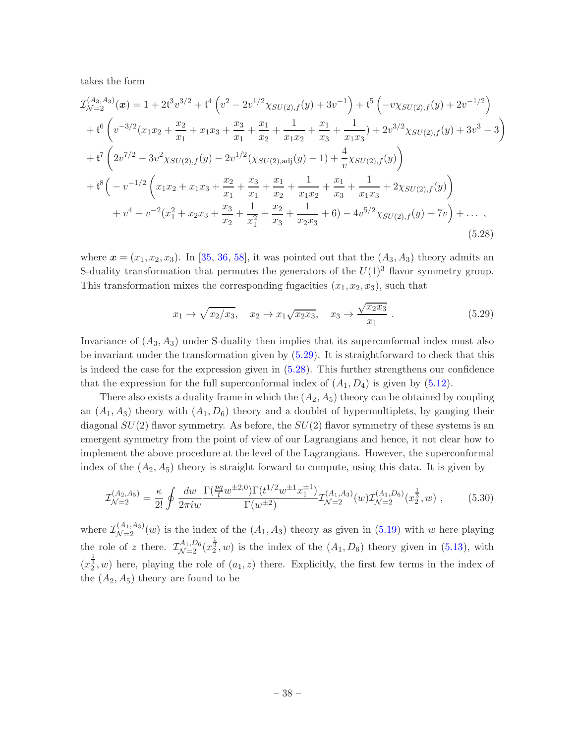takes the form

$$
\mathcal{I}_{\mathcal{N}=2}^{(A_3, A_3)}(\mathbf{x}) = 1 + 2\mathfrak{t}^3 v^{3/2} + \mathfrak{t}^4 \left( v^2 - 2v^{1/2} \chi_{SU(2), f}(y) + 3v^{-1} \right) + \mathfrak{t}^5 \left( -v \chi_{SU(2), f}(y) + 2v^{-1/2} \right)
$$
  
+ 
$$
\mathfrak{t}^6 \left( v^{-3/2} (x_1 x_2 + \frac{x_2}{x_1} + x_1 x_3 + \frac{x_3}{x_1} + \frac{x_1}{x_2} + \frac{1}{x_1 x_2} + \frac{x_1}{x_3} + \frac{1}{x_1 x_3} + 2v^{3/2} \chi_{SU(2), f}(y) + 3v^3 - 3 \right)
$$
  
+ 
$$
\mathfrak{t}^7 \left( 2v^{7/2} - 3v^2 \chi_{SU(2), f}(y) - 2v^{1/2} (\chi_{SU(2), \text{adj}}(y) - 1) + \frac{4}{v} \chi_{SU(2), f}(y) \right)
$$
  
+ 
$$
\mathfrak{t}^8 \left( -v^{-1/2} \left( x_1 x_2 + x_1 x_3 + \frac{x_2}{x_1} + \frac{x_3}{x_1} + \frac{x_1}{x_2} + \frac{1}{x_1 x_2} + \frac{x_1}{x_3} + \frac{1}{x_1 x_3} + 2 \chi_{SU(2), f}(y) \right)
$$
  
+ 
$$
v^4 + v^{-2} (x_1^2 + x_2 x_3 + \frac{x_3}{x_2} + \frac{1}{x_1^2} + \frac{x_2}{x_3} + \frac{1}{x_2 x_3} + 6) - 4v^{5/2} \chi_{SU(2), f}(y) + 7v \right) + \dots,
$$
  
(5.28)

where  $\mathbf{x} = (x_1, x_2, x_3)$ . In [\[35](#page-44-5), [36,](#page-44-17) [58](#page-45-7)], it was pointed out that the  $(A_3, A_3)$  theory admits an S-duality transformation that permutes the generators of the  $U(1)^3$  flavor symmetry group. This transformation mixes the corresponding fugacities  $(x_1, x_2, x_3)$ , such that

<span id="page-38-1"></span><span id="page-38-0"></span>
$$
x_1 \to \sqrt{x_2/x_3}, \quad x_2 \to x_1\sqrt{x_2x_3}, \quad x_3 \to \frac{\sqrt{x_2x_3}}{x_1}.
$$
 (5.29)

Invariance of  $(A_3, A_3)$  under S-duality then implies that its superconformal index must also be invariant under the transformation given by [\(5.29\)](#page-38-0). It is straightforward to check that this is indeed the case for the expression given in [\(5.28\)](#page-38-1). This further strengthens our confidence that the expression for the full superconformal index of  $(A_1, D_4)$  is given by  $(5.12)$ .

There also exists a duality frame in which the  $(A_2, A_5)$  theory can be obtained by coupling an  $(A_1, A_3)$  theory with  $(A_1, D_6)$  theory and a doublet of hypermultiplets, by gauging their diagonal  $SU(2)$  flavor symmetry. As before, the  $SU(2)$  flavor symmetry of these systems is an emergent symmetry from the point of view of our Lagrangians and hence, it not clear how to implement the above procedure at the level of the Lagrangians. However, the superconformal index of the  $(A_2, A_5)$  theory is straight forward to compute, using this data. It is given by

$$
\mathcal{I}_{\mathcal{N}=2}^{(A_2, A_5)} = \frac{\kappa}{2!} \oint \frac{dw}{2\pi i w} \frac{\Gamma(\frac{pq}{t}w^{\pm 2, 0}) \Gamma(t^{1/2}w^{\pm 1}x_1^{\pm 1})}{\Gamma(w^{\pm 2})} \mathcal{I}_{\mathcal{N}=2}^{(A_1, A_3)}(w) \mathcal{I}_{\mathcal{N}=2}^{(A_1, D_6)}(x_2^{\frac{1}{3}}, w) ,\qquad (5.30)
$$

where  $\mathcal{I}_{\mathcal{N}=2}^{(A_1, A_3)}(w)$  is the index of the  $(A_1, A_3)$  theory as given in [\(5.19\)](#page-35-2) with w here playing the role of z there.  $\mathcal{I}_{\mathcal{N}=2}^{A_1, D_6}(x_2^{\frac{1}{3}}, w)$  is the index of the  $(A_1, D_6)$  theory given in [\(5.13\)](#page-33-2), with  $(x_2^{\frac{1}{3}}, w)$  here, playing the role of  $(a_1, z)$  there. Explicitly, the first few terms in the index of the  $(A_2, A_5)$  theory are found to be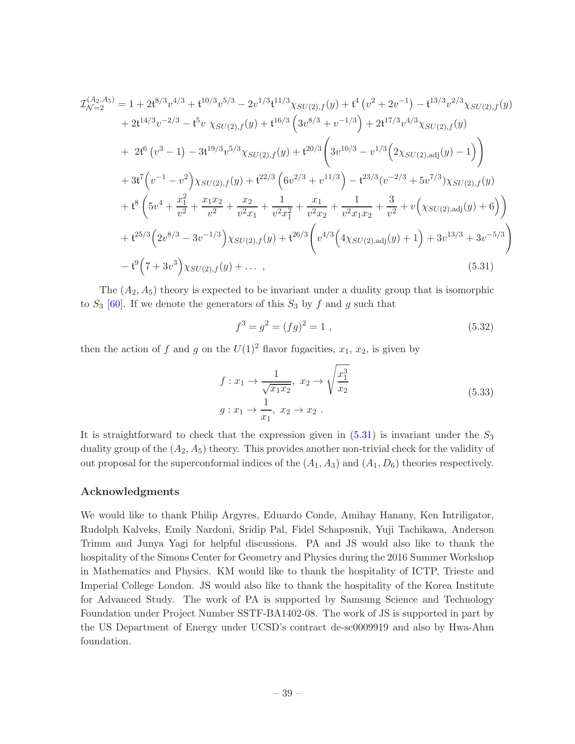$$
\mathcal{I}_{\mathcal{N}=2}^{(A_2, A_5)} = 1 + 2t^{8/3}v^{4/3} + t^{10/3}v^{5/3} - 2v^{1/3}t^{11/3}\chi_{SU(2),f}(y) + t^4(v^2 + 2v^{-1}) - t^{13/3}v^{2/3}\chi_{SU(2),f}(y) \n+ 2t^{14/3}v^{-2/3} - t^5v \chi_{SU(2),f}(y) + t^{16/3} \left(3v^{8/3} + v^{-1/3}\right) + 2t^{17/3}v^{4/3}\chi_{SU(2),f}(y) \n+ 2t^6(v^3 - 1) - 3t^{19/3}v^{5/3}\chi_{SU(2),f}(y) + t^{20/3} \left(3v^{10/3} - v^{1/3}\left(2\chi_{SU(2),\text{adj}}(y) - 1\right)\right) \n+ 3t^7\left(v^{-1} - v^2\right)\chi_{SU(2),f}(y) + t^{22/3} \left(6v^{2/3} + v^{11/3}\right) - t^{23/3}(v^{-2/3} + 5v^{7/3})\chi_{SU(2),f}(y) \n+ t^8 \left(5v^4 + \frac{x_1^2}{v^2} + \frac{x_1x_2}{v^2} + \frac{x_2}{v^2x_1} + \frac{1}{v^2x_1^2} + \frac{x_1}{v^2x_2} + \frac{1}{v^2x_1x_2} + \frac{3}{v^2} + v\left(\chi_{SU(2),\text{adj}}(y) + 6\right)\right) \n+ t^{25/3}\left(2v^{8/3} - 3v^{-1/3}\right)\chi_{SU(2),f}(y) + t^{26/3}\left(v^{4/3}\left(4\chi_{SU(2),\text{adj}}(y) + 1\right) + 3v^{13/3} + 3v^{-5/3}\right) \n- t^9\left(7 + 3v^3\right)\chi_{SU(2),f}(y) + \cdots, \tag{5.31}
$$

The  $(A_2, A_5)$  theory is expected to be invariant under a duality group that is isomorphic to  $S_3$  [\[60](#page-45-9)]. If we denote the generators of this  $S_3$  by f and g such that

<span id="page-39-0"></span>
$$
f^3 = g^2 = (fg)^2 = 1 \tag{5.32}
$$

then the action of f and g on the  $U(1)^2$  flavor fugacities,  $x_1, x_2$ , is given by

$$
f: x_1 \to \frac{1}{\sqrt{x_1 x_2}}, x_2 \to \sqrt{\frac{x_1^3}{x_2}}
$$
  

$$
g: x_1 \to \frac{1}{x_1}, x_2 \to x_2.
$$
 (5.33)

It is straightforward to check that the expression given in  $(5.31)$  is invariant under the  $S_3$ duality group of the  $(A_2, A_5)$  theory. This provides another non-trivial check for the validity of out proposal for the superconformal indices of the  $(A_1, A_3)$  and  $(A_1, D_6)$  theories respectively.

#### Acknowledgments

We would like to thank Philip Argyres, Eduardo Conde, Amihay Hanany, Ken Intriligator, Rudolph Kalveks, Emily Nardoni, Sridip Pal, Fidel Schaposnik, Yuji Tachikawa, Anderson Trimm and Junya Yagi for helpful discussions. PA and JS would also like to thank the hospitality of the Simons Center for Geometry and Physics during the 2016 Summer Workshop in Mathematics and Physics. KM would like to thank the hospitality of ICTP, Trieste and Imperial College London. JS would also like to thank the hospitality of the Korea Institute for Advanced Study. The work of PA is supported by Samsung Science and Technology Foundation under Project Number SSTF-BA1402-08. The work of JS is supported in part by the US Department of Energy under UCSD's contract de-sc0009919 and also by Hwa-Ahm foundation.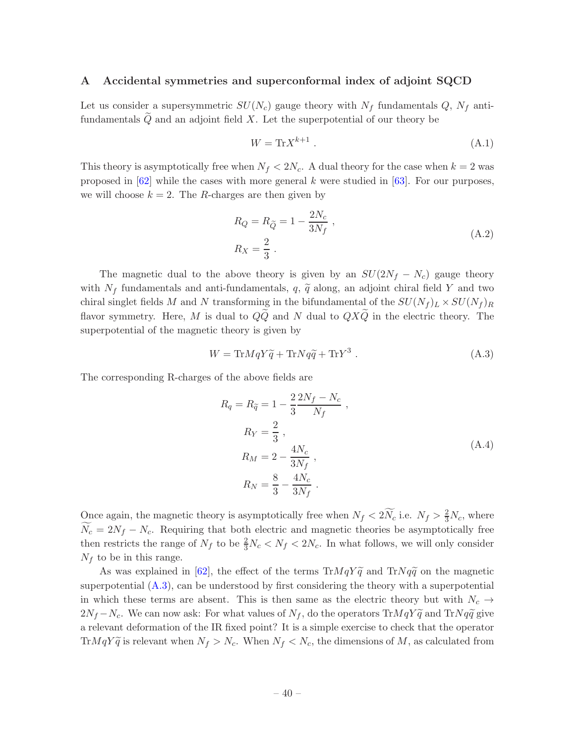#### <span id="page-40-0"></span>A Accidental symmetries and superconformal index of adjoint SQCD

Let us consider a supersymmetric  $SU(N_c)$  gauge theory with  $N_f$  fundamentals  $Q$ ,  $N_f$  antifundamentals  $\tilde{Q}$  and an adjoint field X. Let the superpotential of our theory be

$$
W = \text{Tr} X^{k+1} \tag{A.1}
$$

This theory is asymptotically free when  $N_f < 2N_c$ . A dual theory for the case when  $k = 2$  was proposed in  $[62]$  while the cases with more general k were studied in  $[63]$ . For our purposes, we will choose  $k = 2$ . The R-charges are then given by

$$
R_Q = R_{\widetilde{Q}} = 1 - \frac{2N_c}{3N_f} ,
$$
  
\n
$$
R_X = \frac{2}{3} .
$$
\n(A.2)

The magnetic dual to the above theory is given by an  $SU(2N_f - N_c)$  gauge theory with  $N_f$  fundamentals and anti-fundamentals, q,  $\tilde{q}$  along, an adjoint chiral field Y and two chiral singlet fields M and N transforming in the bifundamental of the  $SU(N_f)_L \times SU(N_f)_R$ flavor symmetry. Here, M is dual to  $Q\widetilde{Q}$  and N dual to  $QX\widetilde{Q}$  in the electric theory. The superpotential of the magnetic theory is given by

<span id="page-40-1"></span>
$$
W = \text{Tr} M q Y \tilde{q} + \text{Tr} N q \tilde{q} + \text{Tr} Y^3 \,. \tag{A.3}
$$

The corresponding R-charges of the above fields are

<span id="page-40-2"></span>
$$
R_q = R_{\tilde{q}} = 1 - \frac{2}{3} \frac{2N_f - N_c}{N_f} ,
$$
  
\n
$$
R_Y = \frac{2}{3} ,
$$
  
\n
$$
R_M = 2 - \frac{4N_c}{3N_f} ,
$$
  
\n
$$
R_N = \frac{8}{3} - \frac{4N_c}{3N_f} .
$$
\n(A.4)

Once again, the magnetic theory is asymptotically free when  $N_f < 2N_c$  i.e.  $N_f > \frac{2}{3}N_c$ , where  $\widetilde{N_c} = 2N_f - N_c$ . Requiring that both electric and magnetic theories be asymptotically free then restricts the range of  $N_f$  to be  $\frac{2}{3}N_c < N_f < 2N_c$ . In what follows, we will only consider  $N_f$  to be in this range.

As was explained in [\[62](#page-45-10)], the effect of the terms  $\text{Tr}MqY\tilde{q}$  and  $\text{Tr}Nq\tilde{q}$  on the magnetic superpotential  $(A.3)$ , can be understood by first considering the theory with a superpotential in which these terms are absent. This is then same as the electric theory but with  $N_c \rightarrow$  $2N_f - N_c$ . We can now ask: For what values of  $N_f$ , do the operators Tr $MqY\tilde{q}$  and Tr $Nq\tilde{q}$  give a relevant deformation of the IR fixed point? It is a simple exercise to check that the operator TrMqY $\widetilde{q}$  is relevant when  $N_f > N_c$ . When  $N_f < N_c$ , the dimensions of M, as calculated from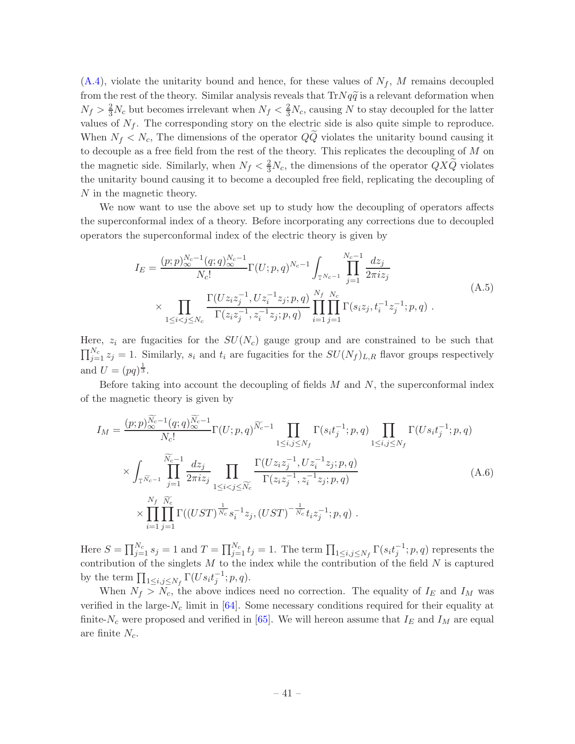$(A.4)$ , violate the unitarity bound and hence, for these values of  $N_f$ , M remains decoupled from the rest of the theory. Similar analysis reveals that  $Tr Nq\tilde{q}$  is a relevant deformation when  $N_f > \frac{2}{3}N_c$  but becomes irrelevant when  $N_f < \frac{2}{3}N_c$ , causing N to stay decoupled for the latter values of  $N_f$ . The corresponding story on the electric side is also quite simple to reproduce. When  $N_f \langle N_c, \rangle$  The dimensions of the operator  $Q\bar{Q}$  violates the unitarity bound causing it to decouple as a free field from the rest of the theory. This replicates the decoupling of  $M$  on the magnetic side. Similarly, when  $N_f < \frac{2}{3}N_c$ , the dimensions of the operator  $QX\widetilde{Q}$  violates the unitarity bound causing it to become a decoupled free field, replicating the decoupling of N in the magnetic theory.

We now want to use the above set up to study how the decoupling of operators affects the superconformal index of a theory. Before incorporating any corrections due to decoupled operators the superconformal index of the electric theory is given by

$$
I_E = \frac{(p;p)_{\infty}^{N_c-1}(q;q)_{\infty}^{N_c-1}}{N_c!} \Gamma(U;p,q)^{N_c-1} \int_{\mathbb{T}^{N_c-1}} \prod_{j=1}^{N_c-1} \frac{dz_j}{2\pi i z_j}
$$
  
 
$$
\times \prod_{1 \le i < j \le N_c} \frac{\Gamma(Uz_iz_j^{-1}, Uz_i^{-1}z_j; p, q)}{\Gamma(z_iz_j^{-1}, z_i^{-1}z_j; p, q)} \prod_{i=1}^{N_f} \prod_{j=1}^{N_c} \Gamma(s_i z_j, t_i^{-1} z_j^{-1}; p, q) .
$$
 (A.5)

Here,  $z_i$  are fugacities for the  $SU(N_c)$  gauge group and are constrained to be such that  $\prod_{j=1}^{N_c} z_j = 1$ . Similarly,  $s_i$  and  $t_i$  are fugacities for the  $SU(N_f)_{L,R}$  flavor groups respectively and  $U = (pq)^{\frac{1}{3}}$ .

Before taking into account the decoupling of fields  $M$  and  $N$ , the superconformal index of the magnetic theory is given by

$$
I_{M} = \frac{(p;p)_{\infty}^{\widetilde{N}_{c}-1}(q;q)_{\infty}^{\widetilde{N}_{c}-1} \Gamma(U;p,q)^{\widetilde{N}_{c}-1} \prod_{1 \leq i,j \leq N_{f}} \Gamma(s_{i}t_{j}^{-1};p,q) \prod_{1 \leq i,j \leq N_{f}} \Gamma(Us_{i}t_{j}^{-1};p,q) \times \int_{\mathbb{T}^{\widetilde{N}_{c}-1}} \prod_{j=1}^{\widetilde{N}_{c}-1} \frac{dz_{j}}{2\pi iz_{j}} \prod_{1 \leq i < j \leq \widetilde{N}_{c}} \frac{\Gamma(Uz_{i}z_{j}^{-1}, Uz_{i}^{-1}z_{j};p,q)}{\Gamma(z_{i}z_{j}^{-1}, z_{i}^{-1}z_{j};p,q)} \times \prod_{i=1}^{N_{f}} \prod_{j=1}^{\widetilde{N}_{c}} \Gamma((UST)^{\frac{1}{N_{c}}} s_{i}^{-1}z_{j}, (UST)^{-\frac{1}{N_{c}}} t_{i}z_{j}^{-1};p,q) . \tag{A.6}
$$

Here  $S = \prod_{j=1}^{N_c} s_j = 1$  and  $T = \prod_{j=1}^{N_c} t_j = 1$ . The term  $\prod_{1 \le i,j \le N_f} \Gamma(s_i t_j^{-1}; p, q)$  represents the contribution of the singlets  $M$  to the index while the contribution of the field  $N$  is captured by the term  $\prod_{1 \leq i,j \leq N_f} \Gamma(Us_i t_j^{-1}; p, q)$ .

When  $N_f > N_c$ , the above indices need no correction. The equality of  $I_E$  and  $I_M$  was verified in the large- $N_c$  limit in [\[64](#page-45-12)]. Some necessary conditions required for their equality at finite- $N_c$  were proposed and verified in [\[65](#page-45-13)]. We will hereon assume that  $I_E$  and  $I_M$  are equal are finite  $N_c$ .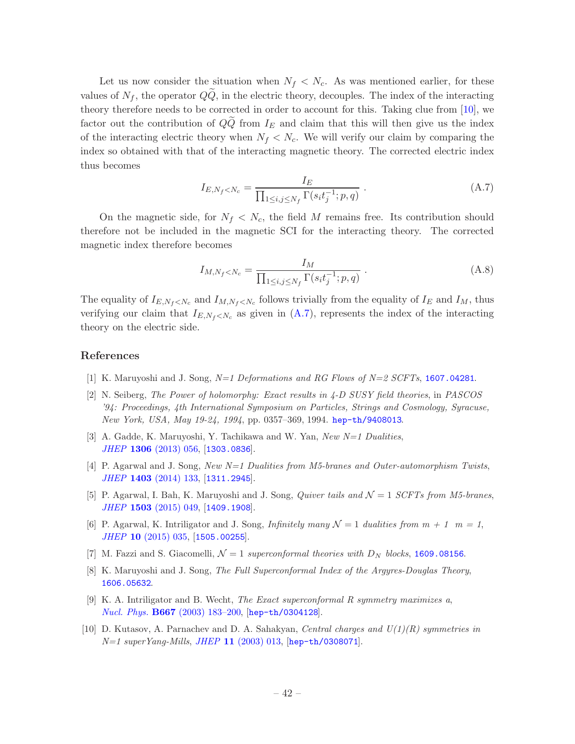Let us now consider the situation when  $N_f \langle N_c \rangle$ . As was mentioned earlier, for these values of  $N_f$ , the operator  $QQ$ , in the electric theory, decouples. The index of the interacting theory therefore needs to be corrected in order to account for this. Taking clue from [\[10](#page-42-6)], we factor out the contribution of  $QQ$  from  $I_E$  and claim that this will then give us the index of the interacting electric theory when  $N_f \langle N_c \rangle$ . We will verify our claim by comparing the index so obtained with that of the interacting magnetic theory. The corrected electric index thus becomes

<span id="page-42-9"></span>
$$
I_{E,N_f\n(A.7)
$$

On the magnetic side, for  $N_f \langle N_c \rangle$ , the field M remains free. Its contribution should therefore not be included in the magnetic SCI for the interacting theory. The corrected magnetic index therefore becomes

$$
I_{M,N_f\n(A.8)
$$

The equality of  $I_{E,N_f\leq N_c}$  and  $I_{M,N_f\leq N_c}$  follows trivially from the equality of  $I_E$  and  $I_M$ , thus verifying our claim that  $I_{E,N_f\langle N_c\rangle}$  as given in  $(A.7)$ , represents the index of the interacting theory on the electric side.

#### References

- <span id="page-42-0"></span>[1] K. Maruyoshi and J. Song,  $N=1$  Deformations and RG Flows of  $N=2$  SCFTs, [1607.04281](http://arxiv.org/abs/1607.04281).
- <span id="page-42-1"></span>[2] N. Seiberg, The Power of holomorphy: Exact results in 4-D SUSY field theories, in PASCOS '94: Proceedings, 4th International Symposium on Particles, Strings and Cosmology, Syracuse, New York, USA, May 19-24, 1994, pp. 0357–369, 1994. [hep-th/9408013](http://arxiv.org/abs/hep-th/9408013).
- <span id="page-42-2"></span>[3] A. Gadde, K. Maruyoshi, Y. Tachikawa and W. Yan, New N=1 Dualities, JHEP 1306 [\(2013\) 056,](http://dx.doi.org/10.1007/JHEP06(2013)056) [[1303.0836](http://arxiv.org/abs/1303.0836)].
- [4] P. Agarwal and J. Song, New N=1 Dualities from M5-branes and Outer-automorphism Twists, JHEP 1403 [\(2014\) 133,](http://dx.doi.org/10.1007/JHEP03(2014)133) [[1311.2945](http://arxiv.org/abs/1311.2945)].
- <span id="page-42-8"></span>[5] P. Agarwal, I. Bah, K. Maruyoshi and J. Song, *Quiver tails and*  $\mathcal{N}=1$  SCFTs from M5-branes, JHEP 1503 [\(2015\) 049,](http://dx.doi.org/10.1007/JHEP03(2015)049) [[1409.1908](http://arxiv.org/abs/1409.1908)].
- <span id="page-42-7"></span>[6] P. Agarwal, K. Intriligator and J. Song, Infinitely many  $\mathcal{N}=1$  dualities from  $m+1$   $m=1$ , JHEP 10 [\(2015\) 035,](http://dx.doi.org/10.1007/JHEP10(2015)035) [[1505.00255](http://arxiv.org/abs/1505.00255)].
- <span id="page-42-3"></span>[7] M. Fazzi and S. Giacomelli,  $\mathcal{N} = 1$  superconformal theories with  $D_N$  blocks, [1609.08156](http://arxiv.org/abs/1609.08156).
- <span id="page-42-4"></span>[8] K. Maruyoshi and J. Song, The Full Superconformal Index of the Argyres-Douglas Theory, [1606.05632](http://arxiv.org/abs/1606.05632).
- <span id="page-42-5"></span>[9] K. A. Intriligator and B. Wecht, The Exact superconformal R symmetry maximizes a, Nucl. Phys. B667 [\(2003\) 183–200,](http://dx.doi.org/10.1016/S0550-3213(03)00459-0) [[hep-th/0304128](http://arxiv.org/abs/hep-th/0304128)].
- <span id="page-42-6"></span>[10] D. Kutasov, A. Parnachev and D. A. Sahakyan, Central charges and  $U(1)(R)$  symmetries in  $N=1$  super Yang-Mills, JHEP 11 [\(2003\) 013,](http://dx.doi.org/10.1088/1126-6708/2003/11/013) [[hep-th/0308071](http://arxiv.org/abs/hep-th/0308071)].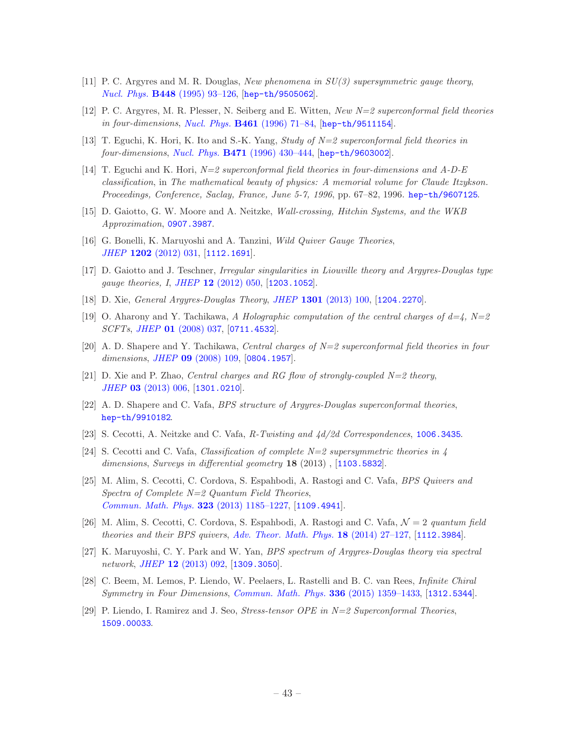- <span id="page-43-0"></span>[11] P. C. Argyres and M. R. Douglas, New phenomena in SU(3) supersymmetric gauge theory, Nucl. Phys. B448 [\(1995\) 93–126,](http://dx.doi.org/10.1016/0550-3213(95)00281-V) [[hep-th/9505062](http://arxiv.org/abs/hep-th/9505062)].
- <span id="page-43-1"></span>[12] P. C. Argyres, M. R. Plesser, N. Seiberg and E. Witten, New N=2 superconformal field theories in four-dimensions, Nucl. Phys. **B461** (1996) 71-84, [[hep-th/9511154](http://arxiv.org/abs/hep-th/9511154)].
- <span id="page-43-2"></span>[13] T. Eguchi, K. Hori, K. Ito and S.-K. Yang, *Study of N=2 superconformal field theories in*  $four\text{-}dimensions, \text{Nucl. Phys. } \bf{B471} \text{ (1996) } 430\text{-}444, \text{[hep-th/9603002]}.$  $four\text{-}dimensions, \text{Nucl. Phys. } \bf{B471} \text{ (1996) } 430\text{-}444, \text{[hep-th/9603002]}.$  $four\text{-}dimensions, \text{Nucl. Phys. } \bf{B471} \text{ (1996) } 430\text{-}444, \text{[hep-th/9603002]}.$
- <span id="page-43-3"></span>[14] T. Eguchi and K. Hori,  $N=2$  superconformal field theories in four-dimensions and A-D-E classification, in The mathematical beauty of physics: A memorial volume for Claude Itzykson. Proceedings, Conference, Saclay, France, June 5-7, 1996, pp. 67–82, 1996. [hep-th/9607125](http://arxiv.org/abs/hep-th/9607125).
- <span id="page-43-4"></span>[15] D. Gaiotto, G. W. Moore and A. Neitzke, Wall-crossing, Hitchin Systems, and the WKB Approximation, [0907.3987](http://arxiv.org/abs/0907.3987).
- [16] G. Bonelli, K. Maruyoshi and A. Tanzini, Wild Quiver Gauge Theories, JHEP 1202 [\(2012\) 031,](http://dx.doi.org/10.1007/JHEP02(2012)031) [[1112.1691](http://arxiv.org/abs/1112.1691)].
- [17] D. Gaiotto and J. Teschner, Irregular singularities in Liouville theory and Argyres-Douglas type gauge theories, I, JHEP 12 [\(2012\) 050,](http://dx.doi.org/10.1007/JHEP12(2012)050) [[1203.1052](http://arxiv.org/abs/1203.1052)].
- <span id="page-43-5"></span>[18] D. Xie, General Argyres-Douglas Theory, JHEP 1301 [\(2013\) 100,](http://dx.doi.org/10.1007/JHEP01(2013)100) [[1204.2270](http://arxiv.org/abs/1204.2270)].
- <span id="page-43-6"></span>[19] O. Aharony and Y. Tachikawa, A Holographic computation of the central charges of  $d=4$ ,  $N=2$ SCFTs, JHEP 01 [\(2008\) 037,](http://dx.doi.org/10.1088/1126-6708/2008/01/037) [[0711.4532](http://arxiv.org/abs/0711.4532)].
- <span id="page-43-7"></span>[20] A. D. Shapere and Y. Tachikawa, Central charges of  $N=2$  superconformal field theories in four dimensions, JHEP 09 [\(2008\) 109,](http://dx.doi.org/10.1088/1126-6708/2008/09/109) [[0804.1957](http://arxiv.org/abs/0804.1957)].
- <span id="page-43-8"></span>[21] D. Xie and P. Zhao, Central charges and RG flow of strongly-coupled  $N=2$  theory, JHEP 03 [\(2013\) 006,](http://dx.doi.org/10.1007/JHEP03(2013)006) [[1301.0210](http://arxiv.org/abs/1301.0210)].
- <span id="page-43-9"></span>[22] A. D. Shapere and C. Vafa, BPS structure of Argyres-Douglas superconformal theories, [hep-th/9910182](http://arxiv.org/abs/hep-th/9910182).
- <span id="page-43-13"></span>[23] S. Cecotti, A. Neitzke and C. Vafa, R-Twisting and 4d/2d Correspondences, [1006.3435](http://arxiv.org/abs/1006.3435).
- [24] S. Cecotti and C. Vafa, *Classification of complete*  $N=2$  supersymmetric theories in 4 dimensions, Surveys in differential geometry 18 (2013), [[1103.5832](http://arxiv.org/abs/1103.5832)].
- [25] M. Alim, S. Cecotti, C. Cordova, S. Espahbodi, A. Rastogi and C. Vafa, BPS Quivers and Spectra of Complete  $N=2$  Quantum Field Theories, [Commun. Math. Phys.](http://dx.doi.org/10.1007/s00220-013-1789-8) 323 (2013) 1185–1227, [[1109.4941](http://arxiv.org/abs/1109.4941)].
- [26] M. Alim, S. Cecotti, C. Cordova, S. Espahbodi, A. Rastogi and C. Vafa,  $\mathcal{N}=2$  quantum field theories and their BPS quivers, [Adv. Theor. Math. Phys.](http://dx.doi.org/10.4310/ATMP.2014.v18.n1.a2) 18 (2014) 27–127, [[1112.3984](http://arxiv.org/abs/1112.3984)].
- <span id="page-43-10"></span>[27] K. Maruyoshi, C. Y. Park and W. Yan, BPS spectrum of Argyres-Douglas theory via spectral network, JHEP 12 [\(2013\) 092,](http://dx.doi.org/10.1007/JHEP12(2013)092) [[1309.3050](http://arxiv.org/abs/1309.3050)].
- <span id="page-43-11"></span>[28] C. Beem, M. Lemos, P. Liendo, W. Peelaers, L. Rastelli and B. C. van Rees, Infinite Chiral Symmetry in Four Dimensions, [Commun. Math. Phys.](http://dx.doi.org/10.1007/s00220-014-2272-x) 336 (2015) 1359–1433, [[1312.5344](http://arxiv.org/abs/1312.5344)].
- <span id="page-43-12"></span>[29] P. Liendo, I. Ramirez and J. Seo, Stress-tensor OPE in N=2 Superconformal Theories, [1509.00033](http://arxiv.org/abs/1509.00033).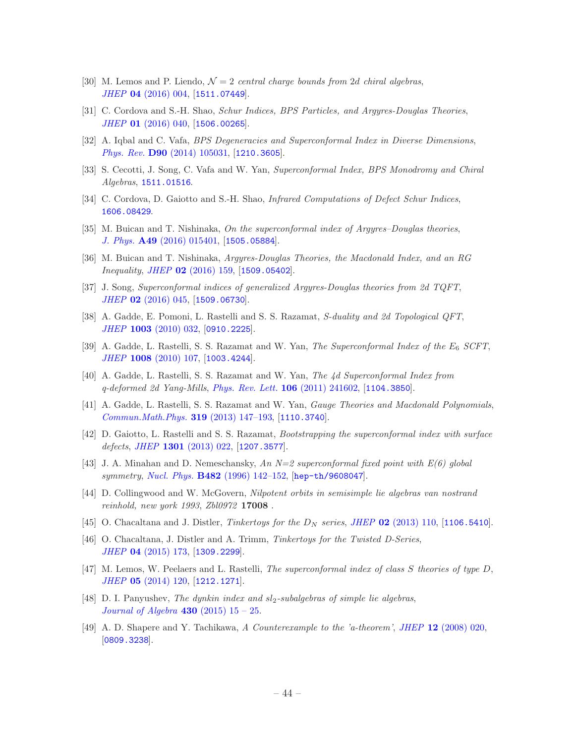- <span id="page-44-0"></span>[30] M. Lemos and P. Liendo,  $\mathcal{N}=2$  central charge bounds from 2d chiral algebras, JHEP 04 [\(2016\) 004,](http://dx.doi.org/10.1007/JHEP04(2016)004) [[1511.07449](http://arxiv.org/abs/1511.07449)].
- <span id="page-44-1"></span>[31] C. Cordova and S.-H. Shao, Schur Indices, BPS Particles, and Argyres-Douglas Theories, JHEP **01** [\(2016\) 040,](http://dx.doi.org/10.1007/JHEP01(2016)040) [[1506.00265](http://arxiv.org/abs/1506.00265)].
- <span id="page-44-2"></span>[32] A. Iqbal and C. Vafa, BPS Degeneracies and Superconformal Index in Diverse Dimensions, Phys. Rev. D90 [\(2014\) 105031,](http://dx.doi.org/10.1103/PhysRevD.90.105031) [[1210.3605](http://arxiv.org/abs/1210.3605)].
- <span id="page-44-3"></span>[33] S. Cecotti, J. Song, C. Vafa and W. Yan, Superconformal Index, BPS Monodromy and Chiral Algebras, [1511.01516](http://arxiv.org/abs/1511.01516).
- <span id="page-44-4"></span>[34] C. Cordova, D. Gaiotto and S.-H. Shao, *Infrared Computations of Defect Schur Indices*, [1606.08429](http://arxiv.org/abs/1606.08429).
- <span id="page-44-5"></span>[35] M. Buican and T. Nishinaka, On the superconformal index of Argyres–Douglas theories, J. Phys. A49 [\(2016\) 015401,](http://dx.doi.org/10.1088/1751-8113/49/1/015401) [[1505.05884](http://arxiv.org/abs/1505.05884)].
- <span id="page-44-17"></span>[36] M. Buican and T. Nishinaka, Argyres-Douglas Theories, the Macdonald Index, and an RG Inequality, JHEP 02 [\(2016\) 159,](http://dx.doi.org/10.1007/JHEP02(2016)159) [[1509.05402](http://arxiv.org/abs/1509.05402)].
- <span id="page-44-6"></span>[37] J. Song, Superconformal indices of generalized Argyres-Douglas theories from 2d TQFT, JHEP 02 [\(2016\) 045,](http://dx.doi.org/10.1007/JHEP02(2016)045) [[1509.06730](http://arxiv.org/abs/1509.06730)].
- <span id="page-44-7"></span>[38] A. Gadde, E. Pomoni, L. Rastelli and S. S. Razamat, S-duality and 2d Topological QFT, JHEP 1003 [\(2010\) 032,](http://dx.doi.org/10.1007/JHEP03(2010)032) [[0910.2225](http://arxiv.org/abs/0910.2225)].
- [39] A. Gadde, L. Rastelli, S. S. Razamat and W. Yan, *The Superconformal Index of the E<sub>6</sub> SCFT*, JHEP 1008 [\(2010\) 107,](http://dx.doi.org/10.1007/JHEP08(2010)107) [[1003.4244](http://arxiv.org/abs/1003.4244)].
- <span id="page-44-15"></span>[40] A. Gadde, L. Rastelli, S. S. Razamat and W. Yan, The 4d Superconformal Index from q-deformed 2d Yang-Mills, [Phys. Rev. Lett.](http://dx.doi.org/10.1103/PhysRevLett.106.241602) 106 (2011) 241602, [[1104.3850](http://arxiv.org/abs/1104.3850)].
- <span id="page-44-16"></span>[41] A. Gadde, L. Rastelli, S. S. Razamat and W. Yan, Gauge Theories and Macdonald Polynomials, [Commun.Math.Phys.](http://dx.doi.org/10.1007/s00220-012-1607-8) 319 (2013) 147–193, [[1110.3740](http://arxiv.org/abs/1110.3740)].
- <span id="page-44-8"></span>[42] D. Gaiotto, L. Rastelli and S. S. Razamat, Bootstrapping the superconformal index with surface defects, JHEP  $1301$  [\(2013\) 022,](http://dx.doi.org/10.1007/JHEP01(2013)022) [[1207.3577](http://arxiv.org/abs/1207.3577)].
- <span id="page-44-9"></span>[43] J. A. Minahan and D. Nemeschansky, An  $N=2$  superconformal fixed point with  $E(6)$  global symmetry, Nucl. Phys. B482 (1996) 142-152, [[hep-th/9608047](http://arxiv.org/abs/hep-th/9608047)].
- <span id="page-44-11"></span>[44] D. Collingwood and W. McGovern, Nilpotent orbits in semisimple lie algebras van nostrand reinhold, new york 1993, Zbl0972 17008 .
- <span id="page-44-12"></span>[45] O. Chacaltana and J. Distler, Tinkertoys for the  $D_N$  series, JHEP 02 [\(2013\) 110,](http://dx.doi.org/10.1007/JHEP02(2013)110) [[1106.5410](http://arxiv.org/abs/1106.5410)].
- [46] O. Chacaltana, J. Distler and A. Trimm, Tinkertoys for the Twisted D-Series, JHEP 04 [\(2015\) 173,](http://dx.doi.org/10.1007/JHEP04(2015)173) [[1309.2299](http://arxiv.org/abs/1309.2299)].
- <span id="page-44-13"></span>[47] M. Lemos, W. Peelaers and L. Rastelli, The superconformal index of class S theories of type D, JHEP 05 [\(2014\) 120,](http://dx.doi.org/10.1007/JHEP05(2014)120) [[1212.1271](http://arxiv.org/abs/1212.1271)].
- <span id="page-44-10"></span>[48] D. I. Panyushev, The dynkin index and  $sl_2$ -subalgebras of simple lie algebras, *[Journal of Algebra](http://dx.doi.org/http://dx.doi.org/10.1016/j.jalgebra.2015.01.033)* 430 (2015)  $15 - 25$ .
- <span id="page-44-14"></span>[49] A. D. Shapere and Y. Tachikawa, A Counterexample to the 'a-theorem', JHEP 12 [\(2008\) 020,](http://dx.doi.org/10.1088/1126-6708/2008/12/020) [[0809.3238](http://arxiv.org/abs/0809.3238)].